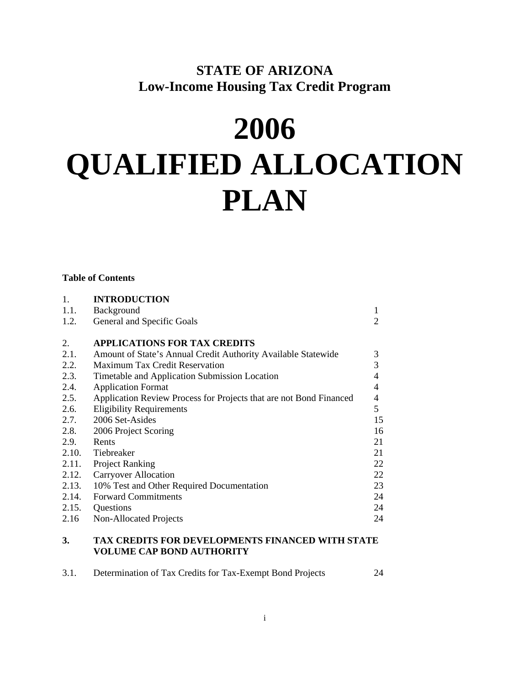## **STATE OF ARIZONA Low-Income Housing Tax Credit Program**

# **2006 QUALIFIED ALLOCATION PLAN**

## **Table of Contents**

| 1.    | <b>INTRODUCTION</b>                                                                     |                |
|-------|-----------------------------------------------------------------------------------------|----------------|
| 1.1.  | Background                                                                              | 1              |
| 1.2.  | General and Specific Goals                                                              | 2              |
| 2.    | <b>APPLICATIONS FOR TAX CREDITS</b>                                                     |                |
| 2.1.  | Amount of State's Annual Credit Authority Available Statewide                           | 3              |
| 2.2.  | <b>Maximum Tax Credit Reservation</b>                                                   | 3              |
| 2.3.  | Timetable and Application Submission Location                                           | $\overline{4}$ |
| 2.4.  | <b>Application Format</b>                                                               | $\overline{4}$ |
| 2.5.  | Application Review Process for Projects that are not Bond Financed                      | 4              |
| 2.6.  | <b>Eligibility Requirements</b>                                                         | 5              |
| 2.7.  | 2006 Set-Asides                                                                         | 15             |
| 2.8.  | 2006 Project Scoring                                                                    | 16             |
| 2.9.  | Rents                                                                                   | 21             |
|       | 2.10. Tiebreaker                                                                        | 21             |
| 2.11. | <b>Project Ranking</b>                                                                  | 22             |
| 2.12. | <b>Carryover Allocation</b>                                                             | 22             |
| 2.13. | 10% Test and Other Required Documentation                                               | 23             |
| 2.14. | <b>Forward Commitments</b>                                                              | 24             |
|       | 2.15. Questions                                                                         | 24             |
| 2.16  | Non-Allocated Projects                                                                  | 24             |
|       | <b>BIT AND DESCRIPTION IN THE UPPER</b><br>FULLER USE LA LOUIS<br><b>TITERTY OF LED</b> |                |

#### **3. TAX CREDITS FOR DEVELOPMENTS FINANCED WITH STATE VOLUME CAP BOND AUTHORITY**

| 3.1. | Determination of Tax Credits for Tax-Exempt Bond Projects |  |  |
|------|-----------------------------------------------------------|--|--|
|      |                                                           |  |  |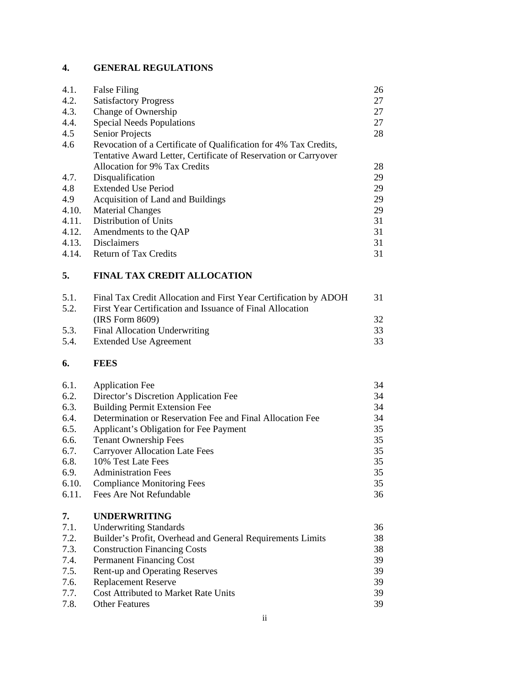## **4. GENERAL REGULATIONS**

| 4.1.  | <b>False Filing</b>                                              | 26 |
|-------|------------------------------------------------------------------|----|
| 4.2.  | <b>Satisfactory Progress</b>                                     | 27 |
| 4.3.  | Change of Ownership                                              | 27 |
| 4.4.  | <b>Special Needs Populations</b>                                 | 27 |
| 4.5   | <b>Senior Projects</b>                                           | 28 |
| 4.6   | Revocation of a Certificate of Qualification for 4% Tax Credits, |    |
|       | Tentative Award Letter, Certificate of Reservation or Carryover  |    |
|       | Allocation for 9% Tax Credits                                    | 28 |
| 4.7.  | Disqualification                                                 | 29 |
| 4.8   | <b>Extended Use Period</b>                                       | 29 |
| 4.9   | Acquisition of Land and Buildings                                | 29 |
| 4.10. | <b>Material Changes</b>                                          | 29 |
| 4.11. | Distribution of Units                                            | 31 |
| 4.12. | Amendments to the QAP                                            | 31 |
| 4.13. | <b>Disclaimers</b>                                               | 31 |
| 4.14. | <b>Return of Tax Credits</b>                                     | 31 |

## **5. FINAL TAX CREDIT ALLOCATION**

| 5.1. | Final Tax Credit Allocation and First Year Certification by ADOH | -31 |
|------|------------------------------------------------------------------|-----|
| 5.2. | First Year Certification and Issuance of Final Allocation        |     |
|      | (IRS Form 8609)                                                  | 32  |
| 5.3. | <b>Final Allocation Underwriting</b>                             | 33  |
| 5.4. | Extended Use Agreement                                           | 33  |
|      |                                                                  |     |

## **6. FEES**

| 6.1.  | <b>Application Fee</b>                                    | 34 |
|-------|-----------------------------------------------------------|----|
| 6.2.  | Director's Discretion Application Fee                     | 34 |
| 6.3.  | <b>Building Permit Extension Fee</b>                      | 34 |
| 6.4.  | Determination or Reservation Fee and Final Allocation Fee | 34 |
| 6.5.  | Applicant's Obligation for Fee Payment                    | 35 |
| 6.6.  | <b>Tenant Ownership Fees</b>                              | 35 |
| 6.7.  | <b>Carryover Allocation Late Fees</b>                     | 35 |
| 6.8.  | 10% Test Late Fees                                        | 35 |
| 6.9.  | <b>Administration Fees</b>                                | 35 |
| 6.10. | <b>Compliance Monitoring Fees</b>                         | 35 |
| 6.11. | <b>Fees Are Not Refundable</b>                            | 36 |
|       |                                                           |    |

| 7.   | <b>UNDERWRITING</b>                                        |    |
|------|------------------------------------------------------------|----|
| 7.1. | <b>Underwriting Standards</b>                              | 36 |
| 7.2. | Builder's Profit, Overhead and General Requirements Limits | 38 |
| 7.3. | <b>Construction Financing Costs</b>                        | 38 |
| 7.4. | <b>Permanent Financing Cost</b>                            | 39 |
| 7.5. | <b>Rent-up and Operating Reserves</b>                      | 39 |
| 7.6. | <b>Replacement Reserve</b>                                 | 39 |
| 7.7. | <b>Cost Attributed to Market Rate Units</b>                | 39 |
| 7.8. | <b>Other Features</b>                                      | 39 |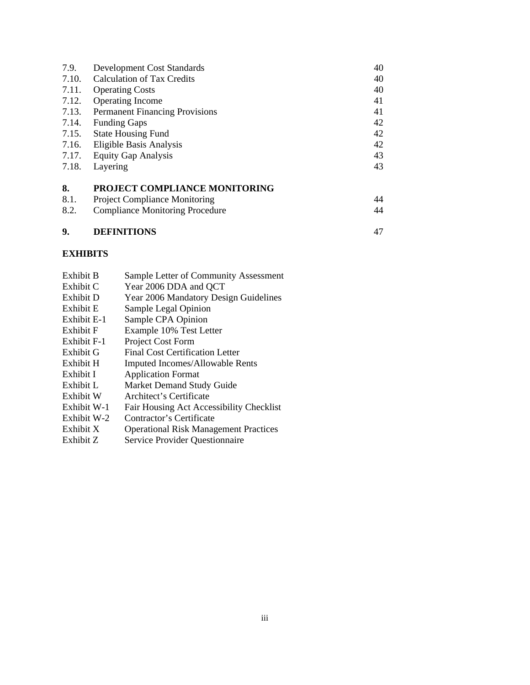| 7.9.  | <b>Development Cost Standards</b>      | 40 |
|-------|----------------------------------------|----|
| 7.10. | <b>Calculation of Tax Credits</b>      | 40 |
| 7.11. | <b>Operating Costs</b>                 | 40 |
| 7.12. | <b>Operating Income</b>                | 41 |
| 7.13. | <b>Permanent Financing Provisions</b>  | 41 |
| 7.14. | <b>Funding Gaps</b>                    | 42 |
| 7.15. | <b>State Housing Fund</b>              | 42 |
| 7.16. | Eligible Basis Analysis                | 42 |
| 7.17. | <b>Equity Gap Analysis</b>             | 43 |
| 7.18. | Layering                               | 43 |
| 8.    | PROJECT COMPLIANCE MONITORING          |    |
| 8.1.  | <b>Project Compliance Monitoring</b>   | 44 |
| 8.2.  | <b>Compliance Monitoring Procedure</b> | 44 |
| 9.    | <b>DEFINITIONS</b>                     | 47 |

## **EXHIBITS**

| Year 2006 Mandatory Design Guidelines<br>Exhibit D<br>Sample Legal Opinion<br>Exhibit E<br>Exhibit E-1<br>Exhibit F<br>Exhibit F-1<br>Exhibit G<br>Exhibit H<br>Exhibit I<br>Exhibit L<br>Exhibit W<br>Exhibit W-1<br>Exhibit W-2<br>Exhibit X | Sample CPA Opinion<br>Example 10% Test Letter<br>Project Cost Form<br>Final Cost Certification Letter<br>Imputed Incomes/Allowable Rents<br><b>Application Format</b><br>Market Demand Study Guide<br>Architect's Certificate<br>Fair Housing Act Accessibility Checklist<br>Contractor's Certificate<br><b>Operational Risk Management Practices</b> |
|------------------------------------------------------------------------------------------------------------------------------------------------------------------------------------------------------------------------------------------------|-------------------------------------------------------------------------------------------------------------------------------------------------------------------------------------------------------------------------------------------------------------------------------------------------------------------------------------------------------|
| Exhibit Z                                                                                                                                                                                                                                      | Service Provider Questionnaire                                                                                                                                                                                                                                                                                                                        |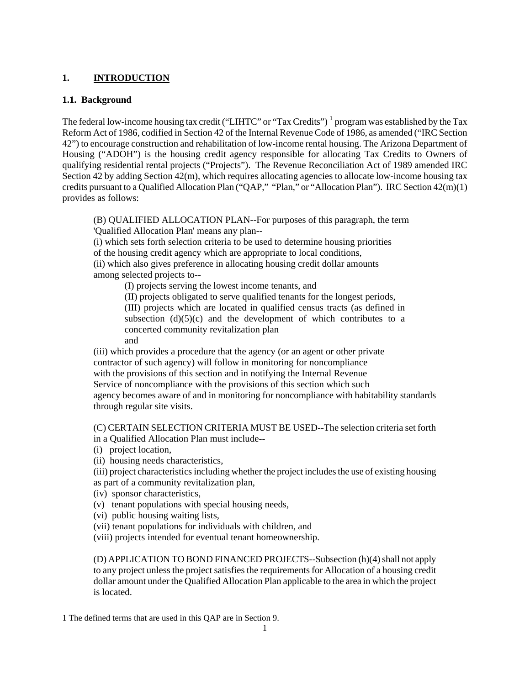## **1. INTRODUCTION**

## **1.1. Background**

The federal low-income housing tax credit ("LIHTC" or "Tax Credits")  $^1$  program was established by the Tax Reform Act of 1986, codified in Section 42 of the Internal Revenue Code of 1986, as amended ("IRC Section 42") to encourage construction and rehabilitation of low-income rental housing. The Arizona Department of Housing ("ADOH") is the housing credit agency responsible for allocating Tax Credits to Owners of qualifying residential rental projects ("Projects"). The Revenue Reconciliation Act of 1989 amended IRC Section 42 by adding Section 42(m), which requires allocating agencies to allocate low-income housing tax credits pursuant to a Qualified Allocation Plan ("QAP," "Plan," or "Allocation Plan"). IRC Section 42(m)(1) provides as follows:

(B) QUALIFIED ALLOCATION PLAN--For purposes of this paragraph, the term 'Qualified Allocation Plan' means any plan--

(i) which sets forth selection criteria to be used to determine housing priorities

of the housing credit agency which are appropriate to local conditions,

(ii) which also gives preference in allocating housing credit dollar amounts among selected projects to--

(I) projects serving the lowest income tenants, and

(II) projects obligated to serve qualified tenants for the longest periods,

(III) projects which are located in qualified census tracts (as defined in

subsection  $(d)(5)(c)$  and the development of which contributes to a concerted community revitalization plan

and

(iii) which provides a procedure that the agency (or an agent or other private contractor of such agency) will follow in monitoring for noncompliance with the provisions of this section and in notifying the Internal Revenue Service of noncompliance with the provisions of this section which such agency becomes aware of and in monitoring for noncompliance with habitability standards through regular site visits.

(C) CERTAIN SELECTION CRITERIA MUST BE USED--The selection criteria set forth in a Qualified Allocation Plan must include--

(i) project location,

 $\overline{a}$ 

(ii) housing needs characteristics,

(iii) project characteristics including whether the project includes the use of existing housing as part of a community revitalization plan,

(iv) sponsor characteristics,

(v) tenant populations with special housing needs,

(vi) public housing waiting lists,

(vii) tenant populations for individuals with children, and

(viii) projects intended for eventual tenant homeownership.

(D) APPLICATION TO BOND FINANCED PROJECTS--Subsection (h)(4) shall not apply to any project unless the project satisfies the requirements for Allocation of a housing credit dollar amount under the Qualified Allocation Plan applicable to the area in which the project is located.

<span id="page-3-0"></span><sup>1</sup> The defined terms that are used in this QAP are in Section 9.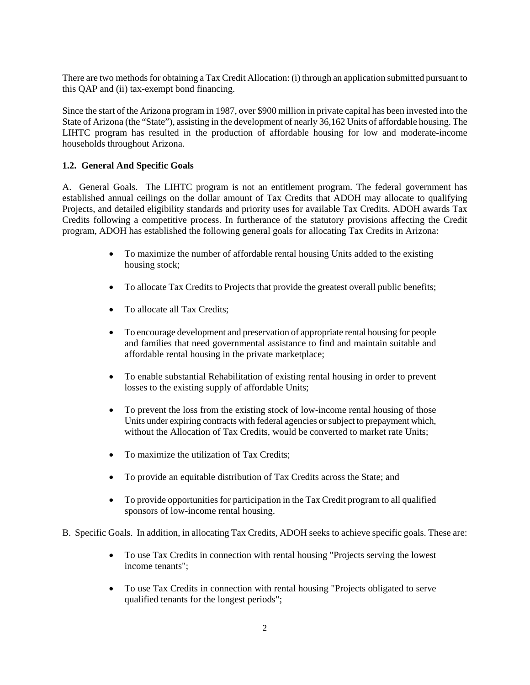There are two methods for obtaining a Tax Credit Allocation: (i) through an application submitted pursuant to this QAP and (ii) tax-exempt bond financing.

Since the start of the Arizona program in 1987, over \$900 million in private capital has been invested into the State of Arizona (the "State"), assisting in the development of nearly 36,162 Units of affordable housing. The LIHTC program has resulted in the production of affordable housing for low and moderate-income households throughout Arizona.

## **1.2. General And Specific Goals**

A. General Goals. The LIHTC program is not an entitlement program. The federal government has established annual ceilings on the dollar amount of Tax Credits that ADOH may allocate to qualifying Projects, and detailed eligibility standards and priority uses for available Tax Credits. ADOH awards Tax Credits following a competitive process. In furtherance of the statutory provisions affecting the Credit program, ADOH has established the following general goals for allocating Tax Credits in Arizona:

- To maximize the number of affordable rental housing Units added to the existing housing stock;
- To allocate Tax Credits to Projects that provide the greatest overall public benefits;
- To allocate all Tax Credits;
- To encourage development and preservation of appropriate rental housing for people and families that need governmental assistance to find and maintain suitable and affordable rental housing in the private marketplace;
- To enable substantial Rehabilitation of existing rental housing in order to prevent losses to the existing supply of affordable Units;
- To prevent the loss from the existing stock of low-income rental housing of those Units under expiring contracts with federal agencies or subject to prepayment which, without the Allocation of Tax Credits, would be converted to market rate Units;
- To maximize the utilization of Tax Credits;
- To provide an equitable distribution of Tax Credits across the State; and
- To provide opportunities for participation in the Tax Credit program to all qualified sponsors of low-income rental housing.
- B. Specific Goals. In addition, in allocating Tax Credits, ADOH seeks to achieve specific goals. These are:
	- To use Tax Credits in connection with rental housing "Projects serving the lowest income tenants";
	- To use Tax Credits in connection with rental housing "Projects obligated to serve qualified tenants for the longest periods";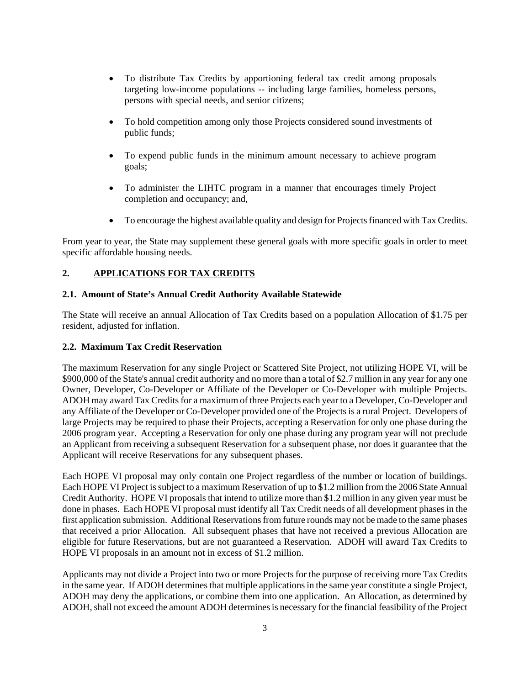- To distribute Tax Credits by apportioning federal tax credit among proposals targeting low-income populations -- including large families, homeless persons, persons with special needs, and senior citizens;
- To hold competition among only those Projects considered sound investments of public funds;
- To expend public funds in the minimum amount necessary to achieve program goals;
- To administer the LIHTC program in a manner that encourages timely Project completion and occupancy; and,
- To encourage the highest available quality and design for Projects financed with Tax Credits.

From year to year, the State may supplement these general goals with more specific goals in order to meet specific affordable housing needs.

## **2. APPLICATIONS FOR TAX CREDITS**

#### **2.1. Amount of State's Annual Credit Authority Available Statewide**

The State will receive an annual Allocation of Tax Credits based on a population Allocation of \$1.75 per resident, adjusted for inflation.

## **2.2. Maximum Tax Credit Reservation**

The maximum Reservation for any single Project or Scattered Site Project, not utilizing HOPE VI, will be \$900,000 of the State's annual credit authority and no more than a total of \$2.7 million in any year for any one Owner, Developer, Co-Developer or Affiliate of the Developer or Co-Developer with multiple Projects. ADOH may award Tax Credits for a maximum of three Projects each year to a Developer, Co-Developer and any Affiliate of the Developer or Co-Developer provided one of the Projects is a rural Project. Developers of large Projects may be required to phase their Projects, accepting a Reservation for only one phase during the 2006 program year. Accepting a Reservation for only one phase during any program year will not preclude an Applicant from receiving a subsequent Reservation for a subsequent phase, nor does it guarantee that the Applicant will receive Reservations for any subsequent phases.

Each HOPE VI proposal may only contain one Project regardless of the number or location of buildings. Each HOPE VI Project is subject to a maximum Reservation of up to \$1.2 million from the 2006 State Annual Credit Authority. HOPE VI proposals that intend to utilize more than \$1.2 million in any given year must be done in phases. Each HOPE VI proposal must identify all Tax Credit needs of all development phases in the first application submission. Additional Reservations from future rounds may not be made to the same phases that received a prior Allocation. All subsequent phases that have not received a previous Allocation are eligible for future Reservations, but are not guaranteed a Reservation. ADOH will award Tax Credits to HOPE VI proposals in an amount not in excess of \$1.2 million.

Applicants may not divide a Project into two or more Projects for the purpose of receiving more Tax Credits in the same year. If ADOH determines that multiple applications in the same year constitute a single Project, ADOH may deny the applications, or combine them into one application. An Allocation, as determined by ADOH, shall not exceed the amount ADOH determines is necessary for the financial feasibility of the Project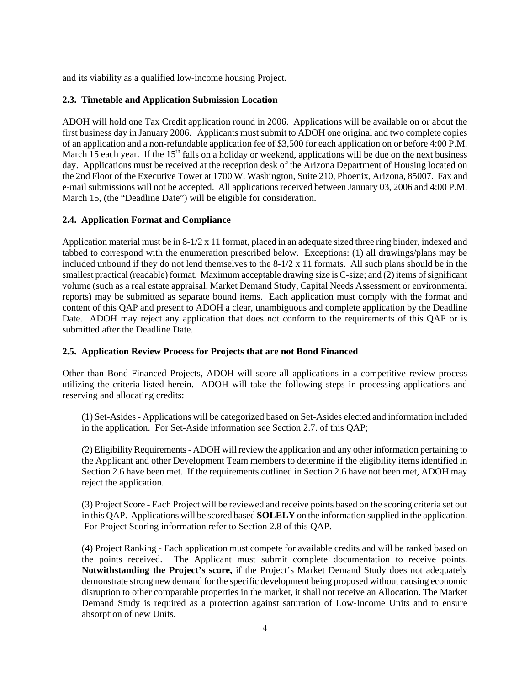and its viability as a qualified low-income housing Project.

## **2.3. Timetable and Application Submission Location**

ADOH will hold one Tax Credit application round in 2006. Applications will be available on or about the first business day in January 2006. Applicants must submit to ADOH one original and two complete copies of an application and a non-refundable application fee of \$3,500 for each application on or before 4:00 P.M. March 15 each year. If the  $15<sup>th</sup>$  falls on a holiday or weekend, applications will be due on the next business day. Applications must be received at the reception desk of the Arizona Department of Housing located on the 2nd Floor of the Executive Tower at 1700 W. Washington, Suite 210, Phoenix, Arizona, 85007. Fax and e-mail submissions will not be accepted. All applications received between January 03, 2006 and 4:00 P.M. March 15, (the "Deadline Date") will be eligible for consideration.

## **2.4. Application Format and Compliance**

Application material must be in 8-1/2 x 11 format, placed in an adequate sized three ring binder, indexed and tabbed to correspond with the enumeration prescribed below. Exceptions: (1) all drawings/plans may be included unbound if they do not lend themselves to the  $8-1/2 \times 11$  formats. All such plans should be in the smallest practical (readable) format. Maximum acceptable drawing size is C-size; and (2) items of significant volume (such as a real estate appraisal, Market Demand Study, Capital Needs Assessment or environmental reports) may be submitted as separate bound items. Each application must comply with the format and content of this QAP and present to ADOH a clear, unambiguous and complete application by the Deadline Date. ADOH may reject any application that does not conform to the requirements of this QAP or is submitted after the Deadline Date.

## **2.5. Application Review Process for Projects that are not Bond Financed**

Other than Bond Financed Projects, ADOH will score all applications in a competitive review process utilizing the criteria listed herein. ADOH will take the following steps in processing applications and reserving and allocating credits:

(1) Set-Asides - Applications will be categorized based on Set-Asides elected and information included in the application. For Set-Aside information see Section 2.7. of this QAP;

(2) Eligibility Requirements - ADOH will review the application and any other information pertaining to the Applicant and other Development Team members to determine if the eligibility items identified in Section 2.6 have been met. If the requirements outlined in Section 2.6 have not been met, ADOH may reject the application.

(3) Project Score - Each Project will be reviewed and receive points based on the scoring criteria set out in this QAP. Applications will be scored based **SOLELY** on the information supplied in the application. For Project Scoring information refer to Section 2.8 of this QAP.

(4) Project Ranking - Each application must compete for available credits and will be ranked based on the points received. The Applicant must submit complete documentation to receive points. **Notwithstanding the Project's score,** if the Project's Market Demand Study does not adequately demonstrate strong new demand for the specific development being proposed without causing economic disruption to other comparable properties in the market, it shall not receive an Allocation. The Market Demand Study is required as a protection against saturation of Low-Income Units and to ensure absorption of new Units.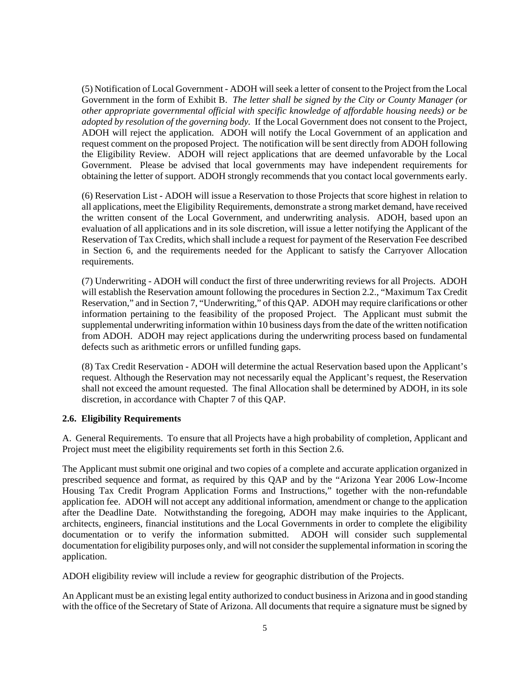(5) Notification of Local Government - ADOH will seek a letter of consent to the Project from the Local Government in the form of Exhibit B. *The letter shall be signed by the City or County Manager (or other appropriate governmental official with specific knowledge of affordable housing needs) or be adopted by resolution of the governing body.*If the Local Government does not consent to the Project, ADOH will reject the application. ADOH will notify the Local Government of an application and request comment on the proposed Project. The notification will be sent directly from ADOH following the Eligibility Review. ADOH will reject applications that are deemed unfavorable by the Local Government. Please be advised that local governments may have independent requirements for obtaining the letter of support. ADOH strongly recommends that you contact local governments early.

(6) Reservation List - ADOH will issue a Reservation to those Projects that score highest in relation to all applications, meet the Eligibility Requirements, demonstrate a strong market demand, have received the written consent of the Local Government, and underwriting analysis. ADOH, based upon an evaluation of all applications and in its sole discretion, will issue a letter notifying the Applicant of the Reservation of Tax Credits, which shall include a request for payment of the Reservation Fee described in Section 6, and the requirements needed for the Applicant to satisfy the Carryover Allocation requirements.

(7) Underwriting - ADOH will conduct the first of three underwriting reviews for all Projects. ADOH will establish the Reservation amount following the procedures in Section 2.2., "Maximum Tax Credit Reservation," and in Section 7, "Underwriting," of this QAP. ADOH may require clarifications or other information pertaining to the feasibility of the proposed Project. The Applicant must submit the supplemental underwriting information within 10 business days from the date of the written notification from ADOH. ADOH may reject applications during the underwriting process based on fundamental defects such as arithmetic errors or unfilled funding gaps.

(8) Tax Credit Reservation - ADOH will determine the actual Reservation based upon the Applicant's request. Although the Reservation may not necessarily equal the Applicant's request, the Reservation shall not exceed the amount requested. The final Allocation shall be determined by ADOH, in its sole discretion, in accordance with Chapter 7 of this QAP.

## **2.6. Eligibility Requirements**

A. General Requirements. To ensure that all Projects have a high probability of completion, Applicant and Project must meet the eligibility requirements set forth in this Section 2.6.

The Applicant must submit one original and two copies of a complete and accurate application organized in prescribed sequence and format, as required by this QAP and by the "Arizona Year 2006 Low-Income Housing Tax Credit Program Application Forms and Instructions," together with the non-refundable application fee. ADOH will not accept any additional information, amendment or change to the application after the Deadline Date. Notwithstanding the foregoing, ADOH may make inquiries to the Applicant, architects, engineers, financial institutions and the Local Governments in order to complete the eligibility documentation or to verify the information submitted. ADOH will consider such supplemental documentation for eligibility purposes only, and will not consider the supplemental information in scoring the application.

ADOH eligibility review will include a review for geographic distribution of the Projects.

An Applicant must be an existing legal entity authorized to conduct business in Arizona and in good standing with the office of the Secretary of State of Arizona. All documents that require a signature must be signed by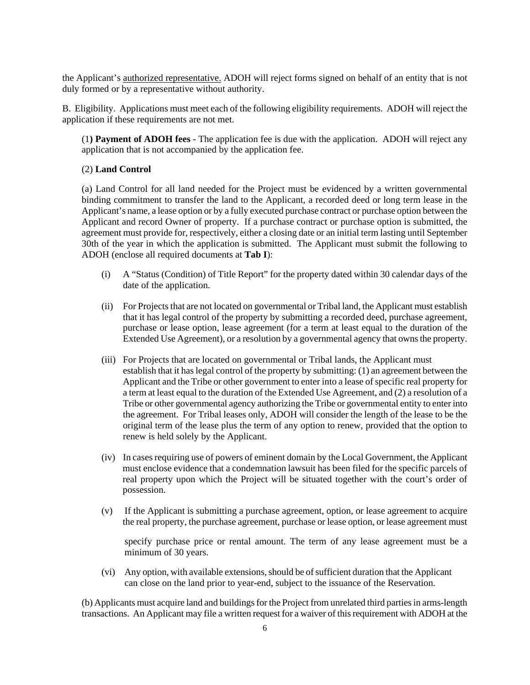the Applicant's authorized representative. ADOH will reject forms signed on behalf of an entity that is not duly formed or by a representative without authority.

B. Eligibility. Applications must meet each of the following eligibility requirements. ADOH will reject the application if these requirements are not met.

(1**) Payment of ADOH fees** - The application fee is due with the application. ADOH will reject any application that is not accompanied by the application fee.

#### (2) **Land Control**

(a) Land Control for all land needed for the Project must be evidenced by a written governmental binding commitment to transfer the land to the Applicant, a recorded deed or long term lease in the Applicant's name, a lease option or by a fully executed purchase contract or purchase option between the Applicant and record Owner of property. If a purchase contract or purchase option is submitted, the agreement must provide for, respectively, either a closing date or an initial term lasting until September 30th of the year in which the application is submitted. The Applicant must submit the following to ADOH (enclose all required documents at **Tab I**):

- (i) A "Status (Condition) of Title Report" for the property dated within 30 calendar days of the date of the application.
- (ii) For Projects that are not located on governmental or Tribal land, the Applicant must establish that it has legal control of the property by submitting a recorded deed, purchase agreement, purchase or lease option, lease agreement (for a term at least equal to the duration of the Extended Use Agreement), or a resolution by a governmental agency that owns the property.
- (iii) For Projects that are located on governmental or Tribal lands, the Applicant must establish that it has legal control of the property by submitting: (1) an agreement between the Applicant and the Tribe or other government to enter into a lease of specific real property for a term at least equal to the duration of the Extended Use Agreement, and (2) a resolution of a Tribe or other governmental agency authorizing the Tribe or governmental entity to enter into the agreement. For Tribal leases only, ADOH will consider the length of the lease to be the original term of the lease plus the term of any option to renew, provided that the option to renew is held solely by the Applicant.
- (iv) In cases requiring use of powers of eminent domain by the Local Government, the Applicant must enclose evidence that a condemnation lawsuit has been filed for the specific parcels of real property upon which the Project will be situated together with the court's order of possession.
- (v) If the Applicant is submitting a purchase agreement, option, or lease agreement to acquire the real property, the purchase agreement, purchase or lease option, or lease agreement must

specify purchase price or rental amount. The term of any lease agreement must be a minimum of 30 years.

(vi) Any option, with available extensions, should be of sufficient duration that the Applicant can close on the land prior to year-end, subject to the issuance of the Reservation.

(b) Applicants must acquire land and buildings for the Project from unrelated third parties in arms-length transactions. An Applicant may file a written request for a waiver of this requirement with ADOH at the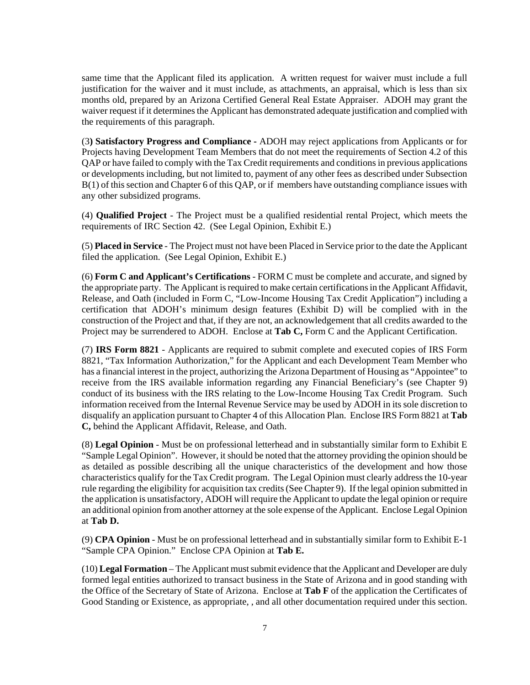same time that the Applicant filed its application. A written request for waiver must include a full justification for the waiver and it must include, as attachments, an appraisal, which is less than six months old, prepared by an Arizona Certified General Real Estate Appraiser. ADOH may grant the waiver request if it determines the Applicant has demonstrated adequate justification and complied with the requirements of this paragraph.

(3**) Satisfactory Progress and Compliance -** ADOH may reject applications from Applicants or for Projects having Development Team Members that do not meet the requirements of Section 4.2 of this QAP or have failed to comply with the Tax Credit requirements and conditions in previous applications or developments including, but not limited to, payment of any other fees as described under Subsection B(1) of this section and Chapter 6 of this QAP, or if members have outstanding compliance issues with any other subsidized programs.

(4) **Qualified Project** - The Project must be a qualified residential rental Project, which meets the requirements of IRC Section 42. (See Legal Opinion, Exhibit E.)

(5) **Placed in Service** - The Project must not have been Placed in Service prior to the date the Applicant filed the application. (See Legal Opinion, Exhibit E.)

(6) **Form C and Applicant's Certifications** - FORM C must be complete and accurate, and signed by the appropriate party. The Applicant is required to make certain certifications in the Applicant Affidavit, Release, and Oath (included in Form C, "Low-Income Housing Tax Credit Application") including a certification that ADOH's minimum design features (Exhibit D) will be complied with in the construction of the Project and that, if they are not, an acknowledgement that all credits awarded to the Project may be surrendered to ADOH. Enclose at **Tab C,** Form C and the Applicant Certification.

(7) **IRS Form 8821** - Applicants are required to submit complete and executed copies of IRS Form 8821, "Tax Information Authorization," for the Applicant and each Development Team Member who has a financial interest in the project, authorizing the Arizona Department of Housing as "Appointee" to receive from the IRS available information regarding any Financial Beneficiary's (see Chapter 9) conduct of its business with the IRS relating to the Low-Income Housing Tax Credit Program. Such information received from the Internal Revenue Service may be used by ADOH in its sole discretion to disqualify an application pursuant to Chapter 4 of this Allocation Plan. Enclose IRS Form 8821 at **Tab C,** behind the Applicant Affidavit, Release, and Oath.

(8) **Legal Opinion** - Must be on professional letterhead and in substantially similar form to Exhibit E "Sample Legal Opinion". However, it should be noted that the attorney providing the opinion should be as detailed as possible describing all the unique characteristics of the development and how those characteristics qualify for the Tax Credit program. The Legal Opinion must clearly address the 10-year rule regarding the eligibility for acquisition tax credits (See Chapter 9). If the legal opinion submitted in the application is unsatisfactory, ADOH will require the Applicant to update the legal opinion or require an additional opinion from another attorney at the sole expense of the Applicant. Enclose Legal Opinion at **Tab D.**

(9) **CPA Opinion** - Must be on professional letterhead and in substantially similar form to Exhibit E-1 "Sample CPA Opinion." Enclose CPA Opinion at **Tab E.**

(10) **Legal Formation** – The Applicant must submit evidence that the Applicant and Developer are duly formed legal entities authorized to transact business in the State of Arizona and in good standing with the Office of the Secretary of State of Arizona. Enclose at **Tab F** of the application the Certificates of Good Standing or Existence, as appropriate, , and all other documentation required under this section.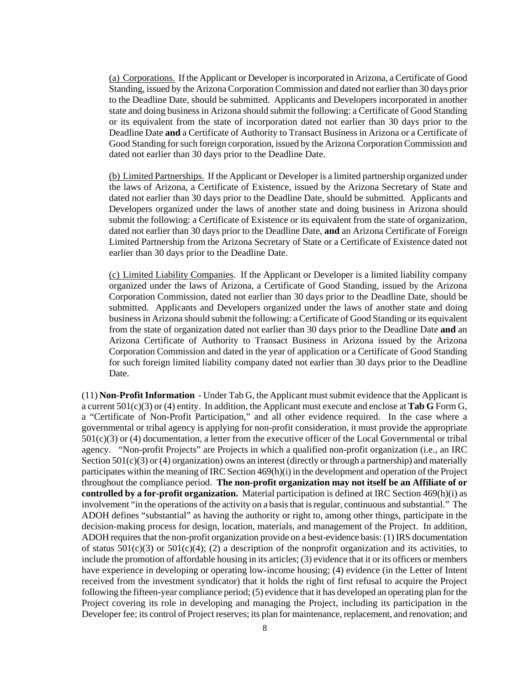(a) Corporations. If the Applicant or Developer is incorporated in Arizona, a Certificate of Good Standing, issued by the Arizona Corporation Commission and dated not earlier than 30 days prior to the Deadline Date, should be submitted. Applicants and Developers incorporated in another state and doing business in Arizona should submit the following: a Certificate of Good Standing or its equivalent from the state of incorporation dated not earlier than 30 days prior to the Deadline Date **and** a Certificate of Authority to Transact Business in Arizona or a Certificate of Good Standing for such foreign corporation, issued by the Arizona Corporation Commission and dated not earlier than 30 days prior to the Deadline Date.

(b) Limited Partnerships. If the Applicant or Developer is a limited partnership organized under the laws of Arizona, a Certificate of Existence, issued by the Arizona Secretary of State and dated not earlier than 30 days prior to the Deadline Date, should be submitted. Applicants and Developers organized under the laws of another state and doing business in Arizona should submit the following: a Certificate of Existence or its equivalent from the state of organization, dated not earlier than 30 days prior to the Deadline Date, **and** an Arizona Certificate of Foreign Limited Partnership from the Arizona Secretary of State or a Certificate of Existence dated not earlier than 30 days prior to the Deadline Date.

(c) Limited Liability Companies. If the Applicant or Developer is a limited liability company organized under the laws of Arizona, a Certificate of Good Standing, issued by the Arizona Corporation Commission, dated not earlier than 30 days prior to the Deadline Date, should be submitted. Applicants and Developers organized under the laws of another state and doing business in Arizona should submit the following: a Certificate of Good Standing or its equivalent from the state of organization dated not earlier than 30 days prior to the Deadline Date **and** an Arizona Certificate of Authority to Transact Business in Arizona issued by the Arizona Corporation Commission and dated in the year of application or a Certificate of Good Standing for such foreign limited liability company dated not earlier than 30 days prior to the Deadline Date.

(11) **Non-Profit Information** - Under Tab G, the Applicant must submit evidence that the Applicant is a current 501(c)(3) or (4) entity. In addition, the Applicant must execute and enclose at **Tab G** Form G, a "Certificate of Non-Profit Participation," and all other evidence required. In the case where a governmental or tribal agency is applying for non-profit consideration, it must provide the appropriate 501(c)(3) or (4) documentation, a letter from the executive officer of the Local Governmental or tribal agency. "Non-profit Projects" are Projects in which a qualified non-profit organization (i.e., an IRC Section  $501(c)(3)$  or (4) organization) owns an interest (directly or through a partnership) and materially participates within the meaning of IRC Section 469(h)(i) in the development and operation of the Project throughout the compliance period. **The non-profit organization may not itself be an Affiliate of or controlled by a for-profit organization.** Material participation is defined at IRC Section 469(h)(i) as involvement "in the operations of the activity on a basis that is regular, continuous and substantial." The ADOH defines "substantial" as having the authority or right to, among other things, participate in the decision-making process for design, location, materials, and management of the Project. In addition, ADOH requires that the non-profit organization provide on a best-evidence basis: (1) IRS documentation of status  $501(c)(3)$  or  $501(c)(4)$ ; (2) a description of the nonprofit organization and its activities, to include the promotion of affordable housing in its articles; (3) evidence that it or its officers or members have experience in developing or operating low-income housing; (4) evidence (in the Letter of Intent received from the investment syndicator) that it holds the right of first refusal to acquire the Project following the fifteen-year compliance period; (5) evidence that it has developed an operating plan for the Project covering its role in developing and managing the Project, including its participation in the Developer fee; its control of Project reserves; its plan for maintenance, replacement, and renovation; and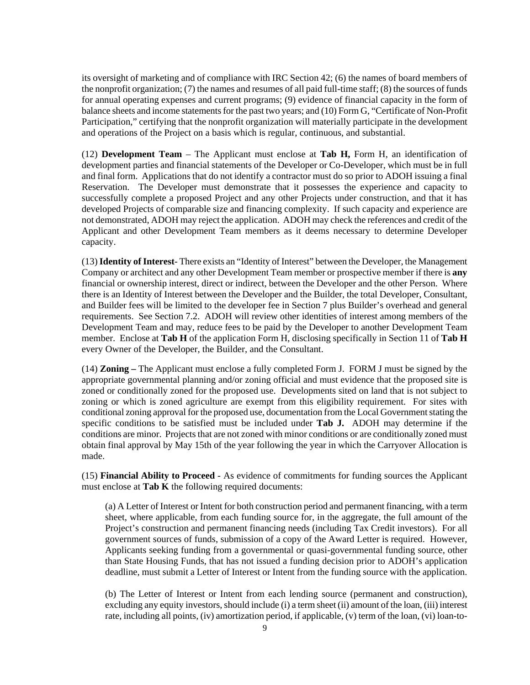its oversight of marketing and of compliance with IRC Section 42; (6) the names of board members of the nonprofit organization; (7) the names and resumes of all paid full-time staff; (8) the sources of funds for annual operating expenses and current programs; (9) evidence of financial capacity in the form of balance sheets and income statements for the past two years; and (10) Form G, "Certificate of Non-Profit Participation," certifying that the nonprofit organization will materially participate in the development and operations of the Project on a basis which is regular, continuous, and substantial.

(12) **Development Team** – The Applicant must enclose at **Tab H,** Form H, an identification of development parties and financial statements of the Developer or Co-Developer, which must be in full and final form. Applications that do not identify a contractor must do so prior to ADOH issuing a final Reservation. The Developer must demonstrate that it possesses the experience and capacity to successfully complete a proposed Project and any other Projects under construction, and that it has developed Projects of comparable size and financing complexity. If such capacity and experience are not demonstrated, ADOH may reject the application. ADOH may check the references and credit of the Applicant and other Development Team members as it deems necessary to determine Developer capacity.

(13) **Identity of Interest**- There exists an "Identity of Interest" between the Developer, the Management Company or architect and any other Development Team member or prospective member if there is **any** financial or ownership interest, direct or indirect, between the Developer and the other Person. Where there is an Identity of Interest between the Developer and the Builder, the total Developer, Consultant, and Builder fees will be limited to the developer fee in Section 7 plus Builder's overhead and general requirements. See Section 7.2. ADOH will review other identities of interest among members of the Development Team and may, reduce fees to be paid by the Developer to another Development Team member. Enclose at **Tab H** of the application Form H, disclosing specifically in Section 11 of **Tab H** every Owner of the Developer, the Builder, and the Consultant.

(14) **Zoning –** The Applicant must enclose a fully completed Form J. FORM J must be signed by the appropriate governmental planning and/or zoning official and must evidence that the proposed site is zoned or conditionally zoned for the proposed use. Developments sited on land that is not subject to zoning or which is zoned agriculture are exempt from this eligibility requirement. For sites with conditional zoning approval for the proposed use, documentation from the Local Government stating the specific conditions to be satisfied must be included under **Tab J.** ADOH may determine if the conditions are minor. Projects that are not zoned with minor conditions or are conditionally zoned must obtain final approval by May 15th of the year following the year in which the Carryover Allocation is made.

(15) **Financial Ability to Proceed** - As evidence of commitments for funding sources the Applicant must enclose at **Tab K** the following required documents:

(a) A Letter of Interest or Intent for both construction period and permanent financing, with a term sheet, where applicable, from each funding source for, in the aggregate, the full amount of the Project's construction and permanent financing needs (including Tax Credit investors). For all government sources of funds, submission of a copy of the Award Letter is required. However, Applicants seeking funding from a governmental or quasi-governmental funding source, other than State Housing Funds, that has not issued a funding decision prior to ADOH's application deadline, must submit a Letter of Interest or Intent from the funding source with the application.

(b) The Letter of Interest or Intent from each lending source (permanent and construction), excluding any equity investors, should include (i) a term sheet (ii) amount of the loan, (iii) interest rate, including all points, (iv) amortization period, if applicable, (v) term of the loan, (vi) loan-to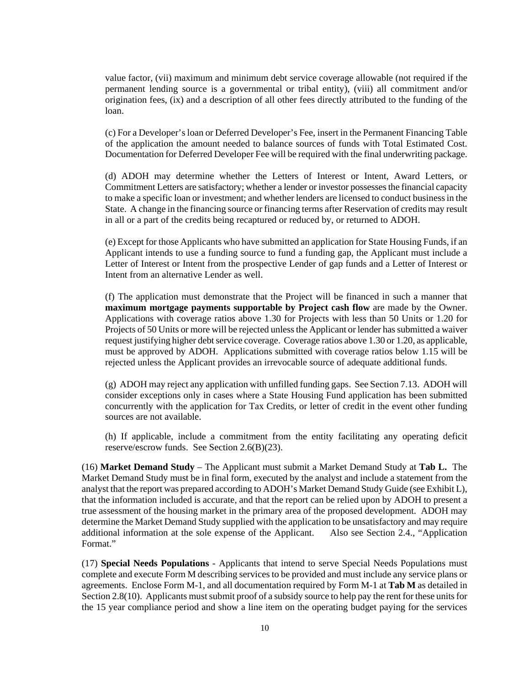value factor, (vii) maximum and minimum debt service coverage allowable (not required if the permanent lending source is a governmental or tribal entity), (viii) all commitment and/or origination fees, (ix) and a description of all other fees directly attributed to the funding of the loan.

(c) For a Developer's loan or Deferred Developer's Fee, insert in the Permanent Financing Table of the application the amount needed to balance sources of funds with Total Estimated Cost. Documentation for Deferred Developer Fee will be required with the final underwriting package.

(d) ADOH may determine whether the Letters of Interest or Intent, Award Letters, or Commitment Letters are satisfactory; whether a lender or investor possesses the financial capacity to make a specific loan or investment; and whether lenders are licensed to conduct business in the State. A change in the financing source or financing terms after Reservation of credits may result in all or a part of the credits being recaptured or reduced by, or returned to ADOH.

(e) Except for those Applicants who have submitted an application for State Housing Funds, if an Applicant intends to use a funding source to fund a funding gap, the Applicant must include a Letter of Interest or Intent from the prospective Lender of gap funds and a Letter of Interest or Intent from an alternative Lender as well.

(f) The application must demonstrate that the Project will be financed in such a manner that **maximum mortgage payments supportable by Project cash flow** are made by the Owner. Applications with coverage ratios above 1.30 for Projects with less than 50 Units or 1.20 for Projects of 50 Units or more will be rejected unless the Applicant or lender has submitted a waiver request justifying higher debt service coverage. Coverage ratios above 1.30 or 1.20, as applicable, must be approved by ADOH. Applications submitted with coverage ratios below 1.15 will be rejected unless the Applicant provides an irrevocable source of adequate additional funds.

(g) ADOH may reject any application with unfilled funding gaps. See Section 7.13. ADOH will consider exceptions only in cases where a State Housing Fund application has been submitted concurrently with the application for Tax Credits, or letter of credit in the event other funding sources are not available.

(h) If applicable, include a commitment from the entity facilitating any operating deficit reserve/escrow funds. See Section 2.6(B)(23).

(16) **Market Demand Study** – The Applicant must submit a Market Demand Study at **Tab L.** The Market Demand Study must be in final form, executed by the analyst and include a statement from the analyst that the report was prepared according to ADOH's Market Demand Study Guide (see Exhibit L), that the information included is accurate, and that the report can be relied upon by ADOH to present a true assessment of the housing market in the primary area of the proposed development. ADOH may determine the Market Demand Study supplied with the application to be unsatisfactory and may require additional information at the sole expense of the Applicant. Also see Section 2.4., "Application Format."

(17) **Special Needs Populations** - Applicants that intend to serve Special Needs Populations must complete and execute Form M describing services to be provided and must include any service plans or agreements. Enclose Form M-1, and all documentation required by Form M-1 at **Tab M** as detailed in Section 2.8(10). Applicants must submit proof of a subsidy source to help pay the rent for these units for the 15 year compliance period and show a line item on the operating budget paying for the services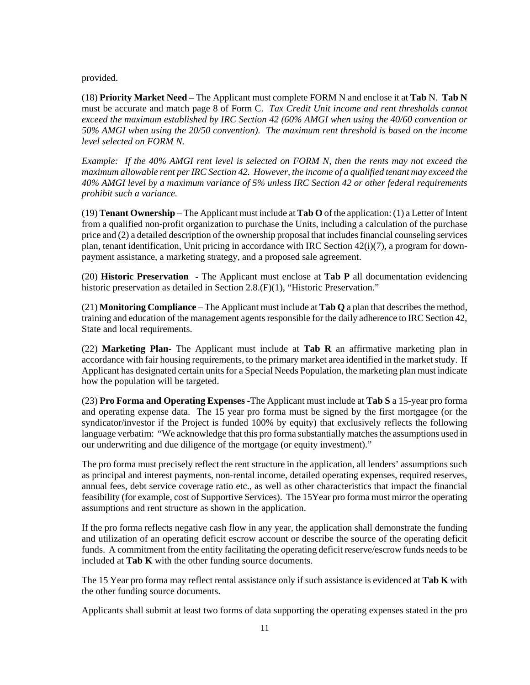provided.

(18) **Priority Market Need** – The Applicant must complete FORM N and enclose it at **Tab** N. **Tab N** must be accurate and match page 8 of Form C. *Tax Credit Unit income and rent thresholds cannot exceed the maximum established by IRC Section 42 (60% AMGI when using the 40/60 convention or 50% AMGI when using the 20/50 convention). The maximum rent threshold is based on the income level selected on FORM N.* 

*Example: If the 40% AMGI rent level is selected on FORM N, then the rents may not exceed the maximum allowable rent per IRC Section 42. However, the income of a qualified tenant may exceed the 40% AMGI level by a maximum variance of 5% unless IRC Section 42 or other federal requirements prohibit such a variance.*

(19) **Tenant Ownership** – The Applicant must include at **Tab O** of the application: (1) a Letter of Intent from a qualified non-profit organization to purchase the Units, including a calculation of the purchase price and (2) a detailed description of the ownership proposal that includes financial counseling services plan, tenant identification, Unit pricing in accordance with IRC Section 42(i)(7), a program for downpayment assistance, a marketing strategy, and a proposed sale agreement.

(20) **Historic Preservation -** The Applicant must enclose at **Tab P** all documentation evidencing historic preservation as detailed in Section 2.8.(F)(1), "Historic Preservation."

(21) **Monitoring Compliance** – The Applicant must include at **Tab Q** a plan that describes the method, training and education of the management agents responsible for the daily adherence to IRC Section 42, State and local requirements.

(22) **Marketing Plan**- The Applicant must include at **Tab R** an affirmative marketing plan in accordance with fair housing requirements, to the primary market area identified in the market study. If Applicant has designated certain units for a Special Needs Population, the marketing plan must indicate how the population will be targeted.

(23) **Pro Forma and Operating Expenses -**The Applicant must include at **Tab S** a 15-year pro forma and operating expense data. The 15 year pro forma must be signed by the first mortgagee (or the syndicator/investor if the Project is funded 100% by equity) that exclusively reflects the following language verbatim: "We acknowledge that this pro forma substantially matches the assumptions used in our underwriting and due diligence of the mortgage (or equity investment)."

The pro forma must precisely reflect the rent structure in the application, all lenders' assumptions such as principal and interest payments, non-rental income, detailed operating expenses, required reserves, annual fees, debt service coverage ratio etc., as well as other characteristics that impact the financial feasibility (for example, cost of Supportive Services). The 15Year pro forma must mirror the operating assumptions and rent structure as shown in the application.

If the pro forma reflects negative cash flow in any year, the application shall demonstrate the funding and utilization of an operating deficit escrow account or describe the source of the operating deficit funds. A commitment from the entity facilitating the operating deficit reserve/escrow funds needs to be included at **Tab K** with the other funding source documents.

The 15 Year pro forma may reflect rental assistance only if such assistance is evidenced at **Tab K** with the other funding source documents.

Applicants shall submit at least two forms of data supporting the operating expenses stated in the pro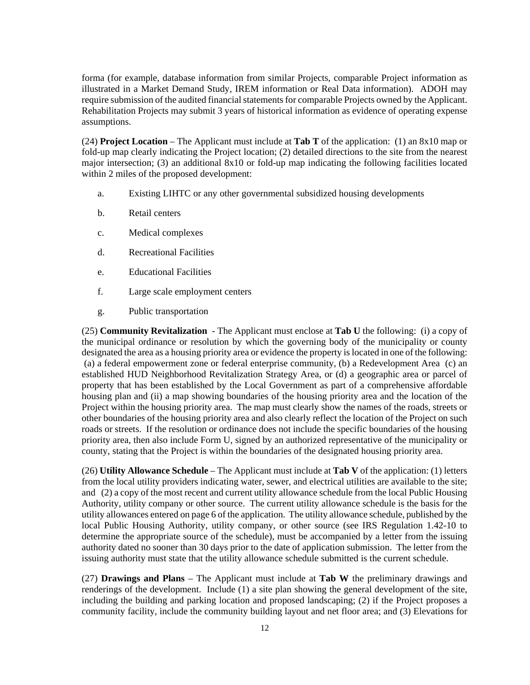forma (for example, database information from similar Projects, comparable Project information as illustrated in a Market Demand Study, IREM information or Real Data information). ADOH may require submission of the audited financial statements for comparable Projects owned by the Applicant. Rehabilitation Projects may submit 3 years of historical information as evidence of operating expense assumptions.

(24) **Project Location** – The Applicant must include at **Tab T** of the application: (1) an 8x10 map or fold-up map clearly indicating the Project location; (2) detailed directions to the site from the nearest major intersection; (3) an additional 8x10 or fold-up map indicating the following facilities located within 2 miles of the proposed development:

- a. Existing LIHTC or any other governmental subsidized housing developments
- b. Retail centers
- c. Medical complexes
- d. Recreational Facilities
- e. Educational Facilities
- f. Large scale employment centers
- g. Public transportation

(25) **Community Revitalization** - The Applicant must enclose at **Tab U** the following: (i) a copy of the municipal ordinance or resolution by which the governing body of the municipality or county designated the area as a housing priority area or evidence the property is located in one of the following: (a) a federal empowerment zone or federal enterprise community, (b) a Redevelopment Area (c) an established HUD Neighborhood Revitalization Strategy Area, or (d) a geographic area or parcel of property that has been established by the Local Government as part of a comprehensive affordable housing plan and (ii) a map showing boundaries of the housing priority area and the location of the Project within the housing priority area. The map must clearly show the names of the roads, streets or other boundaries of the housing priority area and also clearly reflect the location of the Project on such roads or streets. If the resolution or ordinance does not include the specific boundaries of the housing priority area, then also include Form U, signed by an authorized representative of the municipality or county, stating that the Project is within the boundaries of the designated housing priority area.

(26) **Utility Allowance Schedule** – The Applicant must include at **Tab V** of the application: (1) letters from the local utility providers indicating water, sewer, and electrical utilities are available to the site; and (2) a copy of the most recent and current utility allowance schedule from the local Public Housing Authority, utility company or other source. The current utility allowance schedule is the basis for the utility allowances entered on page 6 of the application. The utility allowance schedule, published by the local Public Housing Authority, utility company, or other source (see IRS Regulation 1.42-10 to determine the appropriate source of the schedule), must be accompanied by a letter from the issuing authority dated no sooner than 30 days prior to the date of application submission. The letter from the issuing authority must state that the utility allowance schedule submitted is the current schedule.

(27) **Drawings and Plans** – The Applicant must include at **Tab W** the preliminary drawings and renderings of the development. Include (1) a site plan showing the general development of the site, including the building and parking location and proposed landscaping; (2) if the Project proposes a community facility, include the community building layout and net floor area; and (3) Elevations for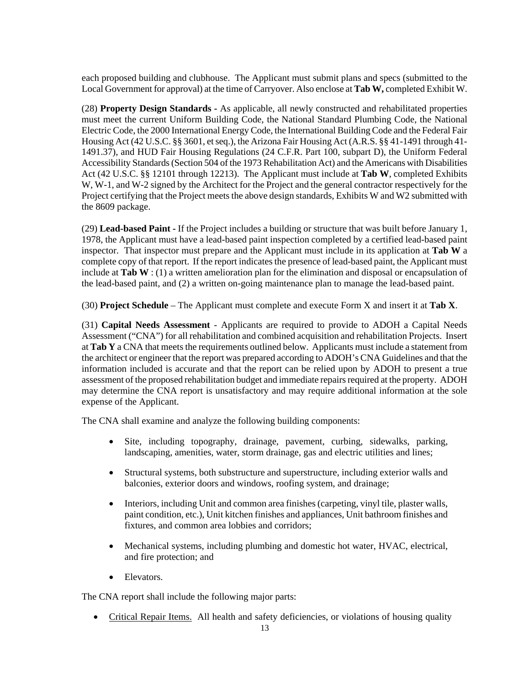each proposed building and clubhouse. The Applicant must submit plans and specs (submitted to the Local Government for approval) at the time of Carryover. Also enclose at **Tab W,** completed Exhibit W.

(28) **Property Design Standards -** As applicable, all newly constructed and rehabilitated properties must meet the current Uniform Building Code, the National Standard Plumbing Code, the National Electric Code, the 2000 International Energy Code, the International Building Code and the Federal Fair Housing Act (42 U.S.C. §§ 3601, et seq.), the Arizona Fair Housing Act (A.R.S. §§ 41-1491 through 41- 1491.37), and HUD Fair Housing Regulations (24 C.F.R. Part 100, subpart D), the Uniform Federal Accessibility Standards (Section 504 of the 1973 Rehabilitation Act) and the Americans with Disabilities Act (42 U.S.C. §§ 12101 through 12213). The Applicant must include at **Tab W**, completed Exhibits W, W-1, and W-2 signed by the Architect for the Project and the general contractor respectively for the Project certifying that the Project meets the above design standards, Exhibits W and W2 submitted with the 8609 package.

(29) **Lead-based Paint -** If the Project includes a building or structure that was built before January 1, 1978, the Applicant must have a lead-based paint inspection completed by a certified lead-based paint inspector. That inspector must prepare and the Applicant must include in its application at **Tab W** a complete copy of that report. If the report indicates the presence of lead-based paint, the Applicant must include at **Tab W** : (1) a written amelioration plan for the elimination and disposal or encapsulation of the lead-based paint, and (2) a written on-going maintenance plan to manage the lead-based paint.

(30) **Project Schedule** – The Applicant must complete and execute Form X and insert it at **Tab X**.

(31) **Capital Needs Assessment** - Applicants are required to provide to ADOH a Capital Needs Assessment ("CNA") for all rehabilitation and combined acquisition and rehabilitation Projects. Insert at **Tab Y** a CNA that meets the requirements outlined below. Applicants must include a statement from the architect or engineer that the report was prepared according to ADOH's CNA Guidelines and that the information included is accurate and that the report can be relied upon by ADOH to present a true assessment of the proposed rehabilitation budget and immediate repairs required at the property. ADOH may determine the CNA report is unsatisfactory and may require additional information at the sole expense of the Applicant.

The CNA shall examine and analyze the following building components:

- Site, including topography, drainage, pavement, curbing, sidewalks, parking, landscaping, amenities, water, storm drainage, gas and electric utilities and lines;
- Structural systems, both substructure and superstructure, including exterior walls and balconies, exterior doors and windows, roofing system, and drainage;
- Interiors, including Unit and common area finishes (carpeting, vinyl tile, plaster walls, paint condition, etc.), Unit kitchen finishes and appliances, Unit bathroom finishes and fixtures, and common area lobbies and corridors;
- Mechanical systems, including plumbing and domestic hot water, HVAC, electrical, and fire protection; and
- Elevators.

The CNA report shall include the following major parts:

• Critical Repair Items. All health and safety deficiencies, or violations of housing quality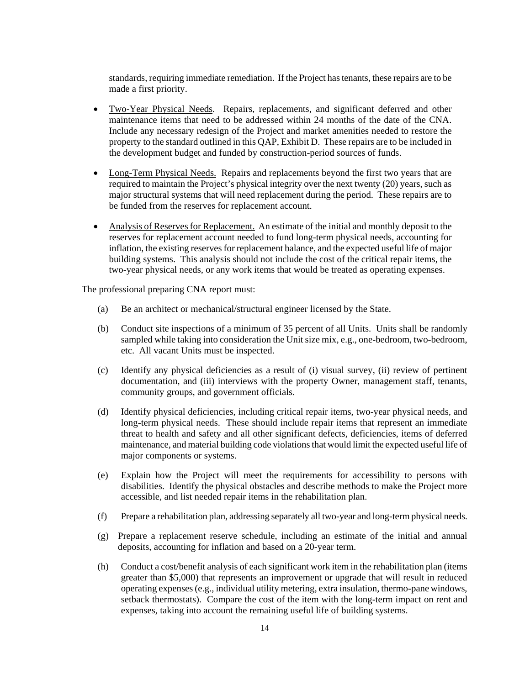standards, requiring immediate remediation. If the Project has tenants, these repairs are to be made a first priority.

- Two-Year Physical Needs. Repairs, replacements, and significant deferred and other maintenance items that need to be addressed within 24 months of the date of the CNA. Include any necessary redesign of the Project and market amenities needed to restore the property to the standard outlined in this QAP, Exhibit D. These repairs are to be included in the development budget and funded by construction-period sources of funds.
- Long-Term Physical Needs. Repairs and replacements beyond the first two years that are required to maintain the Project's physical integrity over the next twenty (20) years, such as major structural systems that will need replacement during the period. These repairs are to be funded from the reserves for replacement account.
- Analysis of Reserves for Replacement. An estimate of the initial and monthly deposit to the reserves for replacement account needed to fund long-term physical needs, accounting for inflation, the existing reserves for replacement balance, and the expected useful life of major building systems. This analysis should not include the cost of the critical repair items, the two-year physical needs, or any work items that would be treated as operating expenses.

The professional preparing CNA report must:

- (a) Be an architect or mechanical/structural engineer licensed by the State.
- (b) Conduct site inspections of a minimum of 35 percent of all Units. Units shall be randomly sampled while taking into consideration the Unit size mix, e.g., one-bedroom, two-bedroom, etc. All vacant Units must be inspected.
- (c) Identify any physical deficiencies as a result of (i) visual survey, (ii) review of pertinent documentation, and (iii) interviews with the property Owner, management staff, tenants, community groups, and government officials.
- (d) Identify physical deficiencies, including critical repair items, two-year physical needs, and long-term physical needs. These should include repair items that represent an immediate threat to health and safety and all other significant defects, deficiencies, items of deferred maintenance, and material building code violations that would limit the expected useful life of major components or systems.
- (e) Explain how the Project will meet the requirements for accessibility to persons with disabilities. Identify the physical obstacles and describe methods to make the Project more accessible, and list needed repair items in the rehabilitation plan.
- (f) Prepare a rehabilitation plan, addressing separately all two-year and long-term physical needs.
- (g) Prepare a replacement reserve schedule, including an estimate of the initial and annual deposits, accounting for inflation and based on a 20-year term.
- (h) Conduct a cost/benefit analysis of each significant work item in the rehabilitation plan (items greater than \$5,000) that represents an improvement or upgrade that will result in reduced operating expenses (e.g., individual utility metering, extra insulation, thermo-pane windows, setback thermostats). Compare the cost of the item with the long-term impact on rent and expenses, taking into account the remaining useful life of building systems.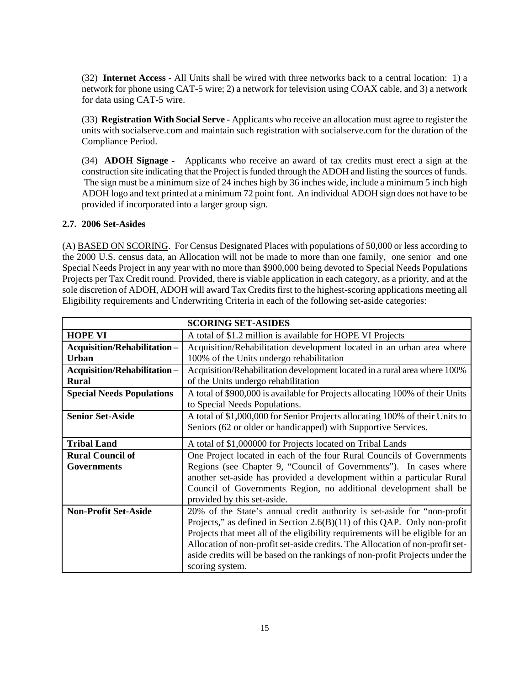(32) **Internet Access** - All Units shall be wired with three networks back to a central location: 1) a network for phone using CAT-5 wire; 2) a network for television using COAX cable, and 3) a network for data using CAT-5 wire.

(33) **Registration With Social Serve** - Applicants who receive an allocation must agree to register the units with socialserve.com and maintain such registration with socialserve.com for the duration of the Compliance Period.

(34) **ADOH Signage -** Applicants who receive an award of tax credits must erect a sign at the construction site indicating that the Project is funded through the ADOH and listing the sources of funds. The sign must be a minimum size of 24 inches high by 36 inches wide, include a minimum 5 inch high ADOH logo and text printed at a minimum 72 point font. An individual ADOH sign does not have to be provided if incorporated into a larger group sign.

## **2.7. 2006 Set-Asides**

(A) BASED ON SCORING. For Census Designated Places with populations of 50,000 or less according to the 2000 U.S. census data, an Allocation will not be made to more than one family, one senior and one Special Needs Project in any year with no more than \$900,000 being devoted to Special Needs Populations Projects per Tax Credit round. Provided, there is viable application in each category, as a priority, and at the sole discretion of ADOH, ADOH will award Tax Credits first to the highest-scoring applications meeting all Eligibility requirements and Underwriting Criteria in each of the following set-aside categories:

| <b>SCORING SET-ASIDES</b>          |                                                                                |  |
|------------------------------------|--------------------------------------------------------------------------------|--|
| <b>HOPE VI</b>                     | A total of \$1.2 million is available for HOPE VI Projects                     |  |
| <b>Acquisition/Rehabilitation-</b> | Acquisition/Rehabilitation development located in an urban area where          |  |
| <b>Urban</b>                       | 100% of the Units undergo rehabilitation                                       |  |
| <b>Acquisition/Rehabilitation-</b> | Acquisition/Rehabilitation development located in a rural area where 100%      |  |
| <b>Rural</b>                       | of the Units undergo rehabilitation                                            |  |
| <b>Special Needs Populations</b>   | A total of \$900,000 is available for Projects allocating 100% of their Units  |  |
|                                    | to Special Needs Populations.                                                  |  |
| <b>Senior Set-Aside</b>            | A total of \$1,000,000 for Senior Projects allocating 100% of their Units to   |  |
|                                    | Seniors (62 or older or handicapped) with Supportive Services.                 |  |
| <b>Tribal Land</b>                 | A total of \$1,000000 for Projects located on Tribal Lands                     |  |
| <b>Rural Council of</b>            | One Project located in each of the four Rural Councils of Governments          |  |
| Governments                        | Regions (see Chapter 9, "Council of Governments"). In cases where              |  |
|                                    | another set-aside has provided a development within a particular Rural         |  |
|                                    | Council of Governments Region, no additional development shall be              |  |
|                                    | provided by this set-aside.                                                    |  |
| <b>Non-Profit Set-Aside</b>        | 20% of the State's annual credit authority is set-aside for "non-profit"       |  |
|                                    | Projects," as defined in Section $2.6(B)(11)$ of this QAP. Only non-profit     |  |
|                                    | Projects that meet all of the eligibility requirements will be eligible for an |  |
|                                    | Allocation of non-profit set-aside credits. The Allocation of non-profit set-  |  |
|                                    | aside credits will be based on the rankings of non-profit Projects under the   |  |
|                                    | scoring system.                                                                |  |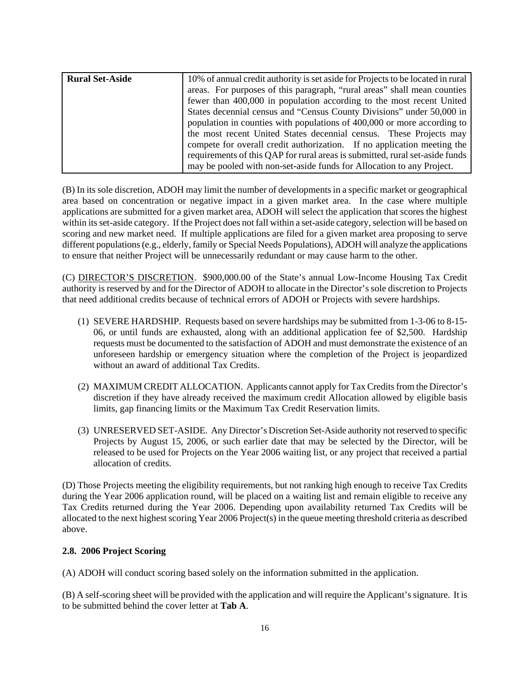| <b>Rural Set-Aside</b> | 10% of annual credit authority is set aside for Projects to be located in rural |
|------------------------|---------------------------------------------------------------------------------|
|                        | areas. For purposes of this paragraph, "rural areas" shall mean counties        |
|                        | fewer than 400,000 in population according to the most recent United            |
|                        | States decennial census and "Census County Divisions" under 50,000 in           |
|                        | population in counties with populations of 400,000 or more according to         |
|                        | the most recent United States decennial census. These Projects may              |
|                        | compete for overall credit authorization. If no application meeting the         |
|                        | requirements of this QAP for rural areas is submitted, rural set-aside funds    |
|                        | may be pooled with non-set-aside funds for Allocation to any Project.           |

(B) In its sole discretion, ADOH may limit the number of developments in a specific market or geographical area based on concentration or negative impact in a given market area. In the case where multiple applications are submitted for a given market area, ADOH will select the application that scores the highest within its set-aside category. If the Project does not fall within a set-aside category, selection will be based on scoring and new market need. If multiple applications are filed for a given market area proposing to serve different populations (e.g., elderly, family or Special Needs Populations), ADOH will analyze the applications to ensure that neither Project will be unnecessarily redundant or may cause harm to the other.

(C) DIRECTOR'S DISCRETION. \$900,000.00 of the State's annual Low-Income Housing Tax Credit authority is reserved by and for the Director of ADOH to allocate in the Director's sole discretion to Projects that need additional credits because of technical errors of ADOH or Projects with severe hardships.

- (1) SEVERE HARDSHIP. Requests based on severe hardships may be submitted from 1-3-06 to 8-15- 06, or until funds are exhausted, along with an additional application fee of \$2,500. Hardship requests must be documented to the satisfaction of ADOH and must demonstrate the existence of an unforeseen hardship or emergency situation where the completion of the Project is jeopardized without an award of additional Tax Credits.
- (2) MAXIMUM CREDIT ALLOCATION. Applicants cannot apply for Tax Credits from the Director's discretion if they have already received the maximum credit Allocation allowed by eligible basis limits, gap financing limits or the Maximum Tax Credit Reservation limits.
- (3) UNRESERVED SET-ASIDE. Any Director's Discretion Set-Aside authority not reserved to specific Projects by August 15, 2006, or such earlier date that may be selected by the Director, will be released to be used for Projects on the Year 2006 waiting list, or any project that received a partial allocation of credits.

(D) Those Projects meeting the eligibility requirements, but not ranking high enough to receive Tax Credits during the Year 2006 application round, will be placed on a waiting list and remain eligible to receive any Tax Credits returned during the Year 2006. Depending upon availability returned Tax Credits will be allocated to the next highest scoring Year 2006 Project(s) in the queue meeting threshold criteria as described above.

## **2.8. 2006 Project Scoring**

(A) ADOH will conduct scoring based solely on the information submitted in the application.

(B) A self-scoring sheet will be provided with the application and will require the Applicant's signature. It is to be submitted behind the cover letter at **Tab A**.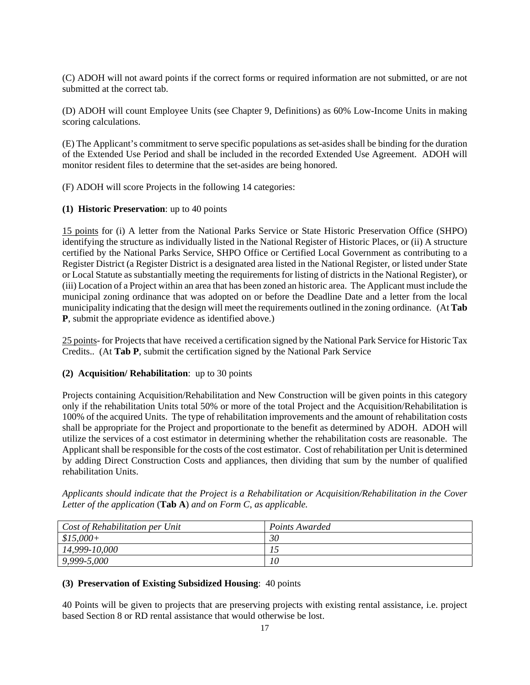(C) ADOH will not award points if the correct forms or required information are not submitted, or are not submitted at the correct tab.

(D) ADOH will count Employee Units (see Chapter 9, Definitions) as 60% Low-Income Units in making scoring calculations.

(E) The Applicant's commitment to serve specific populations as set-asides shall be binding for the duration of the Extended Use Period and shall be included in the recorded Extended Use Agreement. ADOH will monitor resident files to determine that the set-asides are being honored.

(F) ADOH will score Projects in the following 14 categories:

#### **(1) Historic Preservation**: up to 40 points

15 points for (i) A letter from the National Parks Service or State Historic Preservation Office (SHPO) identifying the structure as individually listed in the National Register of Historic Places, or (ii) A structure certified by the National Parks Service, SHPO Office or Certified Local Government as contributing to a Register District (a Register District is a designated area listed in the National Register, or listed under State or Local Statute as substantially meeting the requirements for listing of districts in the National Register), or (iii) Location of a Project within an area that has been zoned an historic area. The Applicant must include the municipal zoning ordinance that was adopted on or before the Deadline Date and a letter from the local municipality indicating that the design will meet the requirements outlined in the zoning ordinance. (At **Tab P**, submit the appropriate evidence as identified above.)

25 points- for Projects that have received a certification signed by the National Park Service for Historic Tax Credits.. (At **Tab P**, submit the certification signed by the National Park Service

## **(2) Acquisition/ Rehabilitation**: up to 30 points

Projects containing Acquisition/Rehabilitation and New Construction will be given points in this category only if the rehabilitation Units total 50% or more of the total Project and the Acquisition/Rehabilitation is 100% of the acquired Units. The type of rehabilitation improvements and the amount of rehabilitation costs shall be appropriate for the Project and proportionate to the benefit as determined by ADOH. ADOH will utilize the services of a cost estimator in determining whether the rehabilitation costs are reasonable. The Applicant shall be responsible for the costs of the cost estimator. Cost of rehabilitation per Unit is determined by adding Direct Construction Costs and appliances, then dividing that sum by the number of qualified rehabilitation Units.

*Applicants should indicate that the Project is a Rehabilitation or Acquisition/Rehabilitation in the Cover Letter of the application* (**Tab A**) *and on Form C, as applicable.* 

| Cost of Rehabilitation per Unit | Points Awarded |
|---------------------------------|----------------|
| $$15,000+$                      | 30             |
| 14,999-10,000                   |                |
| 9,999-5,000                     | 10             |

#### **(3) Preservation of Existing Subsidized Housing**: 40 points

40 Points will be given to projects that are preserving projects with existing rental assistance, i.e. project based Section 8 or RD rental assistance that would otherwise be lost.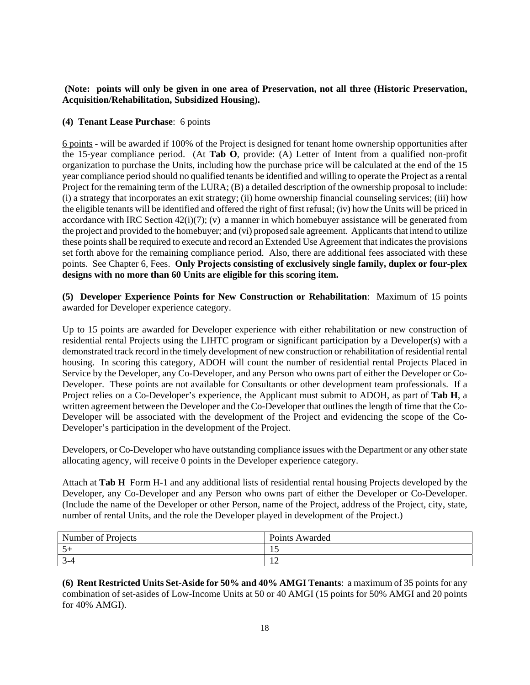## **(Note: points will only be given in one area of Preservation, not all three (Historic Preservation, Acquisition/Rehabilitation, Subsidized Housing).**

## **(4) Tenant Lease Purchase**: 6 points

6 points - will be awarded if 100% of the Project is designed for tenant home ownership opportunities after the 15-year compliance period. (At **Tab O**, provide: (A) Letter of Intent from a qualified non-profit organization to purchase the Units, including how the purchase price will be calculated at the end of the 15 year compliance period should no qualified tenants be identified and willing to operate the Project as a rental Project for the remaining term of the LURA; (B) a detailed description of the ownership proposal to include: (i) a strategy that incorporates an exit strategy; (ii) home ownership financial counseling services; (iii) how the eligible tenants will be identified and offered the right of first refusal; (iv) how the Units will be priced in accordance with IRC Section 42(i)(7); (v) a manner in which homebuyer assistance will be generated from the project and provided to the homebuyer; and (vi) proposed sale agreement. Applicants that intend to utilize these points shall be required to execute and record an Extended Use Agreement that indicates the provisions set forth above for the remaining compliance period. Also, there are additional fees associated with these points. See Chapter 6, Fees. **Only Projects consisting of exclusively single family, duplex or four-plex designs with no more than 60 Units are eligible for this scoring item.** 

**(5) Developer Experience Points for New Construction or Rehabilitation**: Maximum of 15 points awarded for Developer experience category.

Up to 15 points are awarded for Developer experience with either rehabilitation or new construction of residential rental Projects using the LIHTC program or significant participation by a Developer(s) with a demonstrated track record in the timely development of new construction or rehabilitation of residential rental housing. In scoring this category, ADOH will count the number of residential rental Projects Placed in Service by the Developer, any Co-Developer, and any Person who owns part of either the Developer or Co-Developer. These points are not available for Consultants or other development team professionals. If a Project relies on a Co-Developer's experience, the Applicant must submit to ADOH, as part of **Tab H**, a written agreement between the Developer and the Co-Developer that outlines the length of time that the Co-Developer will be associated with the development of the Project and evidencing the scope of the Co-Developer's participation in the development of the Project.

Developers, or Co-Developer who have outstanding compliance issues with the Department or any other state allocating agency, will receive 0 points in the Developer experience category.

Attach at **Tab H** Form H-1 and any additional lists of residential rental housing Projects developed by the Developer, any Co-Developer and any Person who owns part of either the Developer or Co-Developer. (Include the name of the Developer or other Person, name of the Project, address of the Project, city, state, number of rental Units, and the role the Developer played in development of the Project.)

| Number of Projects | Points.<br>Awarded \ |
|--------------------|----------------------|
| $5+$               | . .                  |
| , –                | <b>I</b>             |

**(6) Rent Restricted Units Set-Aside for 50% and 40% AMGI Tenants**: a maximum of 35 points for any combination of set-asides of Low-Income Units at 50 or 40 AMGI (15 points for 50% AMGI and 20 points for 40% AMGI).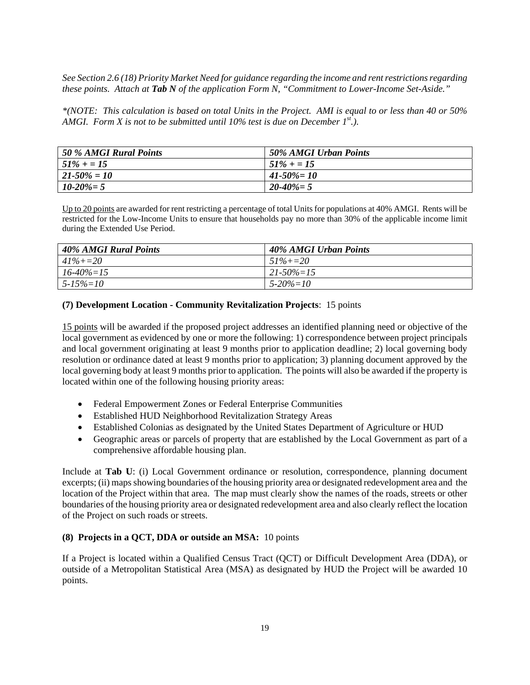*See Section 2.6 (18) Priority Market Need for guidance regarding the income and rent restrictions regarding these points. Attach at Tab N of the application Form N, "Commitment to Lower-Income Set-Aside."* 

*\*(NOTE: This calculation is based on total Units in the Project. AMI is equal to or less than 40 or 50% AMGI. Form X is not to be submitted until 10% test is due on December*  $I^{st}$ *.).* 

| 50 % AMGI Rural Points | 50% AMGI Urban Points |
|------------------------|-----------------------|
| $51\% + 15$            | $51\% + 15$           |
| 21-50% = 10            | $41 - 50\% = 10$      |
| $10 - 20\% = 5$        | $20 - 40\% = 5$       |

Up to 20 points are awarded for rent restricting a percentage of total Units for populations at 40% AMGI. Rents will be restricted for the Low-Income Units to ensure that households pay no more than 30% of the applicable income limit during the Extended Use Period.

| 40% AMGI Rural Points | 40% AMGI Urban Points |
|-----------------------|-----------------------|
| $41\% + 20$           | $51\% + 20$           |
| $16 - 40\% = 15$      | $21 - 50\% = 15$      |
| $5 - 15\% = 10$       | $5 - 20\% = 10$       |

## **(7) Development Location - Community Revitalization Projects**: 15 points

15 points will be awarded if the proposed project addresses an identified planning need or objective of the local government as evidenced by one or more the following: 1) correspondence between project principals and local government originating at least 9 months prior to application deadline; 2) local governing body resolution or ordinance dated at least 9 months prior to application; 3) planning document approved by the local governing body at least 9 months prior to application. The points will also be awarded if the property is located within one of the following housing priority areas:

- Federal Empowerment Zones or Federal Enterprise Communities
- Established HUD Neighborhood Revitalization Strategy Areas
- Established Colonias as designated by the United States Department of Agriculture or HUD
- Geographic areas or parcels of property that are established by the Local Government as part of a comprehensive affordable housing plan.

Include at **Tab U**: (i) Local Government ordinance or resolution, correspondence, planning document excerpts; (ii) maps showing boundaries of the housing priority area or designated redevelopment area and the location of the Project within that area. The map must clearly show the names of the roads, streets or other boundaries of the housing priority area or designated redevelopment area and also clearly reflect the location of the Project on such roads or streets.

#### **(8) Projects in a QCT, DDA or outside an MSA:** 10 points

If a Project is located within a Qualified Census Tract (QCT) or Difficult Development Area (DDA), or outside of a Metropolitan Statistical Area (MSA) as designated by HUD the Project will be awarded 10 points.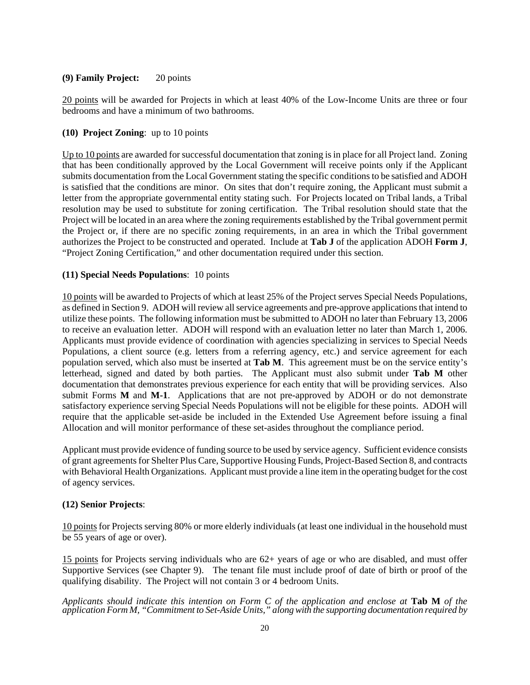#### **(9) Family Project:** 20 points

20 points will be awarded for Projects in which at least 40% of the Low-Income Units are three or four bedrooms and have a minimum of two bathrooms.

#### **(10) Project Zoning**: up to 10 points

Up to 10 points are awarded for successful documentation that zoning is in place for all Project land. Zoning that has been conditionally approved by the Local Government will receive points only if the Applicant submits documentation from the Local Government stating the specific conditions to be satisfied and ADOH is satisfied that the conditions are minor. On sites that don't require zoning, the Applicant must submit a letter from the appropriate governmental entity stating such. For Projects located on Tribal lands, a Tribal resolution may be used to substitute for zoning certification. The Tribal resolution should state that the Project will be located in an area where the zoning requirements established by the Tribal government permit the Project or, if there are no specific zoning requirements, in an area in which the Tribal government authorizes the Project to be constructed and operated. Include at **Tab J** of the application ADOH **Form J**, "Project Zoning Certification," and other documentation required under this section.

#### **(11) Special Needs Populations**: 10 points

10 points will be awarded to Projects of which at least 25% of the Project serves Special Needs Populations, as defined in Section 9. ADOH will review all service agreements and pre-approve applications that intend to utilize these points. The following information must be submitted to ADOH no later than February 13, 2006 to receive an evaluation letter. ADOH will respond with an evaluation letter no later than March 1, 2006. Applicants must provide evidence of coordination with agencies specializing in services to Special Needs Populations, a client source (e.g. letters from a referring agency, etc.) and service agreement for each population served, which also must be inserted at **Tab M**. This agreement must be on the service entity's letterhead, signed and dated by both parties. The Applicant must also submit under **Tab M** other documentation that demonstrates previous experience for each entity that will be providing services. Also submit Forms **M** and **M-1**. Applications that are not pre-approved by ADOH or do not demonstrate satisfactory experience serving Special Needs Populations will not be eligible for these points. ADOH will require that the applicable set-aside be included in the Extended Use Agreement before issuing a final Allocation and will monitor performance of these set-asides throughout the compliance period.

Applicant must provide evidence of funding source to be used by service agency. Sufficient evidence consists of grant agreements for Shelter Plus Care, Supportive Housing Funds, Project-Based Section 8, and contracts with Behavioral Health Organizations. Applicant must provide a line item in the operating budget for the cost of agency services.

#### **(12) Senior Projects**:

10 points for Projects serving 80% or more elderly individuals (at least one individual in the household must be 55 years of age or over).

15 points for Projects serving individuals who are 62+ years of age or who are disabled, and must offer Supportive Services (see Chapter 9). The tenant file must include proof of date of birth or proof of the qualifying disability. The Project will not contain 3 or 4 bedroom Units.

#### *Applicants should indicate this intention on Form C of the application and enclose at* **Tab M** *of the application Form M, "Commitment to Set-Aside Units," along with the supporting documentation required by*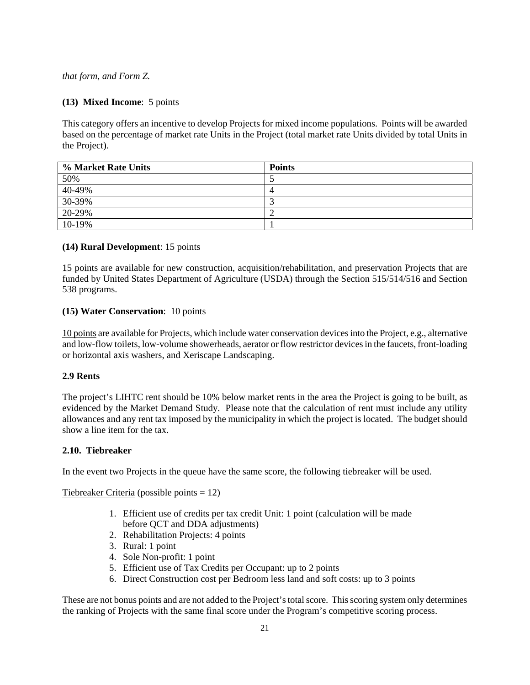*that form, and Form Z.* 

#### **(13) Mixed Income**: 5 points

This category offers an incentive to develop Projects for mixed income populations. Points will be awarded based on the percentage of market rate Units in the Project (total market rate Units divided by total Units in the Project).

| % Market Rate Units       | <b>Points</b> |
|---------------------------|---------------|
| 50%                       |               |
|                           |               |
| $\frac{40-49\%}{30-39\%}$ |               |
| 20-29%                    |               |
| 10-19%                    |               |

#### **(14) Rural Development**: 15 points

15 points are available for new construction, acquisition/rehabilitation, and preservation Projects that are funded by United States Department of Agriculture (USDA) through the Section 515/514/516 and Section 538 programs.

#### **(15) Water Conservation**: 10 points

10 points are available for Projects, which include water conservation devices into the Project, e.g., alternative and low-flow toilets, low-volume showerheads, aerator or flow restrictor devices in the faucets, front-loading or horizontal axis washers, and Xeriscape Landscaping.

#### **2.9 Rents**

The project's LIHTC rent should be 10% below market rents in the area the Project is going to be built, as evidenced by the Market Demand Study. Please note that the calculation of rent must include any utility allowances and any rent tax imposed by the municipality in which the project is located. The budget should show a line item for the tax.

#### **2.10. Tiebreaker**

In the event two Projects in the queue have the same score, the following tiebreaker will be used.

Tiebreaker Criteria (possible points = 12)

- 1. Efficient use of credits per tax credit Unit: 1 point (calculation will be made before QCT and DDA adjustments)
- 2. Rehabilitation Projects: 4 points
- 3. Rural: 1 point
- 4. Sole Non-profit: 1 point
- 5. Efficient use of Tax Credits per Occupant: up to 2 points
- 6. Direct Construction cost per Bedroom less land and soft costs: up to 3 points

These are not bonus points and are not added to the Project's total score. This scoring system only determines the ranking of Projects with the same final score under the Program's competitive scoring process.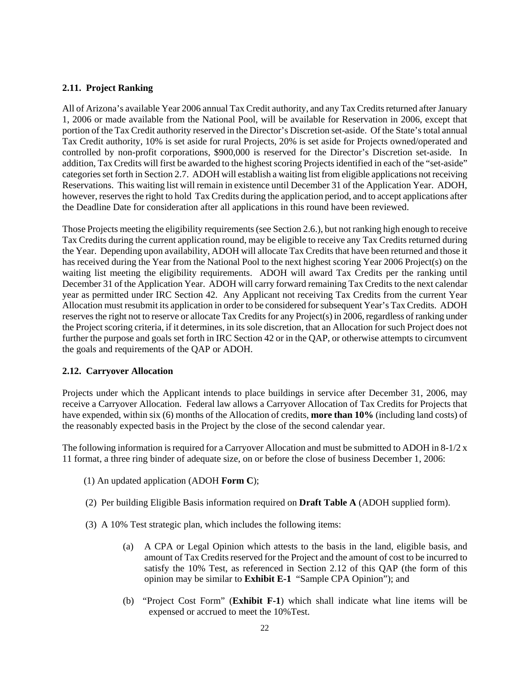## **2.11. Project Ranking**

All of Arizona's available Year 2006 annual Tax Credit authority, and any Tax Credits returned after January 1, 2006 or made available from the National Pool, will be available for Reservation in 2006, except that portion of the Tax Credit authority reserved in the Director's Discretion set-aside. Of the State's total annual Tax Credit authority, 10% is set aside for rural Projects, 20% is set aside for Projects owned/operated and controlled by non-profit corporations, \$900,000 is reserved for the Director's Discretion set-aside. In addition, Tax Credits will first be awarded to the highest scoring Projects identified in each of the "set-aside" categories set forth in Section 2.7. ADOH will establish a waiting list from eligible applications not receiving Reservations. This waiting list will remain in existence until December 31 of the Application Year. ADOH, however, reserves the right to hold Tax Credits during the application period, and to accept applications after the Deadline Date for consideration after all applications in this round have been reviewed.

Those Projects meeting the eligibility requirements (see Section 2.6.), but not ranking high enough to receive Tax Credits during the current application round, may be eligible to receive any Tax Credits returned during the Year. Depending upon availability, ADOH will allocate Tax Credits that have been returned and those it has received during the Year from the National Pool to the next highest scoring Year 2006 Project(s) on the waiting list meeting the eligibility requirements. ADOH will award Tax Credits per the ranking until December 31 of the Application Year. ADOH will carry forward remaining Tax Credits to the next calendar year as permitted under IRC Section 42. Any Applicant not receiving Tax Credits from the current Year Allocation must resubmit its application in order to be considered for subsequent Year's Tax Credits. ADOH reserves the right not to reserve or allocate Tax Credits for any Project(s) in 2006, regardless of ranking under the Project scoring criteria, if it determines, in its sole discretion, that an Allocation for such Project does not further the purpose and goals set forth in IRC Section 42 or in the QAP, or otherwise attempts to circumvent the goals and requirements of the QAP or ADOH.

## **2.12. Carryover Allocation**

Projects under which the Applicant intends to place buildings in service after December 31, 2006, may receive a Carryover Allocation. Federal law allows a Carryover Allocation of Tax Credits for Projects that have expended, within six (6) months of the Allocation of credits, **more than 10%** (including land costs) of the reasonably expected basis in the Project by the close of the second calendar year.

The following information is required for a Carryover Allocation and must be submitted to ADOH in  $8-1/2 \times$ 11 format, a three ring binder of adequate size, on or before the close of business December 1, 2006:

- (1) An updated application (ADOH **Form C**);
- (2) Per building Eligible Basis information required on **Draft Table A** (ADOH supplied form).
- (3) A 10% Test strategic plan, which includes the following items:
	- (a) A CPA or Legal Opinion which attests to the basis in the land, eligible basis, and amount of Tax Credits reserved for the Project and the amount of cost to be incurred to satisfy the 10% Test, as referenced in Section 2.12 of this QAP (the form of this opinion may be similar to **Exhibit E-1** "Sample CPA Opinion"); and
	- (b) "Project Cost Form" (**Exhibit F-1**) which shall indicate what line items will be expensed or accrued to meet the 10%Test.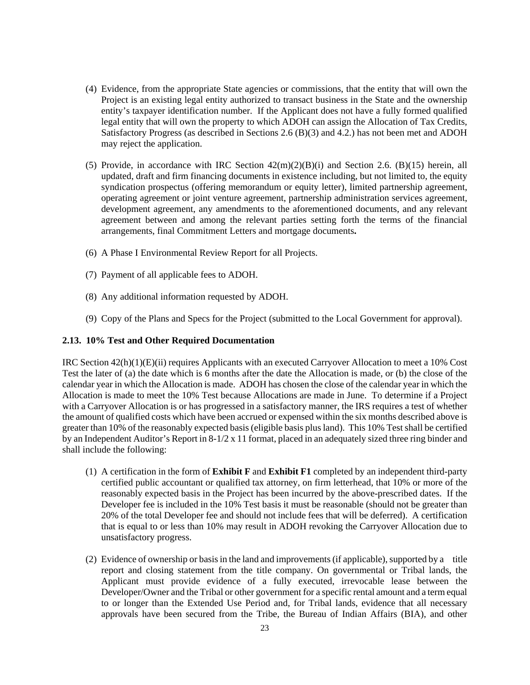- (4) Evidence, from the appropriate State agencies or commissions, that the entity that will own the Project is an existing legal entity authorized to transact business in the State and the ownership entity's taxpayer identification number. If the Applicant does not have a fully formed qualified legal entity that will own the property to which ADOH can assign the Allocation of Tax Credits, Satisfactory Progress (as described in Sections 2.6 (B)(3) and 4.2.) has not been met and ADOH may reject the application.
- (5) Provide, in accordance with IRC Section  $42(m)(2)(B)(i)$  and Section 2.6. (B)(15) herein, all updated, draft and firm financing documents in existence including, but not limited to, the equity syndication prospectus (offering memorandum or equity letter), limited partnership agreement, operating agreement or joint venture agreement, partnership administration services agreement, development agreement, any amendments to the aforementioned documents, and any relevant agreement between and among the relevant parties setting forth the terms of the financial arrangements, final Commitment Letters and mortgage documents**.**
- (6) A Phase I Environmental Review Report for all Projects.
- (7) Payment of all applicable fees to ADOH.
- (8) Any additional information requested by ADOH.
- (9) Copy of the Plans and Specs for the Project (submitted to the Local Government for approval).

#### **2.13. 10% Test and Other Required Documentation**

IRC Section 42(h)(1)(E)(ii) requires Applicants with an executed Carryover Allocation to meet a 10% Cost Test the later of (a) the date which is 6 months after the date the Allocation is made, or (b) the close of the calendar year in which the Allocation is made. ADOH has chosen the close of the calendar year in which the Allocation is made to meet the 10% Test because Allocations are made in June. To determine if a Project with a Carryover Allocation is or has progressed in a satisfactory manner, the IRS requires a test of whether the amount of qualified costs which have been accrued or expensed within the six months described above is greater than 10% of the reasonably expected basis (eligible basis plus land). This 10% Test shall be certified by an Independent Auditor's Report in 8-1/2 x 11 format, placed in an adequately sized three ring binder and shall include the following:

- (1) A certification in the form of **Exhibit F** and **Exhibit F1** completed by an independent third-party certified public accountant or qualified tax attorney, on firm letterhead, that 10% or more of the reasonably expected basis in the Project has been incurred by the above-prescribed dates. If the Developer fee is included in the 10% Test basis it must be reasonable (should not be greater than 20% of the total Developer fee and should not include fees that will be deferred). A certification that is equal to or less than 10% may result in ADOH revoking the Carryover Allocation due to unsatisfactory progress.
- (2) Evidence of ownership or basis in the land and improvements (if applicable), supported by a title report and closing statement from the title company. On governmental or Tribal lands, the Applicant must provide evidence of a fully executed, irrevocable lease between the Developer/Owner and the Tribal or other government for a specific rental amount and a term equal to or longer than the Extended Use Period and, for Tribal lands, evidence that all necessary approvals have been secured from the Tribe, the Bureau of Indian Affairs (BIA), and other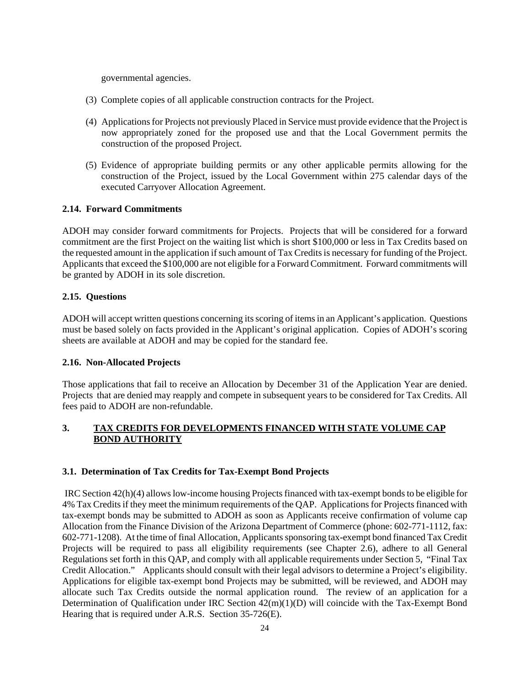governmental agencies.

- (3) Complete copies of all applicable construction contracts for the Project.
- (4) Applications for Projects not previously Placed in Service must provide evidence that the Project is now appropriately zoned for the proposed use and that the Local Government permits the construction of the proposed Project.
- (5) Evidence of appropriate building permits or any other applicable permits allowing for the construction of the Project, issued by the Local Government within 275 calendar days of the executed Carryover Allocation Agreement.

## **2.14. Forward Commitments**

ADOH may consider forward commitments for Projects. Projects that will be considered for a forward commitment are the first Project on the waiting list which is short \$100,000 or less in Tax Credits based on the requested amount in the application if such amount of Tax Credits is necessary for funding of the Project. Applicants that exceed the \$100,000 are not eligible for a Forward Commitment. Forward commitments will be granted by ADOH in its sole discretion.

## **2.15. Questions**

ADOH will accept written questions concerning its scoring of items in an Applicant's application. Questions must be based solely on facts provided in the Applicant's original application. Copies of ADOH's scoring sheets are available at ADOH and may be copied for the standard fee.

## **2.16. Non-Allocated Projects**

Those applications that fail to receive an Allocation by December 31 of the Application Year are denied. Projects that are denied may reapply and compete in subsequent years to be considered for Tax Credits. All fees paid to ADOH are non-refundable.

## **3. TAX CREDITS FOR DEVELOPMENTS FINANCED WITH STATE VOLUME CAP BOND AUTHORITY**

## **3.1. Determination of Tax Credits for Tax-Exempt Bond Projects**

 IRC Section 42(h)(4) allows low-income housing Projects financed with tax-exempt bonds to be eligible for 4% Tax Credits if they meet the minimum requirements of the QAP. Applications for Projects financed with tax-exempt bonds may be submitted to ADOH as soon as Applicants receive confirmation of volume cap Allocation from the Finance Division of the Arizona Department of Commerce (phone: 602-771-1112, fax: 602-771-1208). At the time of final Allocation, Applicants sponsoring tax-exempt bond financed Tax Credit Projects will be required to pass all eligibility requirements (see Chapter 2.6), adhere to all General Regulations set forth in this QAP, and comply with all applicable requirements under Section 5, "Final Tax Credit Allocation." Applicants should consult with their legal advisors to determine a Project's eligibility. Applications for eligible tax-exempt bond Projects may be submitted, will be reviewed, and ADOH may allocate such Tax Credits outside the normal application round. The review of an application for a Determination of Qualification under IRC Section 42(m)(1)(D) will coincide with the Tax-Exempt Bond Hearing that is required under A.R.S. Section 35-726(E).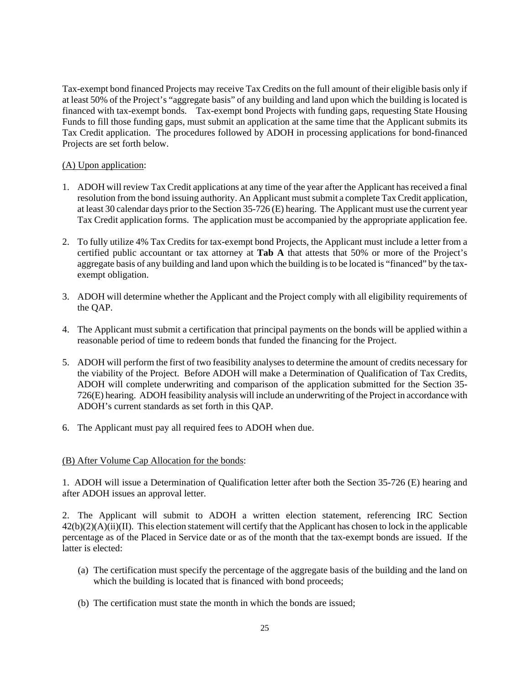Tax-exempt bond financed Projects may receive Tax Credits on the full amount of their eligible basis only if at least 50% of the Project's "aggregate basis" of any building and land upon which the building is located is financed with tax-exempt bonds. Tax-exempt bond Projects with funding gaps, requesting State Housing Funds to fill those funding gaps, must submit an application at the same time that the Applicant submits its Tax Credit application. The procedures followed by ADOH in processing applications for bond-financed Projects are set forth below.

## (A) Upon application:

- 1. ADOH will review Tax Credit applications at any time of the year after the Applicant has received a final resolution from the bond issuing authority. An Applicant must submit a complete Tax Credit application, at least 30 calendar days prior to the Section 35-726 (E) hearing. The Applicant must use the current year Tax Credit application forms. The application must be accompanied by the appropriate application fee.
- 2. To fully utilize 4% Tax Credits for tax-exempt bond Projects, the Applicant must include a letter from a certified public accountant or tax attorney at **Tab A** that attests that 50% or more of the Project's aggregate basis of any building and land upon which the building is to be located is "financed" by the taxexempt obligation.
- 3. ADOH will determine whether the Applicant and the Project comply with all eligibility requirements of the QAP.
- 4. The Applicant must submit a certification that principal payments on the bonds will be applied within a reasonable period of time to redeem bonds that funded the financing for the Project.
- 5. ADOH will perform the first of two feasibility analyses to determine the amount of credits necessary for the viability of the Project. Before ADOH will make a Determination of Qualification of Tax Credits, ADOH will complete underwriting and comparison of the application submitted for the Section 35- 726(E) hearing. ADOH feasibility analysis will include an underwriting of the Project in accordance with ADOH's current standards as set forth in this QAP.
- 6. The Applicant must pay all required fees to ADOH when due.

## (B) After Volume Cap Allocation for the bonds:

1. ADOH will issue a Determination of Qualification letter after both the Section 35-726 (E) hearing and after ADOH issues an approval letter.

2. The Applicant will submit to ADOH a written election statement, referencing IRC Section  $42(b)(2)(A)(ii)(II)$ . This election statement will certify that the Applicant has chosen to lock in the applicable percentage as of the Placed in Service date or as of the month that the tax-exempt bonds are issued. If the latter is elected:

- (a) The certification must specify the percentage of the aggregate basis of the building and the land on which the building is located that is financed with bond proceeds;
- (b) The certification must state the month in which the bonds are issued;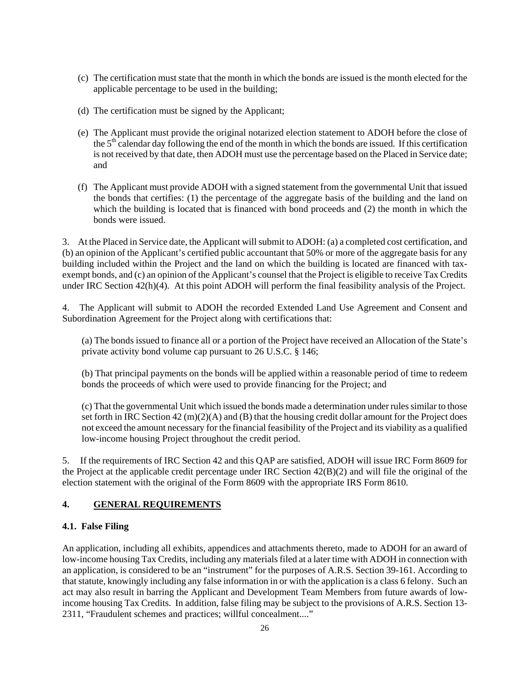- (c) The certification must state that the month in which the bonds are issued is the month elected for the applicable percentage to be used in the building;
- (d) The certification must be signed by the Applicant;
- (e) The Applicant must provide the original notarized election statement to ADOH before the close of the 5<sup>th</sup> calendar day following the end of the month in which the bonds are issued. If this certification is not received by that date, then ADOH must use the percentage based on the Placed in Service date; and
- (f) The Applicant must provide ADOH with a signed statement from the governmental Unit that issued the bonds that certifies: (1) the percentage of the aggregate basis of the building and the land on which the building is located that is financed with bond proceeds and (2) the month in which the bonds were issued.

3. At the Placed in Service date, the Applicant will submit to ADOH: (a) a completed cost certification, and (b) an opinion of the Applicant's certified public accountant that 50% or more of the aggregate basis for any building included within the Project and the land on which the building is located are financed with taxexempt bonds, and (c) an opinion of the Applicant's counsel that the Project is eligible to receive Tax Credits under IRC Section 42(h)(4). At this point ADOH will perform the final feasibility analysis of the Project.

4. The Applicant will submit to ADOH the recorded Extended Land Use Agreement and Consent and Subordination Agreement for the Project along with certifications that:

(a) The bonds issued to finance all or a portion of the Project have received an Allocation of the State's private activity bond volume cap pursuant to 26 U.S.C. § 146;

(b) That principal payments on the bonds will be applied within a reasonable period of time to redeem bonds the proceeds of which were used to provide financing for the Project; and

(c) That the governmental Unit which issued the bonds made a determination under rules similar to those set forth in IRC Section 42 (m)(2)(A) and (B) that the housing credit dollar amount for the Project does not exceed the amount necessary for the financial feasibility of the Project and its viability as a qualified low-income housing Project throughout the credit period.

5. If the requirements of IRC Section 42 and this QAP are satisfied, ADOH will issue IRC Form 8609 for the Project at the applicable credit percentage under IRC Section 42(B)(2) and will file the original of the election statement with the original of the Form 8609 with the appropriate IRS Form 8610.

## **4. GENERAL REQUIREMENTS**

## **4.1. False Filing**

An application, including all exhibits, appendices and attachments thereto, made to ADOH for an award of low-income housing Tax Credits, including any materials filed at a later time with ADOH in connection with an application, is considered to be an "instrument" for the purposes of A.R.S. Section 39-161. According to that statute, knowingly including any false information in or with the application is a class 6 felony. Such an act may also result in barring the Applicant and Development Team Members from future awards of lowincome housing Tax Credits. In addition, false filing may be subject to the provisions of A.R.S. Section 13- 2311, "Fraudulent schemes and practices; willful concealment...."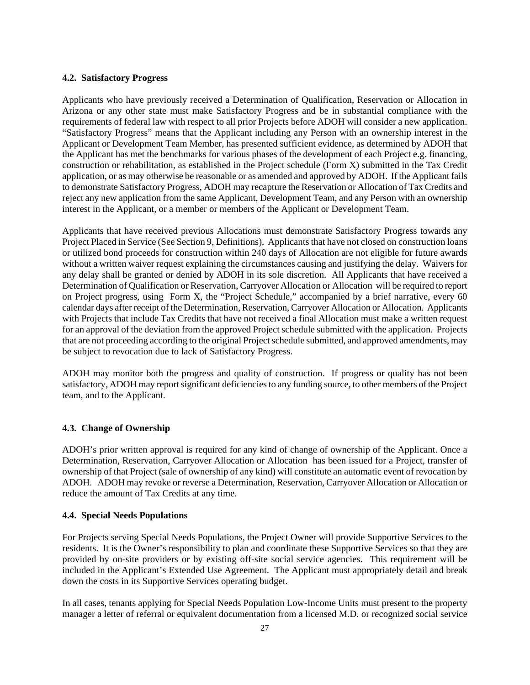#### **4.2. Satisfactory Progress**

Applicants who have previously received a Determination of Qualification, Reservation or Allocation in Arizona or any other state must make Satisfactory Progress and be in substantial compliance with the requirements of federal law with respect to all prior Projects before ADOH will consider a new application. "Satisfactory Progress" means that the Applicant including any Person with an ownership interest in the Applicant or Development Team Member, has presented sufficient evidence, as determined by ADOH that the Applicant has met the benchmarks for various phases of the development of each Project e.g. financing, construction or rehabilitation, as established in the Project schedule (Form X) submitted in the Tax Credit application, or as may otherwise be reasonable or as amended and approved by ADOH. If the Applicant fails to demonstrate Satisfactory Progress, ADOH may recapture the Reservation or Allocation of Tax Credits and reject any new application from the same Applicant, Development Team, and any Person with an ownership interest in the Applicant, or a member or members of the Applicant or Development Team.

Applicants that have received previous Allocations must demonstrate Satisfactory Progress towards any Project Placed in Service (See Section 9, Definitions). Applicants that have not closed on construction loans or utilized bond proceeds for construction within 240 days of Allocation are not eligible for future awards without a written waiver request explaining the circumstances causing and justifying the delay. Waivers for any delay shall be granted or denied by ADOH in its sole discretion. All Applicants that have received a Determination of Qualification or Reservation, Carryover Allocation or Allocation will be required to report on Project progress, using Form X, the "Project Schedule," accompanied by a brief narrative, every 60 calendar days after receipt of the Determination, Reservation, Carryover Allocation or Allocation. Applicants with Projects that include Tax Credits that have not received a final Allocation must make a written request for an approval of the deviation from the approved Project schedule submitted with the application. Projects that are not proceeding according to the original Project schedule submitted, and approved amendments, may be subject to revocation due to lack of Satisfactory Progress.

ADOH may monitor both the progress and quality of construction. If progress or quality has not been satisfactory, ADOH may report significant deficiencies to any funding source, to other members of the Project team, and to the Applicant.

#### **4.3. Change of Ownership**

ADOH's prior written approval is required for any kind of change of ownership of the Applicant. Once a Determination, Reservation, Carryover Allocation or Allocation has been issued for a Project, transfer of ownership of that Project (sale of ownership of any kind) will constitute an automatic event of revocation by ADOH. ADOH may revoke or reverse a Determination, Reservation, Carryover Allocation or Allocation or reduce the amount of Tax Credits at any time.

#### **4.4. Special Needs Populations**

For Projects serving Special Needs Populations, the Project Owner will provide Supportive Services to the residents. It is the Owner's responsibility to plan and coordinate these Supportive Services so that they are provided by on-site providers or by existing off-site social service agencies. This requirement will be included in the Applicant's Extended Use Agreement. The Applicant must appropriately detail and break down the costs in its Supportive Services operating budget.

In all cases, tenants applying for Special Needs Population Low-Income Units must present to the property manager a letter of referral or equivalent documentation from a licensed M.D. or recognized social service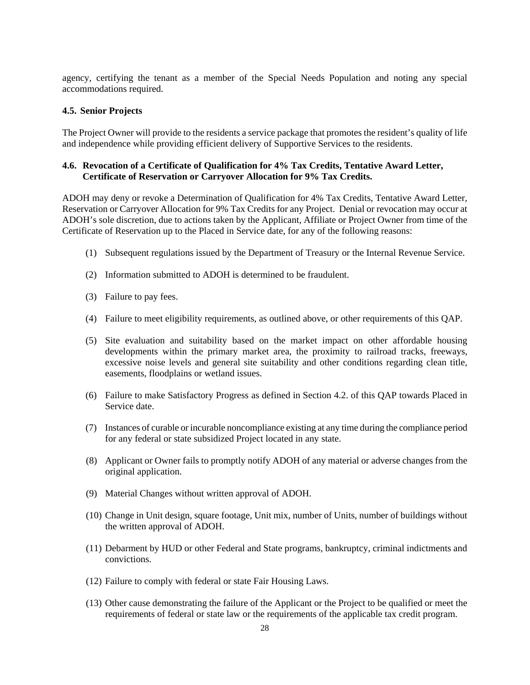agency, certifying the tenant as a member of the Special Needs Population and noting any special accommodations required.

#### **4.5. Senior Projects**

The Project Owner will provide to the residents a service package that promotes the resident's quality of life and independence while providing efficient delivery of Supportive Services to the residents.

#### **4.6. Revocation of a Certificate of Qualification for 4% Tax Credits, Tentative Award Letter, Certificate of Reservation or Carryover Allocation for 9% Tax Credits.**

ADOH may deny or revoke a Determination of Qualification for 4% Tax Credits, Tentative Award Letter, Reservation or Carryover Allocation for 9% Tax Credits for any Project. Denial or revocation may occur at ADOH's sole discretion, due to actions taken by the Applicant, Affiliate or Project Owner from time of the Certificate of Reservation up to the Placed in Service date, for any of the following reasons:

- (1) Subsequent regulations issued by the Department of Treasury or the Internal Revenue Service.
- (2) Information submitted to ADOH is determined to be fraudulent.
- (3) Failure to pay fees.
- (4) Failure to meet eligibility requirements, as outlined above, or other requirements of this QAP.
- (5) Site evaluation and suitability based on the market impact on other affordable housing developments within the primary market area, the proximity to railroad tracks, freeways, excessive noise levels and general site suitability and other conditions regarding clean title, easements, floodplains or wetland issues.
- (6) Failure to make Satisfactory Progress as defined in Section 4.2. of this QAP towards Placed in Service date.
- (7) Instances of curable or incurable noncompliance existing at any time during the compliance period for any federal or state subsidized Project located in any state.
- (8) Applicant or Owner fails to promptly notify ADOH of any material or adverse changes from the original application.
- (9) Material Changes without written approval of ADOH.
- (10) Change in Unit design, square footage, Unit mix, number of Units, number of buildings without the written approval of ADOH.
- (11) Debarment by HUD or other Federal and State programs, bankruptcy, criminal indictments and convictions.
- (12) Failure to comply with federal or state Fair Housing Laws.
- (13) Other cause demonstrating the failure of the Applicant or the Project to be qualified or meet the requirements of federal or state law or the requirements of the applicable tax credit program.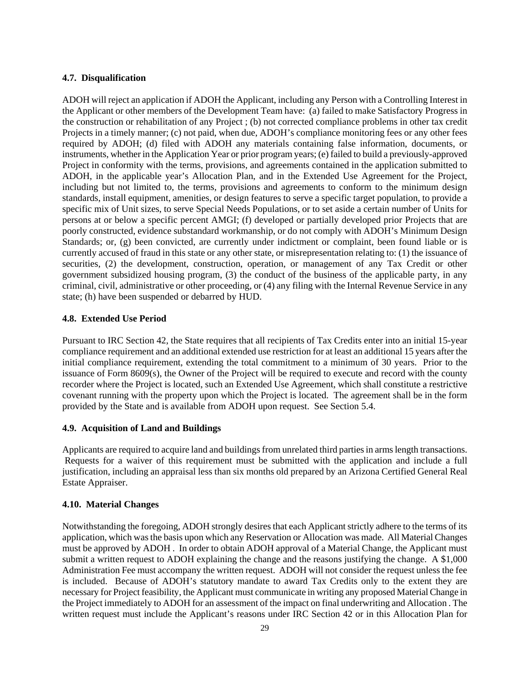#### **4.7. Disqualification**

ADOH will reject an application if ADOH the Applicant, including any Person with a Controlling Interest in the Applicant or other members of the Development Team have: (a) failed to make Satisfactory Progress in the construction or rehabilitation of any Project ; (b) not corrected compliance problems in other tax credit Projects in a timely manner; (c) not paid, when due, ADOH's compliance monitoring fees or any other fees required by ADOH; (d) filed with ADOH any materials containing false information, documents, or instruments, whether in the Application Year or prior program years; (e) failed to build a previously-approved Project in conformity with the terms, provisions, and agreements contained in the application submitted to ADOH, in the applicable year's Allocation Plan, and in the Extended Use Agreement for the Project, including but not limited to, the terms, provisions and agreements to conform to the minimum design standards, install equipment, amenities, or design features to serve a specific target population, to provide a specific mix of Unit sizes, to serve Special Needs Populations, or to set aside a certain number of Units for persons at or below a specific percent AMGI; (f) developed or partially developed prior Projects that are poorly constructed, evidence substandard workmanship, or do not comply with ADOH's Minimum Design Standards; or, (g) been convicted, are currently under indictment or complaint, been found liable or is currently accused of fraud in this state or any other state, or misrepresentation relating to: (1) the issuance of securities, (2) the development, construction, operation, or management of any Tax Credit or other government subsidized housing program, (3) the conduct of the business of the applicable party, in any criminal, civil, administrative or other proceeding, or (4) any filing with the Internal Revenue Service in any state; (h) have been suspended or debarred by HUD.

#### **4.8. Extended Use Period**

Pursuant to IRC Section 42, the State requires that all recipients of Tax Credits enter into an initial 15-year compliance requirement and an additional extended use restriction for at least an additional 15 years after the initial compliance requirement, extending the total commitment to a minimum of 30 years. Prior to the issuance of Form 8609(s), the Owner of the Project will be required to execute and record with the county recorder where the Project is located, such an Extended Use Agreement, which shall constitute a restrictive covenant running with the property upon which the Project is located. The agreement shall be in the form provided by the State and is available from ADOH upon request. See Section 5.4.

## **4.9. Acquisition of Land and Buildings**

Applicants are required to acquire land and buildings from unrelated third parties in arms length transactions. Requests for a waiver of this requirement must be submitted with the application and include a full justification, including an appraisal less than six months old prepared by an Arizona Certified General Real Estate Appraiser.

#### **4.10. Material Changes**

Notwithstanding the foregoing, ADOH strongly desires that each Applicant strictly adhere to the terms of its application, which was the basis upon which any Reservation or Allocation was made. All Material Changes must be approved by ADOH . In order to obtain ADOH approval of a Material Change, the Applicant must submit a written request to ADOH explaining the change and the reasons justifying the change. A \$1,000 Administration Fee must accompany the written request. ADOH will not consider the request unless the fee is included. Because of ADOH's statutory mandate to award Tax Credits only to the extent they are necessary for Project feasibility, the Applicant must communicate in writing any proposed Material Change in the Project immediately to ADOH for an assessment of the impact on final underwriting and Allocation . The written request must include the Applicant's reasons under IRC Section 42 or in this Allocation Plan for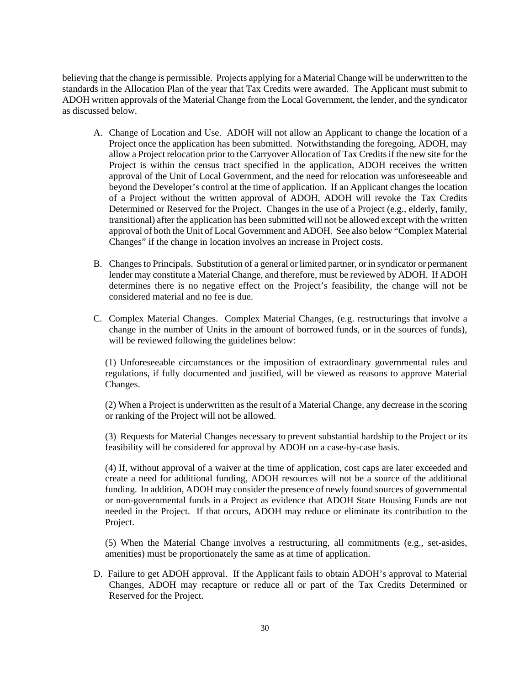believing that the change is permissible. Projects applying for a Material Change will be underwritten to the standards in the Allocation Plan of the year that Tax Credits were awarded. The Applicant must submit to ADOH written approvals of the Material Change from the Local Government, the lender, and the syndicator as discussed below.

- A. Change of Location and Use. ADOH will not allow an Applicant to change the location of a Project once the application has been submitted. Notwithstanding the foregoing, ADOH, may allow a Project relocation prior to the Carryover Allocation of Tax Credits if the new site for the Project is within the census tract specified in the application, ADOH receives the written approval of the Unit of Local Government, and the need for relocation was unforeseeable and beyond the Developer's control at the time of application. If an Applicant changes the location of a Project without the written approval of ADOH, ADOH will revoke the Tax Credits Determined or Reserved for the Project. Changes in the use of a Project (e.g., elderly, family, transitional) after the application has been submitted will not be allowed except with the written approval of both the Unit of Local Government and ADOH. See also below "Complex Material Changes" if the change in location involves an increase in Project costs.
- B. Changes to Principals. Substitution of a general or limited partner, or in syndicator or permanent lender may constitute a Material Change, and therefore, must be reviewed by ADOH. If ADOH determines there is no negative effect on the Project's feasibility, the change will not be considered material and no fee is due.
- C. Complex Material Changes. Complex Material Changes, (e.g. restructurings that involve a change in the number of Units in the amount of borrowed funds, or in the sources of funds), will be reviewed following the guidelines below:

(1) Unforeseeable circumstances or the imposition of extraordinary governmental rules and regulations, if fully documented and justified, will be viewed as reasons to approve Material Changes.

(2) When a Project is underwritten as the result of a Material Change, any decrease in the scoring or ranking of the Project will not be allowed.

(3) Requests for Material Changes necessary to prevent substantial hardship to the Project or its feasibility will be considered for approval by ADOH on a case-by-case basis.

(4) If, without approval of a waiver at the time of application, cost caps are later exceeded and create a need for additional funding, ADOH resources will not be a source of the additional funding. In addition, ADOH may consider the presence of newly found sources of governmental or non-governmental funds in a Project as evidence that ADOH State Housing Funds are not needed in the Project. If that occurs, ADOH may reduce or eliminate its contribution to the Project.

(5) When the Material Change involves a restructuring, all commitments (e.g., set-asides, amenities) must be proportionately the same as at time of application.

D. Failure to get ADOH approval. If the Applicant fails to obtain ADOH's approval to Material Changes, ADOH may recapture or reduce all or part of the Tax Credits Determined or Reserved for the Project.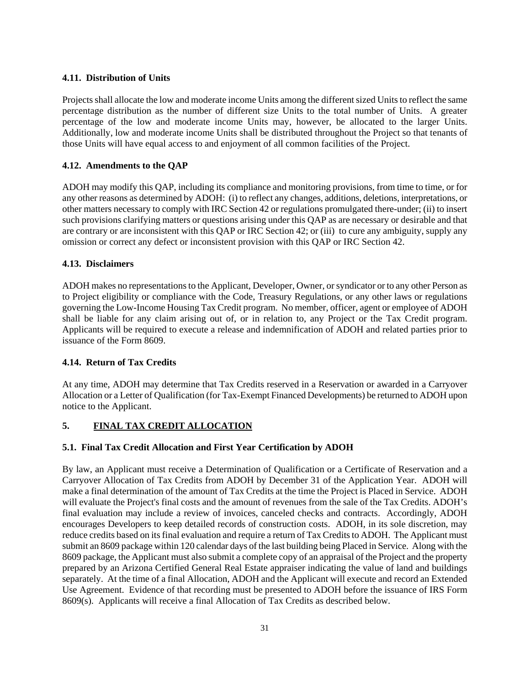## **4.11. Distribution of Units**

Projects shall allocate the low and moderate income Units among the different sized Units to reflect the same percentage distribution as the number of different size Units to the total number of Units. A greater percentage of the low and moderate income Units may, however, be allocated to the larger Units. Additionally, low and moderate income Units shall be distributed throughout the Project so that tenants of those Units will have equal access to and enjoyment of all common facilities of the Project.

## **4.12. Amendments to the QAP**

ADOH may modify this QAP, including its compliance and monitoring provisions, from time to time, or for any other reasons as determined by ADOH: (i) to reflect any changes, additions, deletions, interpretations, or other matters necessary to comply with IRC Section 42 or regulations promulgated there-under; (ii) to insert such provisions clarifying matters or questions arising under this QAP as are necessary or desirable and that are contrary or are inconsistent with this QAP or IRC Section 42; or (iii) to cure any ambiguity, supply any omission or correct any defect or inconsistent provision with this QAP or IRC Section 42.

#### **4.13. Disclaimers**

ADOH makes no representations to the Applicant, Developer, Owner, or syndicator or to any other Person as to Project eligibility or compliance with the Code, Treasury Regulations, or any other laws or regulations governing the Low-Income Housing Tax Credit program. No member, officer, agent or employee of ADOH shall be liable for any claim arising out of, or in relation to, any Project or the Tax Credit program. Applicants will be required to execute a release and indemnification of ADOH and related parties prior to issuance of the Form 8609.

## **4.14. Return of Tax Credits**

At any time, ADOH may determine that Tax Credits reserved in a Reservation or awarded in a Carryover Allocation or a Letter of Qualification (for Tax-Exempt Financed Developments) be returned to ADOH upon notice to the Applicant.

## **5. FINAL TAX CREDIT ALLOCATION**

## **5.1. Final Tax Credit Allocation and First Year Certification by ADOH**

By law, an Applicant must receive a Determination of Qualification or a Certificate of Reservation and a Carryover Allocation of Tax Credits from ADOH by December 31 of the Application Year. ADOH will make a final determination of the amount of Tax Credits at the time the Project is Placed in Service. ADOH will evaluate the Project's final costs and the amount of revenues from the sale of the Tax Credits. ADOH's final evaluation may include a review of invoices, canceled checks and contracts. Accordingly, ADOH encourages Developers to keep detailed records of construction costs. ADOH, in its sole discretion, may reduce credits based on its final evaluation and require a return of Tax Credits to ADOH. The Applicant must submit an 8609 package within 120 calendar days of the last building being Placed in Service. Along with the 8609 package, the Applicant must also submit a complete copy of an appraisal of the Project and the property prepared by an Arizona Certified General Real Estate appraiser indicating the value of land and buildings separately. At the time of a final Allocation, ADOH and the Applicant will execute and record an Extended Use Agreement. Evidence of that recording must be presented to ADOH before the issuance of IRS Form 8609(s). Applicants will receive a final Allocation of Tax Credits as described below.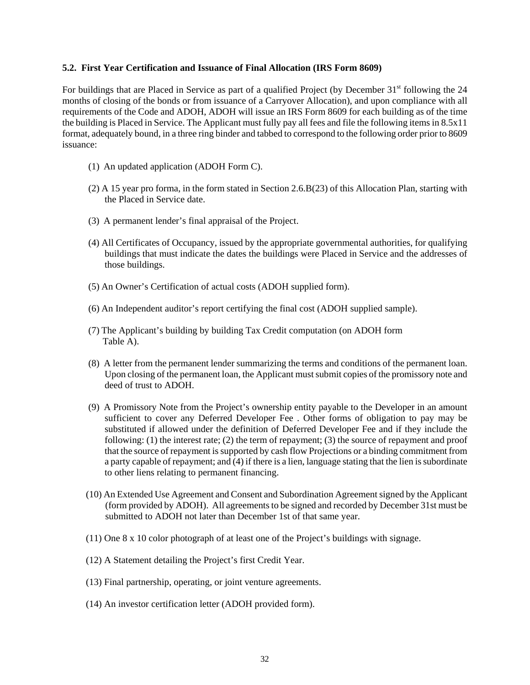#### **5.2. First Year Certification and Issuance of Final Allocation (IRS Form 8609)**

For buildings that are Placed in Service as part of a qualified Project (by December  $31<sup>st</sup>$  following the 24 months of closing of the bonds or from issuance of a Carryover Allocation), and upon compliance with all requirements of the Code and ADOH, ADOH will issue an IRS Form 8609 for each building as of the time the building is Placed in Service. The Applicant must fully pay all fees and file the following items in 8.5x11 format, adequately bound, in a three ring binder and tabbed to correspond to the following order prior to 8609 issuance:

- (1) An updated application (ADOH Form C).
- (2) A 15 year pro forma, in the form stated in Section 2.6.B(23) of this Allocation Plan, starting with the Placed in Service date.
- (3) A permanent lender's final appraisal of the Project.
- (4) All Certificates of Occupancy, issued by the appropriate governmental authorities, for qualifying buildings that must indicate the dates the buildings were Placed in Service and the addresses of those buildings.
- (5) An Owner's Certification of actual costs (ADOH supplied form).
- (6) An Independent auditor's report certifying the final cost (ADOH supplied sample).
- (7) The Applicant's building by building Tax Credit computation (on ADOH form Table A).
- (8) A letter from the permanent lender summarizing the terms and conditions of the permanent loan. Upon closing of the permanent loan, the Applicant must submit copies of the promissory note and deed of trust to ADOH.
- (9) A Promissory Note from the Project's ownership entity payable to the Developer in an amount sufficient to cover any Deferred Developer Fee . Other forms of obligation to pay may be substituted if allowed under the definition of Deferred Developer Fee and if they include the following: (1) the interest rate; (2) the term of repayment; (3) the source of repayment and proof that the source of repayment is supported by cash flow Projections or a binding commitment from a party capable of repayment; and (4) if there is a lien, language stating that the lien is subordinate to other liens relating to permanent financing.
- (10) An Extended Use Agreement and Consent and Subordination Agreement signed by the Applicant (form provided by ADOH). All agreements to be signed and recorded by December 31st must be submitted to ADOH not later than December 1st of that same year.
- (11) One 8 x 10 color photograph of at least one of the Project's buildings with signage.
- (12) A Statement detailing the Project's first Credit Year.
- (13) Final partnership, operating, or joint venture agreements.
- (14) An investor certification letter (ADOH provided form).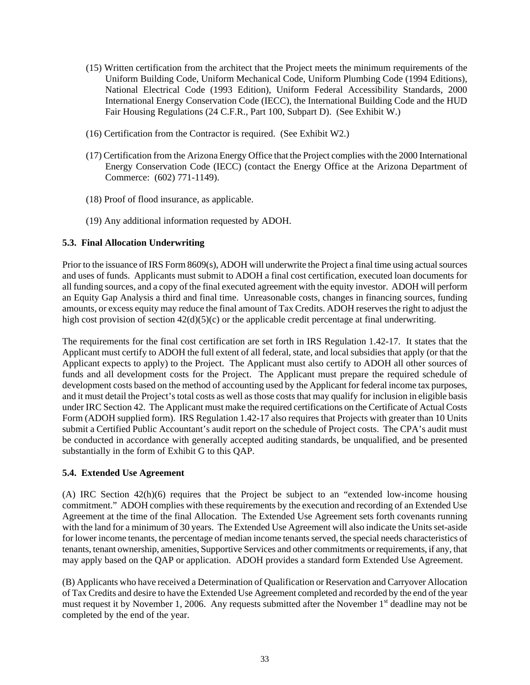- (15) Written certification from the architect that the Project meets the minimum requirements of the Uniform Building Code, Uniform Mechanical Code, Uniform Plumbing Code (1994 Editions), National Electrical Code (1993 Edition), Uniform Federal Accessibility Standards, 2000 International Energy Conservation Code (IECC), the International Building Code and the HUD Fair Housing Regulations (24 C.F.R., Part 100, Subpart D). (See Exhibit W.)
- (16) Certification from the Contractor is required. (See Exhibit W2.)
- (17) Certification from the Arizona Energy Office that the Project complies with the 2000 International Energy Conservation Code (IECC) (contact the Energy Office at the Arizona Department of Commerce: (602) 771-1149).
- (18) Proof of flood insurance, as applicable.
- (19) Any additional information requested by ADOH.

## **5.3. Final Allocation Underwriting**

Prior to the issuance of IRS Form 8609(s), ADOH will underwrite the Project a final time using actual sources and uses of funds. Applicants must submit to ADOH a final cost certification, executed loan documents for all funding sources, and a copy of the final executed agreement with the equity investor. ADOH will perform an Equity Gap Analysis a third and final time. Unreasonable costs, changes in financing sources, funding amounts, or excess equity may reduce the final amount of Tax Credits. ADOH reserves the right to adjust the high cost provision of section  $42(d)(5)(c)$  or the applicable credit percentage at final underwriting.

The requirements for the final cost certification are set forth in IRS Regulation 1.42-17. It states that the Applicant must certify to ADOH the full extent of all federal, state, and local subsidies that apply (or that the Applicant expects to apply) to the Project. The Applicant must also certify to ADOH all other sources of funds and all development costs for the Project. The Applicant must prepare the required schedule of development costs based on the method of accounting used by the Applicant for federal income tax purposes, and it must detail the Project's total costs as well as those costs that may qualify for inclusion in eligible basis under IRC Section 42. The Applicant must make the required certifications on the Certificate of Actual Costs Form (ADOH supplied form). IRS Regulation 1.42-17 also requires that Projects with greater than 10 Units submit a Certified Public Accountant's audit report on the schedule of Project costs. The CPA's audit must be conducted in accordance with generally accepted auditing standards, be unqualified, and be presented substantially in the form of Exhibit G to this QAP.

## **5.4. Extended Use Agreement**

(A) IRC Section 42(h)(6) requires that the Project be subject to an "extended low-income housing commitment." ADOH complies with these requirements by the execution and recording of an Extended Use Agreement at the time of the final Allocation. The Extended Use Agreement sets forth covenants running with the land for a minimum of 30 years. The Extended Use Agreement will also indicate the Units set-aside for lower income tenants, the percentage of median income tenants served, the special needs characteristics of tenants, tenant ownership, amenities, Supportive Services and other commitments or requirements, if any, that may apply based on the QAP or application. ADOH provides a standard form Extended Use Agreement.

(B) Applicants who have received a Determination of Qualification or Reservation and Carryover Allocation of Tax Credits and desire to have the Extended Use Agreement completed and recorded by the end of the year must request it by November 1, 2006. Any requests submitted after the November 1<sup>st</sup> deadline may not be completed by the end of the year.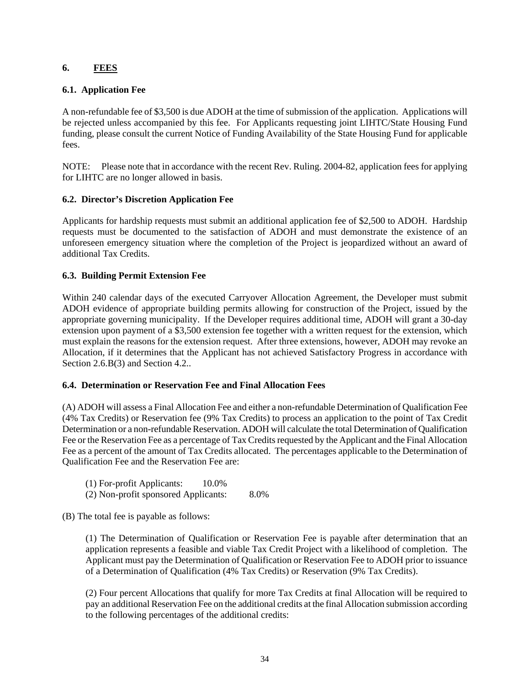## **6. FEES**

## **6.1. Application Fee**

A non-refundable fee of \$3,500 is due ADOH at the time of submission of the application. Applications will be rejected unless accompanied by this fee. For Applicants requesting joint LIHTC/State Housing Fund funding, please consult the current Notice of Funding Availability of the State Housing Fund for applicable fees.

NOTE: Please note that in accordance with the recent Rev. Ruling. 2004-82, application fees for applying for LIHTC are no longer allowed in basis.

## **6.2. Director's Discretion Application Fee**

Applicants for hardship requests must submit an additional application fee of \$2,500 to ADOH. Hardship requests must be documented to the satisfaction of ADOH and must demonstrate the existence of an unforeseen emergency situation where the completion of the Project is jeopardized without an award of additional Tax Credits.

## **6.3. Building Permit Extension Fee**

Within 240 calendar days of the executed Carryover Allocation Agreement, the Developer must submit ADOH evidence of appropriate building permits allowing for construction of the Project, issued by the appropriate governing municipality. If the Developer requires additional time, ADOH will grant a 30-day extension upon payment of a \$3,500 extension fee together with a written request for the extension, which must explain the reasons for the extension request. After three extensions, however, ADOH may revoke an Allocation, if it determines that the Applicant has not achieved Satisfactory Progress in accordance with Section 2.6.B(3) and Section 4.2..

## **6.4. Determination or Reservation Fee and Final Allocation Fees**

(A) ADOH will assess a Final Allocation Fee and either a non-refundable Determination of Qualification Fee (4% Tax Credits) or Reservation fee (9% Tax Credits) to process an application to the point of Tax Credit Determination or a non-refundable Reservation. ADOH will calculate the total Determination of Qualification Fee or the Reservation Fee as a percentage of Tax Credits requested by the Applicant and the Final Allocation Fee as a percent of the amount of Tax Credits allocated. The percentages applicable to the Determination of Qualification Fee and the Reservation Fee are:

(1) For-profit Applicants: 10.0% (2) Non-profit sponsored Applicants: 8.0%

(B) The total fee is payable as follows:

(1) The Determination of Qualification or Reservation Fee is payable after determination that an application represents a feasible and viable Tax Credit Project with a likelihood of completion. The Applicant must pay the Determination of Qualification or Reservation Fee to ADOH prior to issuance of a Determination of Qualification (4% Tax Credits) or Reservation (9% Tax Credits).

(2) Four percent Allocations that qualify for more Tax Credits at final Allocation will be required to pay an additional Reservation Fee on the additional credits at the final Allocation submission according to the following percentages of the additional credits: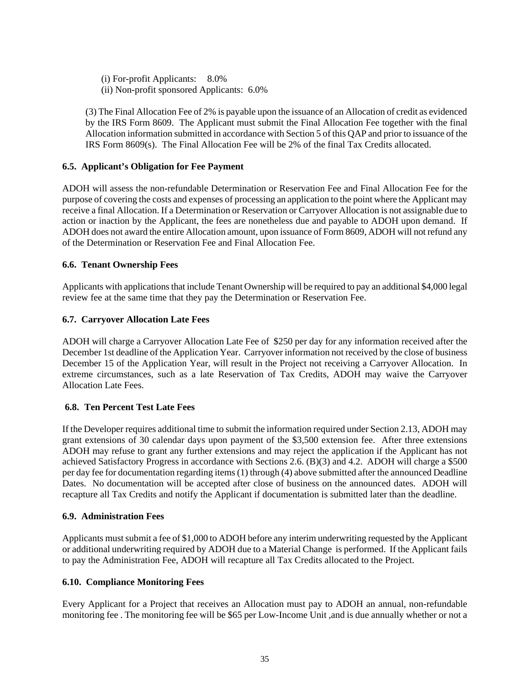(i) For-profit Applicants: 8.0% (ii) Non-profit sponsored Applicants: 6.0%

(3) The Final Allocation Fee of 2% is payable upon the issuance of an Allocation of credit as evidenced by the IRS Form 8609. The Applicant must submit the Final Allocation Fee together with the final Allocation information submitted in accordance with Section 5 of this QAP and prior to issuance of the IRS Form 8609(s). The Final Allocation Fee will be 2% of the final Tax Credits allocated.

## **6.5. Applicant's Obligation for Fee Payment**

ADOH will assess the non-refundable Determination or Reservation Fee and Final Allocation Fee for the purpose of covering the costs and expenses of processing an application to the point where the Applicant may receive a final Allocation. If a Determination or Reservation or Carryover Allocation is not assignable due to action or inaction by the Applicant, the fees are nonetheless due and payable to ADOH upon demand. If ADOH does not award the entire Allocation amount, upon issuance of Form 8609, ADOH will not refund any of the Determination or Reservation Fee and Final Allocation Fee.

## **6.6. Tenant Ownership Fees**

Applicants with applications that include Tenant Ownership will be required to pay an additional \$4,000 legal review fee at the same time that they pay the Determination or Reservation Fee.

## **6.7. Carryover Allocation Late Fees**

ADOH will charge a Carryover Allocation Late Fee of \$250 per day for any information received after the December 1st deadline of the Application Year. Carryover information not received by the close of business December 15 of the Application Year, will result in the Project not receiving a Carryover Allocation. In extreme circumstances, such as a late Reservation of Tax Credits, ADOH may waive the Carryover Allocation Late Fees.

## **6.8. Ten Percent Test Late Fees**

If the Developer requires additional time to submit the information required under Section 2.13, ADOH may grant extensions of 30 calendar days upon payment of the \$3,500 extension fee. After three extensions ADOH may refuse to grant any further extensions and may reject the application if the Applicant has not achieved Satisfactory Progress in accordance with Sections 2.6. (B)(3) and 4.2.ADOH will charge a \$500 per day fee for documentation regarding items (1) through (4) above submitted after the announced Deadline Dates. No documentation will be accepted after close of business on the announced dates. ADOH will recapture all Tax Credits and notify the Applicant if documentation is submitted later than the deadline.

## **6.9. Administration Fees**

Applicants must submit a fee of \$1,000 to ADOH before any interim underwriting requested by the Applicant or additional underwriting required by ADOH due to a Material Change is performed. If the Applicant fails to pay the Administration Fee, ADOH will recapture all Tax Credits allocated to the Project.

## **6.10. Compliance Monitoring Fees**

Every Applicant for a Project that receives an Allocation must pay to ADOH an annual, non-refundable monitoring fee . The monitoring fee will be \$65 per Low-Income Unit ,and is due annually whether or not a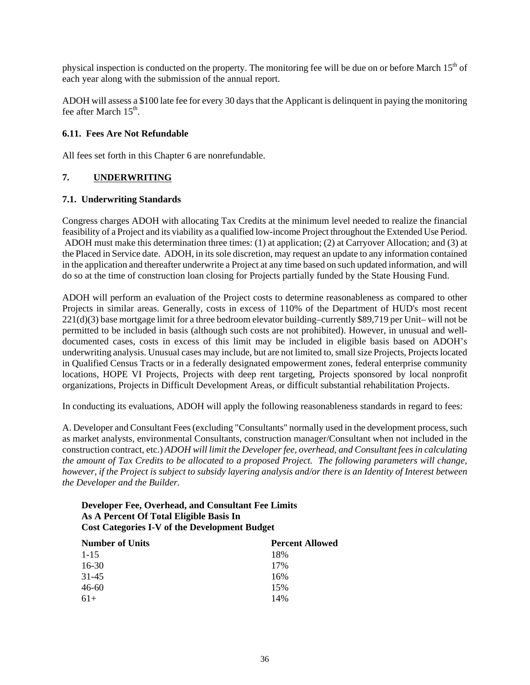physical inspection is conducted on the property. The monitoring fee will be due on or before March 15<sup>th</sup> of each year along with the submission of the annual report.

ADOH will assess a \$100 late fee for every 30 days that the Applicant is delinquent in paying the monitoring fee after March  $15<sup>th</sup>$ .

## **6.11. Fees Are Not Refundable**

All fees set forth in this Chapter 6 are nonrefundable.

## **7. UNDERWRITING**

## **7.1. Underwriting Standards**

Congress charges ADOH with allocating Tax Credits at the minimum level needed to realize the financial feasibility of a Project and its viability as a qualified low-income Project throughout the Extended Use Period. ADOH must make this determination three times: (1) at application; (2) at Carryover Allocation; and (3) at the Placed in Service date. ADOH, in its sole discretion, may request an update to any information contained in the application and thereafter underwrite a Project at any time based on such updated information, and will do so at the time of construction loan closing for Projects partially funded by the State Housing Fund.

ADOH will perform an evaluation of the Project costs to determine reasonableness as compared to other Projects in similar areas. Generally, costs in excess of 110% of the Department of HUD's most recent 221(d)(3) base mortgage limit for a three bedroom elevator building–currently \$89,719 per Unit– will not be permitted to be included in basis (although such costs are not prohibited). However, in unusual and welldocumented cases, costs in excess of this limit may be included in eligible basis based on ADOH's underwriting analysis. Unusual cases may include, but are not limited to, small size Projects, Projects located in Qualified Census Tracts or in a federally designated empowerment zones, federal enterprise community locations, HOPE VI Projects, Projects with deep rent targeting, Projects sponsored by local nonprofit organizations, Projects in Difficult Development Areas, or difficult substantial rehabilitation Projects.

In conducting its evaluations, ADOH will apply the following reasonableness standards in regard to fees:

A. Developer and Consultant Fees (excluding "Consultants" normally used in the development process, such as market analysts, environmental Consultants, construction manager/Consultant when not included in the construction contract, etc.) *ADOH will limit the Developer fee, overhead, and Consultant fees in calculating the amount of Tax Credits to be allocated to a proposed Project. The following parameters will change, however, if the Project is subject to subsidy layering analysis and/or there is an Identity of Interest between the Developer and the Builder.*

## **Developer Fee, Overhead, and Consultant Fee Limits As A Percent Of Total Eligible Basis In Cost Categories I-V of the Development Budget**

| <b>Number of Units</b> | <b>Percent Allowed</b> |  |  |  |
|------------------------|------------------------|--|--|--|
| $1 - 15$               | 18%                    |  |  |  |
| $16-30$                | 17%                    |  |  |  |
| 31-45                  | 16%                    |  |  |  |
| $46 - 60$              | 15%                    |  |  |  |
| $61+$                  | 14%                    |  |  |  |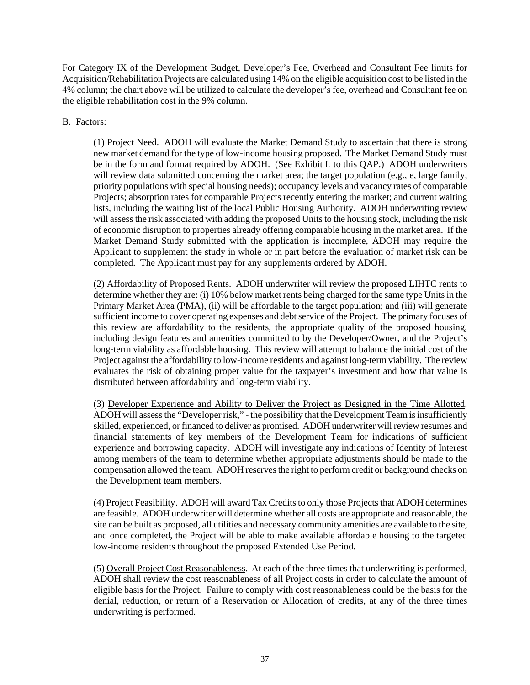For Category IX of the Development Budget, Developer's Fee, Overhead and Consultant Fee limits for Acquisition/Rehabilitation Projects are calculated using 14% on the eligible acquisition cost to be listed in the 4% column; the chart above will be utilized to calculate the developer's fee, overhead and Consultant fee on the eligible rehabilitation cost in the 9% column.

## B. Factors:

(1) Project Need. ADOH will evaluate the Market Demand Study to ascertain that there is strong new market demand for the type of low-income housing proposed. The Market Demand Study must be in the form and format required by ADOH. (See Exhibit L to this QAP.) ADOH underwriters will review data submitted concerning the market area; the target population (e.g., e, large family, priority populations with special housing needs); occupancy levels and vacancy rates of comparable Projects; absorption rates for comparable Projects recently entering the market; and current waiting lists, including the waiting list of the local Public Housing Authority. ADOH underwriting review will assess the risk associated with adding the proposed Units to the housing stock, including the risk of economic disruption to properties already offering comparable housing in the market area. If the Market Demand Study submitted with the application is incomplete, ADOH may require the Applicant to supplement the study in whole or in part before the evaluation of market risk can be completed. The Applicant must pay for any supplements ordered by ADOH.

(2) Affordability of Proposed Rents. ADOH underwriter will review the proposed LIHTC rents to determine whether they are: (i) 10% below market rents being charged for the same type Units in the Primary Market Area (PMA), (ii) will be affordable to the target population; and (iii) will generate sufficient income to cover operating expenses and debt service of the Project. The primary focuses of this review are affordability to the residents, the appropriate quality of the proposed housing, including design features and amenities committed to by the Developer/Owner, and the Project's long-term viability as affordable housing. This review will attempt to balance the initial cost of the Project against the affordability to low-income residents and against long-term viability. The review evaluates the risk of obtaining proper value for the taxpayer's investment and how that value is distributed between affordability and long-term viability.

(3) Developer Experience and Ability to Deliver the Project as Designed in the Time Allotted. ADOH will assess the "Developer risk," - the possibility that the Development Team is insufficiently skilled, experienced, or financed to deliver as promised. ADOH underwriter will review resumes and financial statements of key members of the Development Team for indications of sufficient experience and borrowing capacity. ADOH will investigate any indications of Identity of Interest among members of the team to determine whether appropriate adjustments should be made to the compensation allowed the team. ADOH reserves the right to perform credit or background checks on the Development team members.

(4) Project Feasibility. ADOH will award Tax Credits to only those Projects that ADOH determines are feasible. ADOH underwriter will determine whether all costs are appropriate and reasonable, the site can be built as proposed, all utilities and necessary community amenities are available to the site, and once completed, the Project will be able to make available affordable housing to the targeted low-income residents throughout the proposed Extended Use Period.

(5) Overall Project Cost Reasonableness. At each of the three times that underwriting is performed, ADOH shall review the cost reasonableness of all Project costs in order to calculate the amount of eligible basis for the Project. Failure to comply with cost reasonableness could be the basis for the denial, reduction, or return of a Reservation or Allocation of credits, at any of the three times underwriting is performed.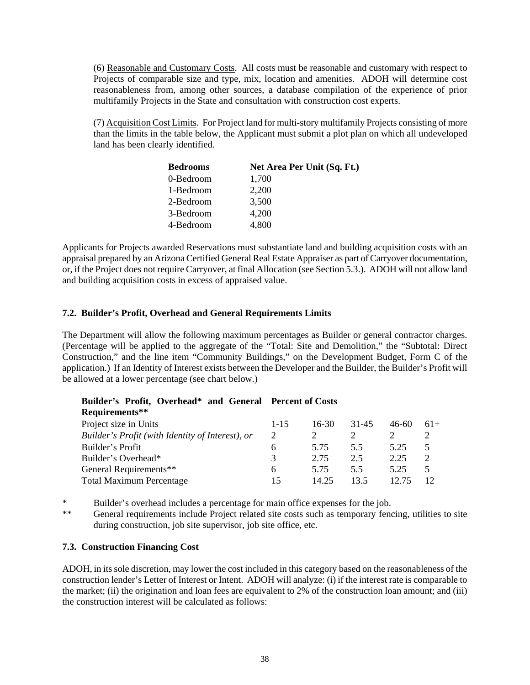(6) Reasonable and Customary Costs. All costs must be reasonable and customary with respect to Projects of comparable size and type, mix, location and amenities. ADOH will determine cost reasonableness from, among other sources, a database compilation of the experience of prior multifamily Projects in the State and consultation with construction cost experts.

(7) Acquisition Cost Limits. For Project land for multi-story multifamily Projects consisting of more than the limits in the table below, the Applicant must submit a plot plan on which all undeveloped land has been clearly identified.

| <b>Bedrooms</b> | Net Area Per Unit (Sq. Ft.) |
|-----------------|-----------------------------|
| 0-Bedroom       | 1,700                       |
| 1-Bedroom       | 2,200                       |
| 2-Bedroom       | 3,500                       |
| 3-Bedroom       | 4,200                       |
| 4-Bedroom       | 4.800                       |

Applicants for Projects awarded Reservations must substantiate land and building acquisition costs with an appraisal prepared by an Arizona Certified General Real Estate Appraiser as part of Carryover documentation, or, if the Project does not require Carryover, at final Allocation (see Section 5.3.). ADOH will not allow land and building acquisition costs in excess of appraised value.

## **7.2. Builder's Profit, Overhead and General Requirements Limits**

The Department will allow the following maximum percentages as Builder or general contractor charges. (Percentage will be applied to the aggregate of the "Total: Site and Demolition," the "Subtotal: Direct Construction," and the line item "Community Buildings," on the Development Budget, Form C of the application.) If an Identity of Interest exists between the Developer and the Builder, the Builder's Profit will be allowed at a lower percentage (see chart below.)

| Requirements**                                   |          |         |       |         |       |
|--------------------------------------------------|----------|---------|-------|---------|-------|
| Project size in Units                            | $1 - 15$ | $16-30$ | 31-45 | $46-60$ | $61+$ |
| Builder's Profit (with Identity of Interest), or | 2        |         |       |         |       |
| Builder's Profit                                 | 6        | 5.75    | 5.5   | 5.25    | 5     |
| Builder's Overhead*                              | 3        | 2.75    | 2.5   | 2.25    | 2     |
| General Requirements**                           | 6        | 5.75    | 55    | 5.25    | 5     |
| <b>Total Maximum Percentage</b>                  | 15       | 14.25   | 13.5  |         |       |

# **Builder's Profit, Overhead\* and General Percent of Costs**

\* Builder's overhead includes a percentage for main office expenses for the job.<br>\*\* Concret requirements include Project related site costs such as temporary fore

General requirements include Project related site costs such as temporary fencing, utilities to site during construction, job site supervisor, job site office, etc.

## **7.3. Construction Financing Cost**

ADOH, in its sole discretion, may lower the cost included in this category based on the reasonableness of the construction lender's Letter of Interest or Intent. ADOH will analyze: (i) if the interest rate is comparable to the market; (ii) the origination and loan fees are equivalent to 2% of the construction loan amount; and (iii) the construction interest will be calculated as follows: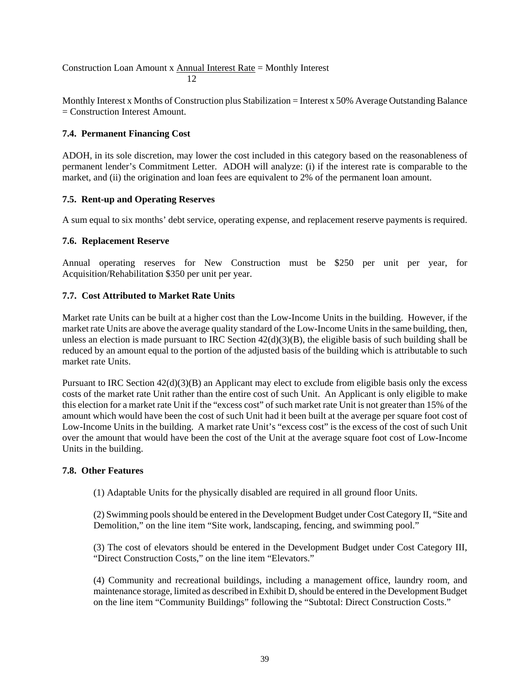Construction Loan Amount x Annual Interest Rate = Monthly Interest  $12<sup>2</sup>$ 

Monthly Interest x Months of Construction plus Stabilization = Interest x 50% Average Outstanding Balance = Construction Interest Amount.

## **7.4. Permanent Financing Cost**

ADOH, in its sole discretion, may lower the cost included in this category based on the reasonableness of permanent lender's Commitment Letter. ADOH will analyze: (i) if the interest rate is comparable to the market, and (ii) the origination and loan fees are equivalent to 2% of the permanent loan amount.

## **7.5. Rent-up and Operating Reserves**

A sum equal to six months' debt service, operating expense, and replacement reserve payments is required.

## **7.6. Replacement Reserve**

Annual operating reserves for New Construction must be \$250 per unit per year, for Acquisition/Rehabilitation \$350 per unit per year.

## **7.7. Cost Attributed to Market Rate Units**

Market rate Units can be built at a higher cost than the Low-Income Units in the building. However, if the market rate Units are above the average quality standard of the Low-Income Units in the same building, then, unless an election is made pursuant to IRC Section 42(d)(3)(B), the eligible basis of such building shall be reduced by an amount equal to the portion of the adjusted basis of the building which is attributable to such market rate Units.

Pursuant to IRC Section 42(d)(3)(B) an Applicant may elect to exclude from eligible basis only the excess costs of the market rate Unit rather than the entire cost of such Unit. An Applicant is only eligible to make this election for a market rate Unit if the "excess cost" of such market rate Unit is not greater than 15% of the amount which would have been the cost of such Unit had it been built at the average per square foot cost of Low-Income Units in the building. A market rate Unit's "excess cost" is the excess of the cost of such Unit over the amount that would have been the cost of the Unit at the average square foot cost of Low-Income Units in the building.

## **7.8. Other Features**

(1) Adaptable Units for the physically disabled are required in all ground floor Units.

(2) Swimming pools should be entered in the Development Budget under Cost Category II, "Site and Demolition," on the line item "Site work, landscaping, fencing, and swimming pool."

(3) The cost of elevators should be entered in the Development Budget under Cost Category III, "Direct Construction Costs," on the line item "Elevators."

(4) Community and recreational buildings, including a management office, laundry room, and maintenance storage, limited as described in Exhibit D, should be entered in the Development Budget on the line item "Community Buildings" following the "Subtotal: Direct Construction Costs."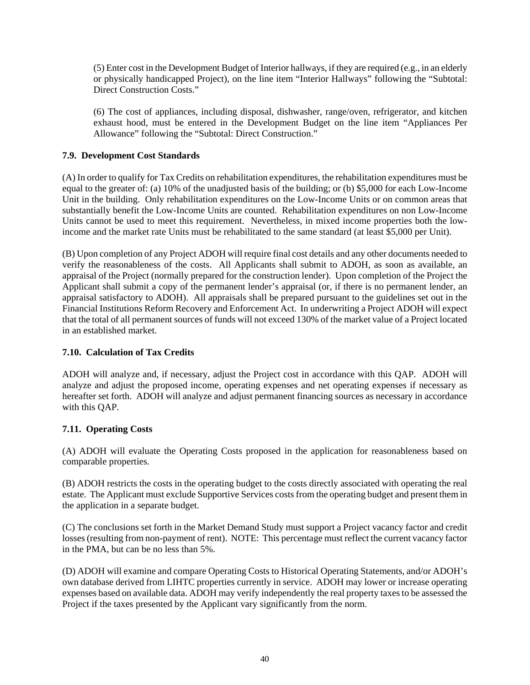(5) Enter cost in the Development Budget of Interior hallways, if they are required (e.g., in an elderly or physically handicapped Project), on the line item "Interior Hallways" following the "Subtotal: Direct Construction Costs."

(6) The cost of appliances, including disposal, dishwasher, range/oven, refrigerator, and kitchen exhaust hood, must be entered in the Development Budget on the line item "Appliances Per Allowance" following the "Subtotal: Direct Construction."

## **7.9. Development Cost Standards**

(A) In order to qualify for Tax Credits on rehabilitation expenditures, the rehabilitation expenditures must be equal to the greater of: (a) 10% of the unadjusted basis of the building; or (b) \$5,000 for each Low-Income Unit in the building. Only rehabilitation expenditures on the Low-Income Units or on common areas that substantially benefit the Low-Income Units are counted. Rehabilitation expenditures on non Low-Income Units cannot be used to meet this requirement. Nevertheless, in mixed income properties both the lowincome and the market rate Units must be rehabilitated to the same standard (at least \$5,000 per Unit).

(B) Upon completion of any Project ADOH will require final cost details and any other documents needed to verify the reasonableness of the costs. All Applicants shall submit to ADOH, as soon as available, an appraisal of the Project (normally prepared for the construction lender). Upon completion of the Project the Applicant shall submit a copy of the permanent lender's appraisal (or, if there is no permanent lender, an appraisal satisfactory to ADOH). All appraisals shall be prepared pursuant to the guidelines set out in the Financial Institutions Reform Recovery and Enforcement Act. In underwriting a Project ADOH will expect that the total of all permanent sources of funds will not exceed 130% of the market value of a Project located in an established market.

## **7.10. Calculation of Tax Credits**

ADOH will analyze and, if necessary, adjust the Project cost in accordance with this QAP. ADOH will analyze and adjust the proposed income, operating expenses and net operating expenses if necessary as hereafter set forth. ADOH will analyze and adjust permanent financing sources as necessary in accordance with this QAP.

## **7.11. Operating Costs**

(A) ADOH will evaluate the Operating Costs proposed in the application for reasonableness based on comparable properties.

(B) ADOH restricts the costs in the operating budget to the costs directly associated with operating the real estate. The Applicant must exclude Supportive Services costs from the operating budget and present them in the application in a separate budget.

(C) The conclusions set forth in the Market Demand Study must support a Project vacancy factor and credit losses (resulting from non-payment of rent). NOTE: This percentage must reflect the current vacancy factor in the PMA, but can be no less than 5%.

(D) ADOH will examine and compare Operating Costs to Historical Operating Statements, and/or ADOH's own database derived from LIHTC properties currently in service. ADOH may lower or increase operating expenses based on available data. ADOH may verify independently the real property taxes to be assessed the Project if the taxes presented by the Applicant vary significantly from the norm.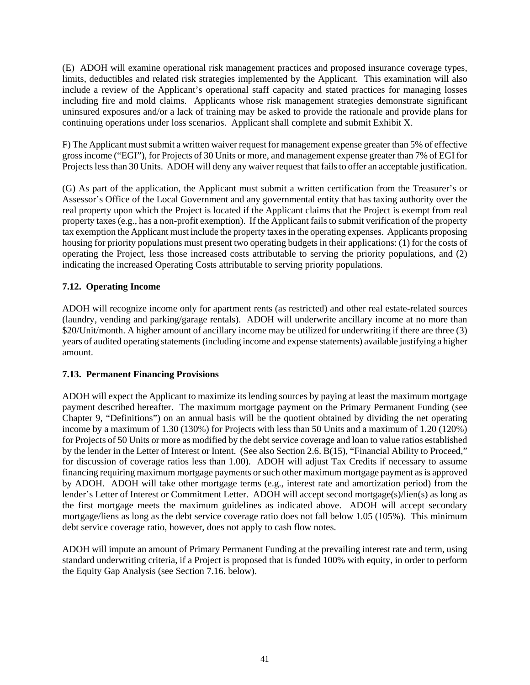(E) ADOH will examine operational risk management practices and proposed insurance coverage types, limits, deductibles and related risk strategies implemented by the Applicant. This examination will also include a review of the Applicant's operational staff capacity and stated practices for managing losses including fire and mold claims. Applicants whose risk management strategies demonstrate significant uninsured exposures and/or a lack of training may be asked to provide the rationale and provide plans for continuing operations under loss scenarios. Applicant shall complete and submit Exhibit X.

F) The Applicant must submit a written waiver request for management expense greater than 5% of effective gross income ("EGI"), for Projects of 30 Units or more, and management expense greater than 7% of EGI for Projects less than 30 Units. ADOH will deny any waiver request that fails to offer an acceptable justification.

(G) As part of the application, the Applicant must submit a written certification from the Treasurer's or Assessor's Office of the Local Government and any governmental entity that has taxing authority over the real property upon which the Project is located if the Applicant claims that the Project is exempt from real property taxes (e.g., has a non-profit exemption). If the Applicant fails to submit verification of the property tax exemption the Applicant must include the property taxes in the operating expenses. Applicants proposing housing for priority populations must present two operating budgets in their applications: (1) for the costs of operating the Project, less those increased costs attributable to serving the priority populations, and (2) indicating the increased Operating Costs attributable to serving priority populations.

## **7.12. Operating Income**

ADOH will recognize income only for apartment rents (as restricted) and other real estate-related sources (laundry, vending and parking/garage rentals). ADOH will underwrite ancillary income at no more than \$20/Unit/month. A higher amount of ancillary income may be utilized for underwriting if there are three (3) years of audited operating statements (including income and expense statements) available justifying a higher amount.

## **7.13. Permanent Financing Provisions**

ADOH will expect the Applicant to maximize its lending sources by paying at least the maximum mortgage payment described hereafter. The maximum mortgage payment on the Primary Permanent Funding (see Chapter 9, "Definitions") on an annual basis will be the quotient obtained by dividing the net operating income by a maximum of 1.30 (130%) for Projects with less than 50 Units and a maximum of 1.20 (120%) for Projects of 50 Units or more as modified by the debt service coverage and loan to value ratios established by the lender in the Letter of Interest or Intent. (See also Section 2.6. B(15), "Financial Ability to Proceed," for discussion of coverage ratios less than 1.00). ADOH will adjust Tax Credits if necessary to assume financing requiring maximum mortgage payments or such other maximum mortgage payment as is approved by ADOH. ADOH will take other mortgage terms (e.g., interest rate and amortization period) from the lender's Letter of Interest or Commitment Letter. ADOH will accept second mortgage(s)/lien(s) as long as the first mortgage meets the maximum guidelines as indicated above. ADOH will accept secondary mortgage/liens as long as the debt service coverage ratio does not fall below 1.05 (105%). This minimum debt service coverage ratio, however, does not apply to cash flow notes.

ADOH will impute an amount of Primary Permanent Funding at the prevailing interest rate and term, using standard underwriting criteria, if a Project is proposed that is funded 100% with equity, in order to perform the Equity Gap Analysis (see Section 7.16. below).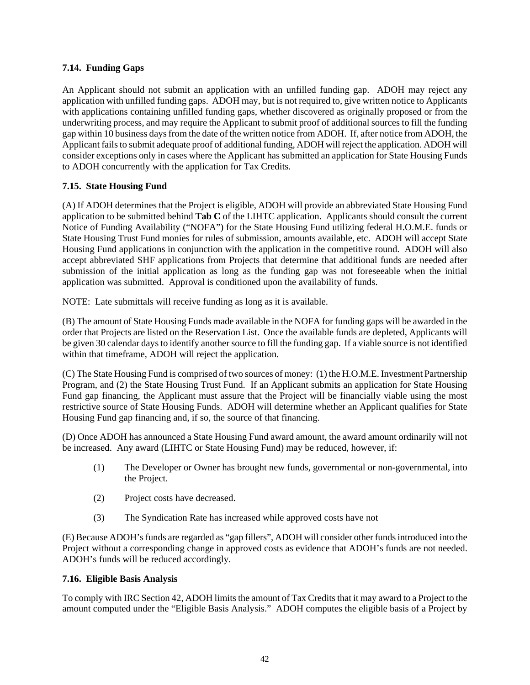## **7.14. Funding Gaps**

An Applicant should not submit an application with an unfilled funding gap. ADOH may reject any application with unfilled funding gaps. ADOH may, but is not required to, give written notice to Applicants with applications containing unfilled funding gaps, whether discovered as originally proposed or from the underwriting process, and may require the Applicant to submit proof of additional sources to fill the funding gap within 10 business days from the date of the written notice from ADOH. If, after notice from ADOH, the Applicant fails to submit adequate proof of additional funding, ADOH will reject the application. ADOH will consider exceptions only in cases where the Applicant has submitted an application for State Housing Funds to ADOH concurrently with the application for Tax Credits.

## **7.15. State Housing Fund**

(A) If ADOH determines that the Project is eligible, ADOH will provide an abbreviated State Housing Fund application to be submitted behind **Tab C** of the LIHTC application. Applicants should consult the current Notice of Funding Availability ("NOFA") for the State Housing Fund utilizing federal H.O.M.E. funds or State Housing Trust Fund monies for rules of submission, amounts available, etc. ADOH will accept State Housing Fund applications in conjunction with the application in the competitive round. ADOH will also accept abbreviated SHF applications from Projects that determine that additional funds are needed after submission of the initial application as long as the funding gap was not foreseeable when the initial application was submitted. Approval is conditioned upon the availability of funds.

NOTE: Late submittals will receive funding as long as it is available.

(B) The amount of State Housing Funds made available in the NOFA for funding gaps will be awarded in the order that Projects are listed on the Reservation List. Once the available funds are depleted, Applicants will be given 30 calendar days to identify another source to fill the funding gap. If a viable source is not identified within that timeframe, ADOH will reject the application.

(C) The State Housing Fund is comprised of two sources of money: (1) the H.O.M.E. Investment Partnership Program, and (2) the State Housing Trust Fund. If an Applicant submits an application for State Housing Fund gap financing, the Applicant must assure that the Project will be financially viable using the most restrictive source of State Housing Funds. ADOH will determine whether an Applicant qualifies for State Housing Fund gap financing and, if so, the source of that financing.

(D) Once ADOH has announced a State Housing Fund award amount, the award amount ordinarily will not be increased. Any award (LIHTC or State Housing Fund) may be reduced, however, if:

- (1) The Developer or Owner has brought new funds, governmental or non-governmental, into the Project.
- (2) Project costs have decreased.
- (3) The Syndication Rate has increased while approved costs have not

(E) Because ADOH's funds are regarded as "gap fillers", ADOH will consider other funds introduced into the Project without a corresponding change in approved costs as evidence that ADOH's funds are not needed. ADOH's funds will be reduced accordingly.

## **7.16. Eligible Basis Analysis**

To comply with IRC Section 42, ADOH limits the amount of Tax Credits that it may award to a Project to the amount computed under the "Eligible Basis Analysis." ADOH computes the eligible basis of a Project by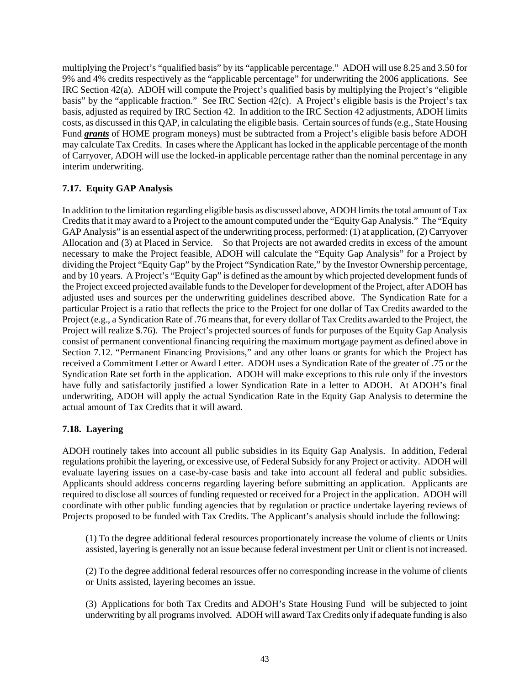multiplying the Project's "qualified basis" by its "applicable percentage." ADOH will use 8.25 and 3.50 for 9% and 4% credits respectively as the "applicable percentage" for underwriting the 2006 applications. See IRC Section 42(a). ADOH will compute the Project's qualified basis by multiplying the Project's "eligible basis" by the "applicable fraction." See IRC Section 42(c). A Project's eligible basis is the Project's tax basis, adjusted as required by IRC Section 42. In addition to the IRC Section 42 adjustments, ADOH limits costs, as discussed in this QAP, in calculating the eligible basis. Certain sources of funds (e.g., State Housing Fund *grants* of HOME program moneys) must be subtracted from a Project's eligible basis before ADOH may calculate Tax Credits. In cases where the Applicant has locked in the applicable percentage of the month of Carryover, ADOH will use the locked-in applicable percentage rather than the nominal percentage in any interim underwriting.

## **7.17. Equity GAP Analysis**

In addition to the limitation regarding eligible basis as discussed above, ADOH limits the total amount of Tax Credits that it may award to a Project to the amount computed under the "Equity Gap Analysis." The "Equity GAP Analysis" is an essential aspect of the underwriting process, performed: (1) at application, (2) Carryover Allocation and (3) at Placed in Service. So that Projects are not awarded credits in excess of the amount necessary to make the Project feasible, ADOH will calculate the "Equity Gap Analysis" for a Project by dividing the Project "Equity Gap" by the Project "Syndication Rate," by the Investor Ownership percentage, and by 10 years. A Project's "Equity Gap" is defined as the amount by which projected development funds of the Project exceed projected available funds to the Developer for development of the Project, after ADOH has adjusted uses and sources per the underwriting guidelines described above. The Syndication Rate for a particular Project is a ratio that reflects the price to the Project for one dollar of Tax Credits awarded to the Project (e.g., a Syndication Rate of .76 means that, for every dollar of Tax Credits awarded to the Project, the Project will realize \$.76). The Project's projected sources of funds for purposes of the Equity Gap Analysis consist of permanent conventional financing requiring the maximum mortgage payment as defined above in Section 7.12. "Permanent Financing Provisions," and any other loans or grants for which the Project has received a Commitment Letter or Award Letter. ADOH uses a Syndication Rate of the greater of .75 or the Syndication Rate set forth in the application. ADOH will make exceptions to this rule only if the investors have fully and satisfactorily justified a lower Syndication Rate in a letter to ADOH. At ADOH's final underwriting, ADOH will apply the actual Syndication Rate in the Equity Gap Analysis to determine the actual amount of Tax Credits that it will award.

## **7.18. Layering**

ADOH routinely takes into account all public subsidies in its Equity Gap Analysis. In addition, Federal regulations prohibit the layering, or excessive use, of Federal Subsidy for any Project or activity. ADOH will evaluate layering issues on a case-by-case basis and take into account all federal and public subsidies. Applicants should address concerns regarding layering before submitting an application. Applicants are required to disclose all sources of funding requested or received for a Project in the application. ADOH will coordinate with other public funding agencies that by regulation or practice undertake layering reviews of Projects proposed to be funded with Tax Credits. The Applicant's analysis should include the following:

(1) To the degree additional federal resources proportionately increase the volume of clients or Units assisted, layering is generally not an issue because federal investment per Unit or client is not increased.

(2) To the degree additional federal resources offer no corresponding increase in the volume of clients or Units assisted, layering becomes an issue.

(3) Applications for both Tax Credits and ADOH's State Housing Fund will be subjected to joint underwriting by all programs involved. ADOH will award Tax Credits only if adequate funding is also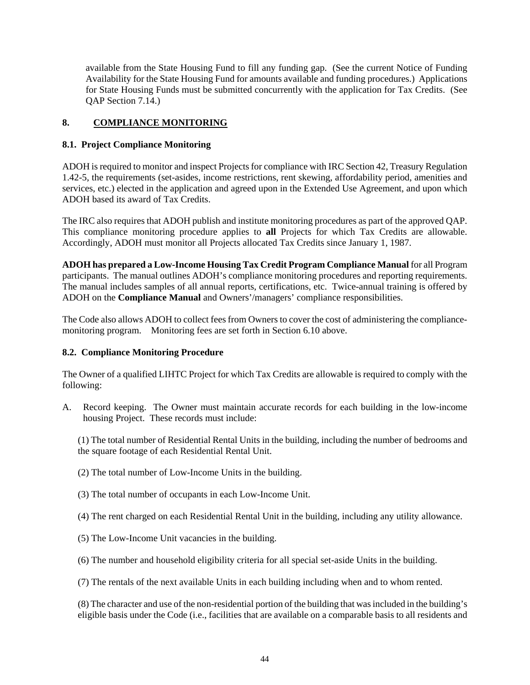available from the State Housing Fund to fill any funding gap. (See the current Notice of Funding Availability for the State Housing Fund for amounts available and funding procedures.) Applications for State Housing Funds must be submitted concurrently with the application for Tax Credits. (See QAP Section 7.14.)

## **8. COMPLIANCE MONITORING**

## **8.1. Project Compliance Monitoring**

ADOH is required to monitor and inspect Projects for compliance with IRC Section 42, Treasury Regulation 1.42-5, the requirements (set-asides, income restrictions, rent skewing, affordability period, amenities and services, etc.) elected in the application and agreed upon in the Extended Use Agreement, and upon which ADOH based its award of Tax Credits.

The IRC also requires that ADOH publish and institute monitoring procedures as part of the approved QAP. This compliance monitoring procedure applies to **all** Projects for which Tax Credits are allowable. Accordingly, ADOH must monitor all Projects allocated Tax Credits since January 1, 1987.

**ADOH has prepared a Low-Income Housing Tax Credit Program Compliance Manual** for all Program participants. The manual outlines ADOH's compliance monitoring procedures and reporting requirements. The manual includes samples of all annual reports, certifications, etc. Twice-annual training is offered by ADOH on the **Compliance Manual** and Owners'/managers' compliance responsibilities.

The Code also allows ADOH to collect fees from Owners to cover the cost of administering the compliancemonitoring program. Monitoring fees are set forth in Section 6.10 above.

## **8.2. Compliance Monitoring Procedure**

The Owner of a qualified LIHTC Project for which Tax Credits are allowable is required to comply with the following:

A. Record keeping. The Owner must maintain accurate records for each building in the low-income housing Project. These records must include:

(1) The total number of Residential Rental Units in the building, including the number of bedrooms and the square footage of each Residential Rental Unit.

- (2) The total number of Low-Income Units in the building.
- (3) The total number of occupants in each Low-Income Unit.
- (4) The rent charged on each Residential Rental Unit in the building, including any utility allowance.
- (5) The Low-Income Unit vacancies in the building.
- (6) The number and household eligibility criteria for all special set-aside Units in the building.

(7) The rentals of the next available Units in each building including when and to whom rented.

(8) The character and use of the non-residential portion of the building that was included in the building's eligible basis under the Code (i.e., facilities that are available on a comparable basis to all residents and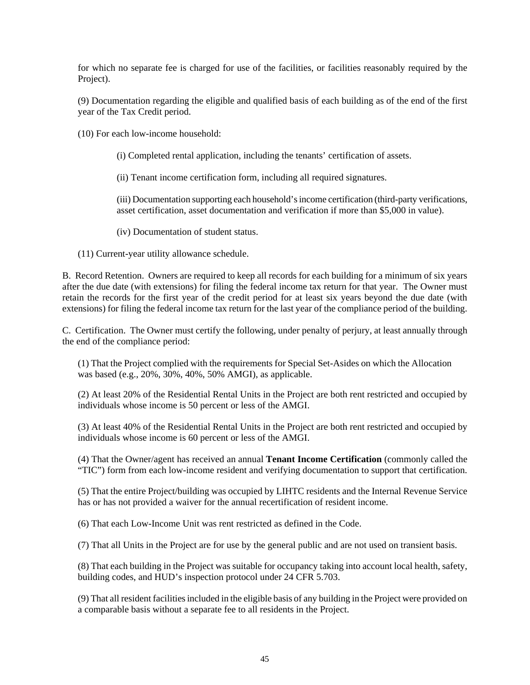for which no separate fee is charged for use of the facilities, or facilities reasonably required by the Project).

(9) Documentation regarding the eligible and qualified basis of each building as of the end of the first year of the Tax Credit period.

(10) For each low-income household:

(i) Completed rental application, including the tenants' certification of assets.

(ii) Tenant income certification form, including all required signatures.

(iii) Documentation supporting each household's income certification (third-party verifications, asset certification, asset documentation and verification if more than \$5,000 in value).

(iv) Documentation of student status.

(11) Current-year utility allowance schedule.

B. Record Retention. Owners are required to keep all records for each building for a minimum of six years after the due date (with extensions) for filing the federal income tax return for that year. The Owner must retain the records for the first year of the credit period for at least six years beyond the due date (with extensions) for filing the federal income tax return for the last year of the compliance period of the building.

C. Certification. The Owner must certify the following, under penalty of perjury, at least annually through the end of the compliance period:

(1) That the Project complied with the requirements for Special Set-Asides on which the Allocation was based (e.g., 20%, 30%, 40%, 50% AMGI), as applicable.

(2) At least 20% of the Residential Rental Units in the Project are both rent restricted and occupied by individuals whose income is 50 percent or less of the AMGI.

(3) At least 40% of the Residential Rental Units in the Project are both rent restricted and occupied by individuals whose income is 60 percent or less of the AMGI.

(4) That the Owner/agent has received an annual **Tenant Income Certification** (commonly called the "TIC") form from each low-income resident and verifying documentation to support that certification.

(5) That the entire Project/building was occupied by LIHTC residents and the Internal Revenue Service has or has not provided a waiver for the annual recertification of resident income.

(6) That each Low-Income Unit was rent restricted as defined in the Code.

(7) That all Units in the Project are for use by the general public and are not used on transient basis.

(8) That each building in the Project was suitable for occupancy taking into account local health, safety, building codes, and HUD's inspection protocol under 24 CFR 5.703.

(9) That all resident facilities included in the eligible basis of any building in the Project were provided on a comparable basis without a separate fee to all residents in the Project.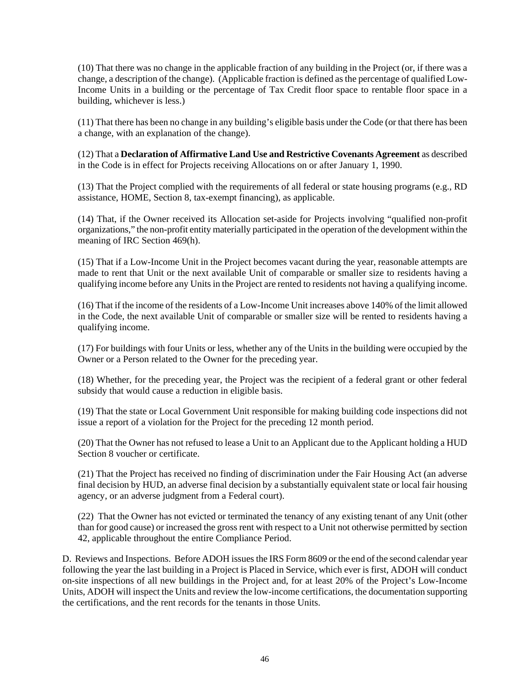(10) That there was no change in the applicable fraction of any building in the Project (or, if there was a change, a description of the change). (Applicable fraction is defined as the percentage of qualified Low-Income Units in a building or the percentage of Tax Credit floor space to rentable floor space in a building, whichever is less.)

(11) That there has been no change in any building's eligible basis under the Code (or that there has been a change, with an explanation of the change).

(12) That a **Declaration of Affirmative Land Use and Restrictive Covenants Agreement** as described in the Code is in effect for Projects receiving Allocations on or after January 1, 1990.

(13) That the Project complied with the requirements of all federal or state housing programs (e.g., RD assistance, HOME, Section 8, tax-exempt financing), as applicable.

(14) That, if the Owner received its Allocation set-aside for Projects involving "qualified non-profit organizations," the non-profit entity materially participated in the operation of the development within the meaning of IRC Section 469(h).

(15) That if a Low-Income Unit in the Project becomes vacant during the year, reasonable attempts are made to rent that Unit or the next available Unit of comparable or smaller size to residents having a qualifying income before any Units in the Project are rented to residents not having a qualifying income.

(16) That if the income of the residents of a Low-Income Unit increases above 140% of the limit allowed in the Code, the next available Unit of comparable or smaller size will be rented to residents having a qualifying income.

(17) For buildings with four Units or less, whether any of the Units in the building were occupied by the Owner or a Person related to the Owner for the preceding year.

(18) Whether, for the preceding year, the Project was the recipient of a federal grant or other federal subsidy that would cause a reduction in eligible basis.

(19) That the state or Local Government Unit responsible for making building code inspections did not issue a report of a violation for the Project for the preceding 12 month period.

(20) That the Owner has not refused to lease a Unit to an Applicant due to the Applicant holding a HUD Section 8 voucher or certificate.

(21) That the Project has received no finding of discrimination under the Fair Housing Act (an adverse final decision by HUD, an adverse final decision by a substantially equivalent state or local fair housing agency, or an adverse judgment from a Federal court).

(22) That the Owner has not evicted or terminated the tenancy of any existing tenant of any Unit (other than for good cause) or increased the gross rent with respect to a Unit not otherwise permitted by section 42, applicable throughout the entire Compliance Period.

D. Reviews and Inspections. Before ADOH issues the IRS Form 8609 or the end of the second calendar year following the year the last building in a Project is Placed in Service, which ever is first, ADOH will conduct on-site inspections of all new buildings in the Project and, for at least 20% of the Project's Low-Income Units, ADOH will inspect the Units and review the low-income certifications, the documentation supporting the certifications, and the rent records for the tenants in those Units.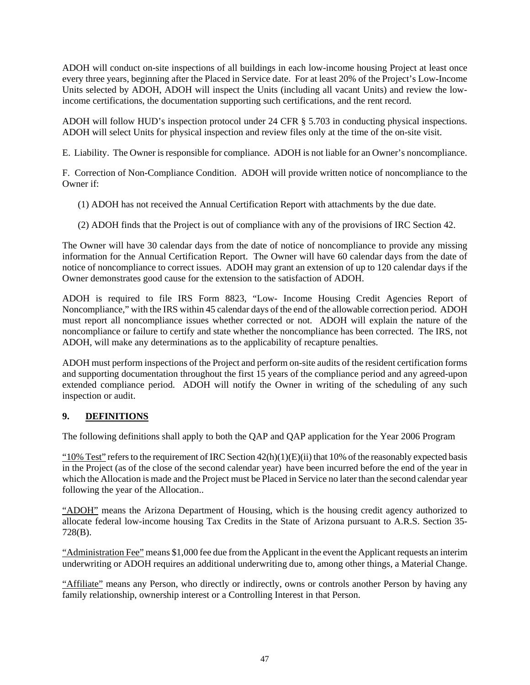ADOH will conduct on-site inspections of all buildings in each low-income housing Project at least once every three years, beginning after the Placed in Service date. For at least 20% of the Project's Low-Income Units selected by ADOH, ADOH will inspect the Units (including all vacant Units) and review the lowincome certifications, the documentation supporting such certifications, and the rent record.

ADOH will follow HUD's inspection protocol under 24 CFR § 5.703 in conducting physical inspections. ADOH will select Units for physical inspection and review files only at the time of the on-site visit.

E. Liability. The Owner is responsible for compliance. ADOH is not liable for an Owner's noncompliance.

F. Correction of Non-Compliance Condition. ADOH will provide written notice of noncompliance to the Owner if:

- (1) ADOH has not received the Annual Certification Report with attachments by the due date.
- (2) ADOH finds that the Project is out of compliance with any of the provisions of IRC Section 42.

The Owner will have 30 calendar days from the date of notice of noncompliance to provide any missing information for the Annual Certification Report. The Owner will have 60 calendar days from the date of notice of noncompliance to correct issues. ADOH may grant an extension of up to 120 calendar days if the Owner demonstrates good cause for the extension to the satisfaction of ADOH.

ADOH is required to file IRS Form 8823, "Low- Income Housing Credit Agencies Report of Noncompliance," with the IRS within 45 calendar days of the end of the allowable correction period. ADOH must report all noncompliance issues whether corrected or not. ADOH will explain the nature of the noncompliance or failure to certify and state whether the noncompliance has been corrected. The IRS, not ADOH, will make any determinations as to the applicability of recapture penalties.

ADOH must perform inspections of the Project and perform on-site audits of the resident certification forms and supporting documentation throughout the first 15 years of the compliance period and any agreed-upon extended compliance period. ADOH will notify the Owner in writing of the scheduling of any such inspection or audit.

## **9. DEFINITIONS**

The following definitions shall apply to both the QAP and QAP application for the Year 2006 Program

"10% Test" refers to the requirement of IRC Section  $42(h)(1)(E)(ii)$  that 10% of the reasonably expected basis in the Project (as of the close of the second calendar year) have been incurred before the end of the year in which the Allocation is made and the Project must be Placed in Service no later than the second calendar year following the year of the Allocation..

"ADOH" means the Arizona Department of Housing, which is the housing credit agency authorized to allocate federal low-income housing Tax Credits in the State of Arizona pursuant to A.R.S. Section 35- 728(B).

"Administration Fee" means \$1,000 fee due from the Applicant in the event the Applicant requests an interim underwriting or ADOH requires an additional underwriting due to, among other things, a Material Change.

"Affiliate" means any Person, who directly or indirectly, owns or controls another Person by having any family relationship, ownership interest or a Controlling Interest in that Person.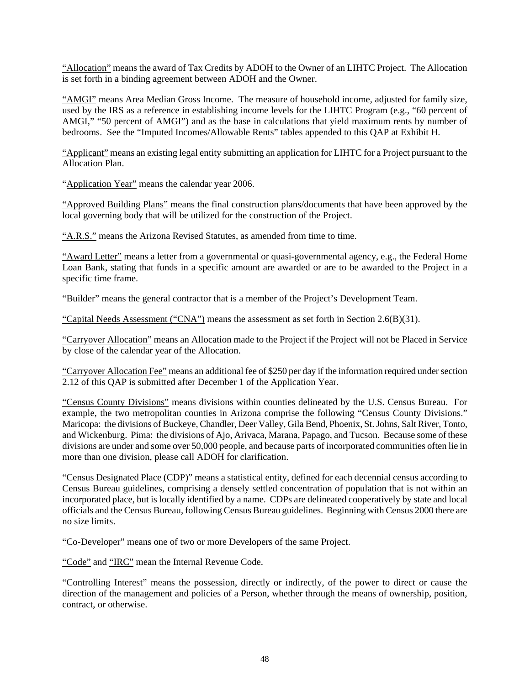"Allocation" means the award of Tax Credits by ADOH to the Owner of an LIHTC Project. The Allocation is set forth in a binding agreement between ADOH and the Owner.

"AMGI" means Area Median Gross Income. The measure of household income, adjusted for family size, used by the IRS as a reference in establishing income levels for the LIHTC Program (e.g., "60 percent of AMGI," "50 percent of AMGI") and as the base in calculations that yield maximum rents by number of bedrooms. See the "Imputed Incomes/Allowable Rents" tables appended to this QAP at Exhibit H.

"Applicant" means an existing legal entity submitting an application for LIHTC for a Project pursuant to the Allocation Plan.

"Application Year" means the calendar year 2006.

"Approved Building Plans" means the final construction plans/documents that have been approved by the local governing body that will be utilized for the construction of the Project.

"A.R.S." means the Arizona Revised Statutes, as amended from time to time.

"Award Letter" means a letter from a governmental or quasi-governmental agency, e.g., the Federal Home Loan Bank, stating that funds in a specific amount are awarded or are to be awarded to the Project in a specific time frame.

"Builder" means the general contractor that is a member of the Project's Development Team.

"Capital Needs Assessment ("CNA") means the assessment as set forth in Section 2.6(B)(31).

"Carryover Allocation" means an Allocation made to the Project if the Project will not be Placed in Service by close of the calendar year of the Allocation.

"Carryover Allocation Fee" means an additional fee of \$250 per day if the information required under section 2.12 of this QAP is submitted after December 1 of the Application Year.

"Census County Divisions" means divisions within counties delineated by the U.S. Census Bureau. For example, the two metropolitan counties in Arizona comprise the following "Census County Divisions." Maricopa: the divisions of Buckeye, Chandler, Deer Valley, Gila Bend, Phoenix, St. Johns, Salt River, Tonto, and Wickenburg. Pima: the divisions of Ajo, Arivaca, Marana, Papago, and Tucson. Because some of these divisions are under and some over 50,000 people, and because parts of incorporated communities often lie in more than one division, please call ADOH for clarification.

"Census Designated Place (CDP)" means a statistical entity, defined for each decennial census according to Census Bureau guidelines, comprising a densely settled concentration of population that is not within an incorporated place, but is locally identified by a name. CDPs are delineated cooperatively by state and local officials and the Census Bureau, following Census Bureau guidelines. Beginning with Census 2000 there are no size limits.

"Co-Developer" means one of two or more Developers of the same Project.

"Code" and "IRC" mean the Internal Revenue Code.

"Controlling Interest" means the possession, directly or indirectly, of the power to direct or cause the direction of the management and policies of a Person, whether through the means of ownership, position, contract, or otherwise.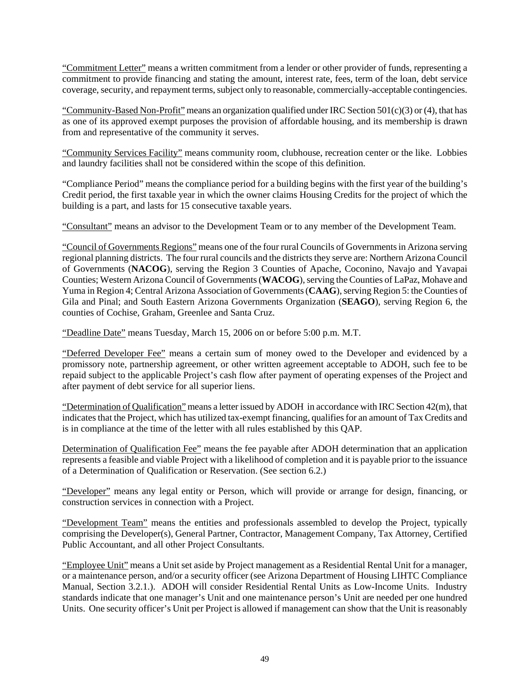"Commitment Letter" means a written commitment from a lender or other provider of funds, representing a commitment to provide financing and stating the amount, interest rate, fees, term of the loan, debt service coverage, security, and repayment terms, subject only to reasonable, commercially-acceptable contingencies.

"Community-Based Non-Profit" means an organization qualified under IRC Section 501(c)(3) or (4), that has as one of its approved exempt purposes the provision of affordable housing, and its membership is drawn from and representative of the community it serves.

"Community Services Facility" means community room, clubhouse, recreation center or the like. Lobbies and laundry facilities shall not be considered within the scope of this definition.

"Compliance Period" means the compliance period for a building begins with the first year of the building's Credit period, the first taxable year in which the owner claims Housing Credits for the project of which the building is a part, and lasts for 15 consecutive taxable years.

"Consultant" means an advisor to the Development Team or to any member of the Development Team.

"Council of Governments Regions" means one of the four rural Councils of Governments in Arizona serving regional planning districts. The four rural councils and the districts they serve are: Northern Arizona Council of Governments (**NACOG**), serving the Region 3 Counties of Apache, Coconino, Navajo and Yavapai Counties; Western Arizona Council of Governments (**WACOG**), serving the Counties of LaPaz, Mohave and Yuma in Region 4; Central Arizona Association of Governments (**CAAG**), serving Region 5: the Counties of Gila and Pinal; and South Eastern Arizona Governments Organization (**SEAGO**), serving Region 6, the counties of Cochise, Graham, Greenlee and Santa Cruz.

"Deadline Date" means Tuesday, March 15, 2006 on or before 5:00 p.m. M.T.

"Deferred Developer Fee" means a certain sum of money owed to the Developer and evidenced by a promissory note, partnership agreement, or other written agreement acceptable to ADOH, such fee to be repaid subject to the applicable Project's cash flow after payment of operating expenses of the Project and after payment of debt service for all superior liens.

"Determination of Qualification" means a letter issued by ADOH in accordance with IRC Section 42(m), that indicates that the Project, which has utilized tax-exempt financing, qualifies for an amount of Tax Credits and is in compliance at the time of the letter with all rules established by this QAP.

Determination of Qualification Fee" means the fee payable after ADOH determination that an application represents a feasible and viable Project with a likelihood of completion and it is payable prior to the issuance of a Determination of Qualification or Reservation. (See section 6.2.)

"Developer" means any legal entity or Person, which will provide or arrange for design, financing, or construction services in connection with a Project.

"Development Team" means the entities and professionals assembled to develop the Project, typically comprising the Developer(s), General Partner, Contractor, Management Company, Tax Attorney, Certified Public Accountant, and all other Project Consultants.

"Employee Unit" means a Unit set aside by Project management as a Residential Rental Unit for a manager, or a maintenance person, and/or a security officer (see Arizona Department of Housing LIHTC Compliance Manual, Section 3.2.1.). ADOH will consider Residential Rental Units as Low-Income Units. Industry standards indicate that one manager's Unit and one maintenance person's Unit are needed per one hundred Units. One security officer's Unit per Project is allowed if management can show that the Unit is reasonably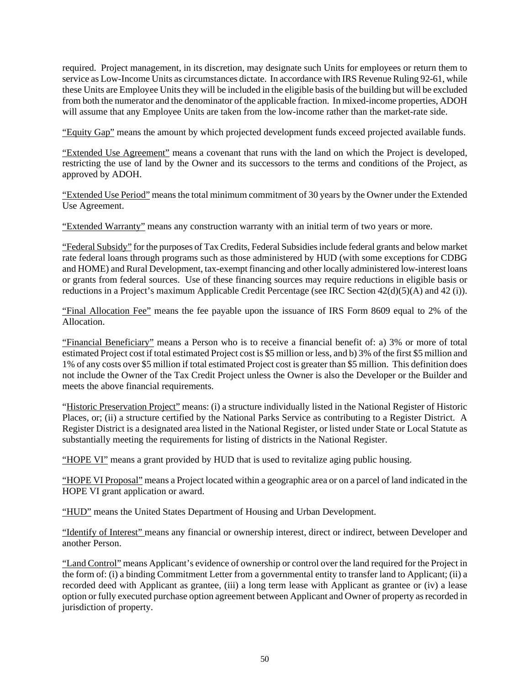required. Project management, in its discretion, may designate such Units for employees or return them to service as Low-Income Units as circumstances dictate. In accordance with IRS Revenue Ruling 92-61, while these Units are Employee Units they will be included in the eligible basis of the building but will be excluded from both the numerator and the denominator of the applicable fraction. In mixed-income properties, ADOH will assume that any Employee Units are taken from the low-income rather than the market-rate side.

"Equity Gap" means the amount by which projected development funds exceed projected available funds.

"Extended Use Agreement" means a covenant that runs with the land on which the Project is developed, restricting the use of land by the Owner and its successors to the terms and conditions of the Project, as approved by ADOH.

"Extended Use Period" means the total minimum commitment of 30 years by the Owner under the Extended Use Agreement.

"Extended Warranty" means any construction warranty with an initial term of two years or more.

"Federal Subsidy" for the purposes of Tax Credits, Federal Subsidies include federal grants and below market rate federal loans through programs such as those administered by HUD (with some exceptions for CDBG and HOME) and Rural Development, tax-exempt financing and other locally administered low-interest loans or grants from federal sources. Use of these financing sources may require reductions in eligible basis or reductions in a Project's maximum Applicable Credit Percentage (see IRC Section 42(d)(5)(A) and 42 (i)).

"Final Allocation Fee" means the fee payable upon the issuance of IRS Form 8609 equal to 2% of the Allocation.

"Financial Beneficiary" means a Person who is to receive a financial benefit of: a) 3% or more of total estimated Project cost if total estimated Project cost is \$5 million or less, and b) 3% of the first \$5 million and 1% of any costs over \$5 million if total estimated Project cost is greater than \$5 million. This definition does not include the Owner of the Tax Credit Project unless the Owner is also the Developer or the Builder and meets the above financial requirements.

"Historic Preservation Project" means: (i) a structure individually listed in the National Register of Historic Places, or; (ii) a structure certified by the National Parks Service as contributing to a Register District. A Register District is a designated area listed in the National Register, or listed under State or Local Statute as substantially meeting the requirements for listing of districts in the National Register.

"HOPE VI" means a grant provided by HUD that is used to revitalize aging public housing.

"HOPE VI Proposal" means a Project located within a geographic area or on a parcel of land indicated in the HOPE VI grant application or award.

"HUD" means the United States Department of Housing and Urban Development.

"Identify of Interest" means any financial or ownership interest, direct or indirect, between Developer and another Person.

"Land Control" means Applicant's evidence of ownership or control over the land required for the Project in the form of: (i) a binding Commitment Letter from a governmental entity to transfer land to Applicant; (ii) a recorded deed with Applicant as grantee, (iii) a long term lease with Applicant as grantee or (iv) a lease option or fully executed purchase option agreement between Applicant and Owner of property as recorded in jurisdiction of property.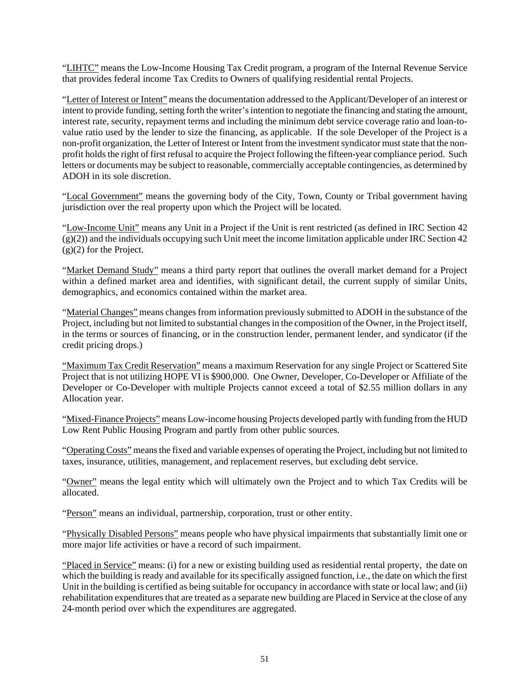"LIHTC" means the Low-Income Housing Tax Credit program, a program of the Internal Revenue Service that provides federal income Tax Credits to Owners of qualifying residential rental Projects.

"Letter of Interest or Intent" means the documentation addressed to the Applicant/Developer of an interest or intent to provide funding, setting forth the writer's intention to negotiate the financing and stating the amount, interest rate, security, repayment terms and including the minimum debt service coverage ratio and loan-tovalue ratio used by the lender to size the financing, as applicable. If the sole Developer of the Project is a non-profit organization, the Letter of Interest or Intent from the investment syndicator must state that the nonprofit holds the right of first refusal to acquire the Project following the fifteen-year compliance period. Such letters or documents may be subject to reasonable, commercially acceptable contingencies, as determined by ADOH in its sole discretion.

"Local Government" means the governing body of the City, Town, County or Tribal government having jurisdiction over the real property upon which the Project will be located.

"Low-Income Unit" means any Unit in a Project if the Unit is rent restricted (as defined in IRC Section 42  $(g)(2)$ ) and the individuals occupying such Unit meet the income limitation applicable under IRC Section 42 (g)(2) for the Project.

"Market Demand Study" means a third party report that outlines the overall market demand for a Project within a defined market area and identifies, with significant detail, the current supply of similar Units, demographics, and economics contained within the market area.

"Material Changes" means changes from information previously submitted to ADOH in the substance of the Project, including but not limited to substantial changes in the composition of the Owner, in the Project itself, in the terms or sources of financing, or in the construction lender, permanent lender, and syndicator (if the credit pricing drops.)

"Maximum Tax Credit Reservation" means a maximum Reservation for any single Project or Scattered Site Project that is not utilizing HOPE VI is \$900,000. One Owner, Developer, Co-Developer or Affiliate of the Developer or Co-Developer with multiple Projects cannot exceed a total of \$2.55 million dollars in any Allocation year.

"Mixed-Finance Projects" means Low-income housing Projects developed partly with funding from the HUD Low Rent Public Housing Program and partly from other public sources.

"Operating Costs" means the fixed and variable expenses of operating the Project, including but not limited to taxes, insurance, utilities, management, and replacement reserves, but excluding debt service.

"Owner" means the legal entity which will ultimately own the Project and to which Tax Credits will be allocated.

"Person" means an individual, partnership, corporation, trust or other entity.

"Physically Disabled Persons" means people who have physical impairments that substantially limit one or more major life activities or have a record of such impairment.

"Placed in Service" means: (i) for a new or existing building used as residential rental property, the date on which the building is ready and available for its specifically assigned function, i.e., the date on which the first Unit in the building is certified as being suitable for occupancy in accordance with state or local law; and (ii) rehabilitation expenditures that are treated as a separate new building are Placed in Service at the close of any 24-month period over which the expenditures are aggregated.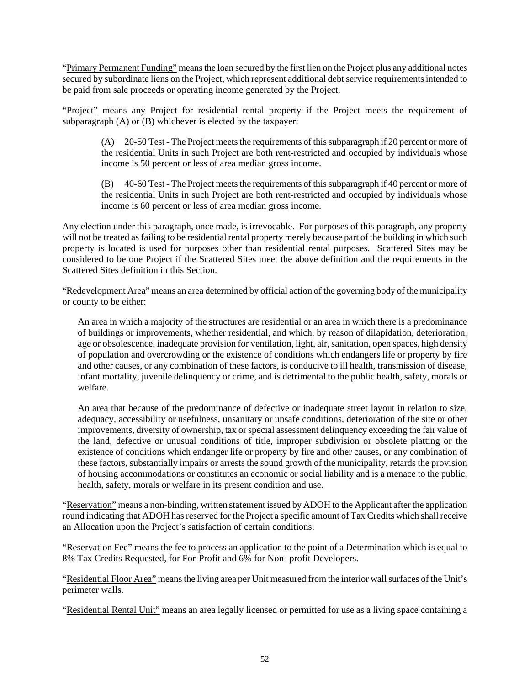"Primary Permanent Funding" means the loan secured by the first lien on the Project plus any additional notes secured by subordinate liens on the Project, which represent additional debt service requirements intended to be paid from sale proceeds or operating income generated by the Project.

"Project" means any Project for residential rental property if the Project meets the requirement of subparagraph (A) or (B) whichever is elected by the taxpayer:

(A) 20-50 Test - The Project meets the requirements of this subparagraph if 20 percent or more of the residential Units in such Project are both rent-restricted and occupied by individuals whose income is 50 percent or less of area median gross income.

(B) 40-60 Test - The Project meets the requirements of this subparagraph if 40 percent or more of the residential Units in such Project are both rent-restricted and occupied by individuals whose income is 60 percent or less of area median gross income.

Any election under this paragraph, once made, is irrevocable. For purposes of this paragraph, any property will not be treated as failing to be residential rental property merely because part of the building in which such property is located is used for purposes other than residential rental purposes. Scattered Sites may be considered to be one Project if the Scattered Sites meet the above definition and the requirements in the Scattered Sites definition in this Section.

"Redevelopment Area" means an area determined by official action of the governing body of the municipality or county to be either:

An area in which a majority of the structures are residential or an area in which there is a predominance of buildings or improvements, whether residential, and which, by reason of dilapidation, deterioration, age or obsolescence, inadequate provision for ventilation, light, air, sanitation, open spaces, high density of population and overcrowding or the existence of conditions which endangers life or property by fire and other causes, or any combination of these factors, is conducive to ill health, transmission of disease, infant mortality, juvenile delinquency or crime, and is detrimental to the public health, safety, morals or welfare.

An area that because of the predominance of defective or inadequate street layout in relation to size, adequacy, accessibility or usefulness, unsanitary or unsafe conditions, deterioration of the site or other improvements, diversity of ownership, tax or special assessment delinquency exceeding the fair value of the land, defective or unusual conditions of title, improper subdivision or obsolete platting or the existence of conditions which endanger life or property by fire and other causes, or any combination of these factors, substantially impairs or arrests the sound growth of the municipality, retards the provision of housing accommodations or constitutes an economic or social liability and is a menace to the public, health, safety, morals or welfare in its present condition and use.

"Reservation" means a non-binding, written statement issued by ADOH to the Applicant after the application round indicating that ADOH has reserved for the Project a specific amount of Tax Credits which shall receive an Allocation upon the Project's satisfaction of certain conditions.

"Reservation Fee" means the fee to process an application to the point of a Determination which is equal to 8% Tax Credits Requested, for For-Profit and 6% for Non- profit Developers.

"Residential Floor Area" means the living area per Unit measured from the interior wall surfaces of the Unit's perimeter walls.

"Residential Rental Unit" means an area legally licensed or permitted for use as a living space containing a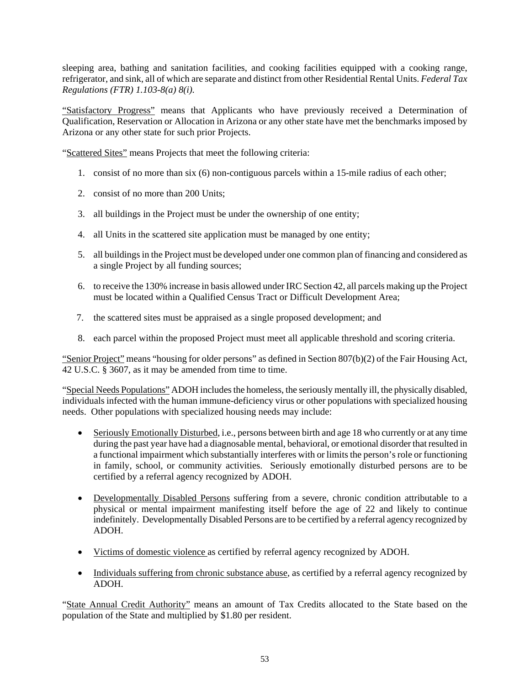sleeping area, bathing and sanitation facilities, and cooking facilities equipped with a cooking range, refrigerator, and sink, all of which are separate and distinct from other Residential Rental Units. *Federal Tax Regulations (FTR) 1.103-8(a) 8(i).* 

"Satisfactory Progress" means that Applicants who have previously received a Determination of Qualification, Reservation or Allocation in Arizona or any other state have met the benchmarks imposed by Arizona or any other state for such prior Projects.

"Scattered Sites" means Projects that meet the following criteria:

- 1. consist of no more than six (6) non-contiguous parcels within a 15-mile radius of each other;
- 2. consist of no more than 200 Units;
- 3. all buildings in the Project must be under the ownership of one entity;
- 4. all Units in the scattered site application must be managed by one entity;
- 5. all buildings in the Project must be developed under one common plan of financing and considered as a single Project by all funding sources;
- 6. to receive the 130% increase in basis allowed under IRC Section 42, all parcels making up the Project must be located within a Qualified Census Tract or Difficult Development Area;
- 7. the scattered sites must be appraised as a single proposed development; and
- 8. each parcel within the proposed Project must meet all applicable threshold and scoring criteria.

"Senior Project" means "housing for older persons" as defined in Section 807(b)(2) of the Fair Housing Act, 42 U.S.C. § 3607, as it may be amended from time to time.

"Special Needs Populations" ADOH includes the homeless, the seriously mentally ill, the physically disabled, individuals infected with the human immune-deficiency virus or other populations with specialized housing needs. Other populations with specialized housing needs may include:

- Seriously Emotionally Disturbed, i.e., persons between birth and age 18 who currently or at any time during the past year have had a diagnosable mental, behavioral, or emotional disorder that resulted in a functional impairment which substantially interferes with or limits the person's role or functioning in family, school, or community activities. Seriously emotionally disturbed persons are to be certified by a referral agency recognized by ADOH.
- Developmentally Disabled Persons suffering from a severe, chronic condition attributable to a physical or mental impairment manifesting itself before the age of 22 and likely to continue indefinitely. Developmentally Disabled Persons are to be certified by a referral agency recognized by ADOH.
- Victims of domestic violence as certified by referral agency recognized by ADOH.
- Individuals suffering from chronic substance abuse, as certified by a referral agency recognized by ADOH.

"State Annual Credit Authority" means an amount of Tax Credits allocated to the State based on the population of the State and multiplied by \$1.80 per resident.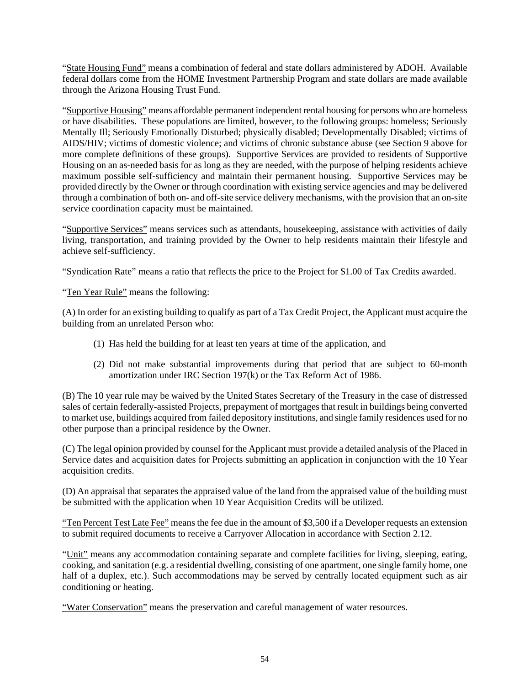"State Housing Fund" means a combination of federal and state dollars administered by ADOH. Available federal dollars come from the HOME Investment Partnership Program and state dollars are made available through the Arizona Housing Trust Fund.

"Supportive Housing" means affordable permanent independent rental housing for persons who are homeless or have disabilities. These populations are limited, however, to the following groups: homeless; Seriously Mentally Ill; Seriously Emotionally Disturbed; physically disabled; Developmentally Disabled; victims of AIDS/HIV; victims of domestic violence; and victims of chronic substance abuse (see Section 9 above for more complete definitions of these groups). Supportive Services are provided to residents of Supportive Housing on an as-needed basis for as long as they are needed, with the purpose of helping residents achieve maximum possible self-sufficiency and maintain their permanent housing. Supportive Services may be provided directly by the Owner or through coordination with existing service agencies and may be delivered through a combination of both on- and off-site service delivery mechanisms, with the provision that an on-site service coordination capacity must be maintained.

"Supportive Services" means services such as attendants, housekeeping, assistance with activities of daily living, transportation, and training provided by the Owner to help residents maintain their lifestyle and achieve self-sufficiency.

"Syndication Rate" means a ratio that reflects the price to the Project for \$1.00 of Tax Credits awarded.

"Ten Year Rule" means the following:

(A) In order for an existing building to qualify as part of a Tax Credit Project, the Applicant must acquire the building from an unrelated Person who:

- (1) Has held the building for at least ten years at time of the application, and
- (2) Did not make substantial improvements during that period that are subject to 60-month amortization under IRC Section 197(k) or the Tax Reform Act of 1986.

(B) The 10 year rule may be waived by the United States Secretary of the Treasury in the case of distressed sales of certain federally-assisted Projects, prepayment of mortgages that result in buildings being converted to market use, buildings acquired from failed depository institutions, and single family residences used for no other purpose than a principal residence by the Owner.

(C) The legal opinion provided by counsel for the Applicant must provide a detailed analysis of the Placed in Service dates and acquisition dates for Projects submitting an application in conjunction with the 10 Year acquisition credits.

(D) An appraisal that separates the appraised value of the land from the appraised value of the building must be submitted with the application when 10 Year Acquisition Credits will be utilized.

"Ten Percent Test Late Fee" means the fee due in the amount of \$3,500 if a Developer requests an extension to submit required documents to receive a Carryover Allocation in accordance with Section 2.12.

"Unit" means any accommodation containing separate and complete facilities for living, sleeping, eating, cooking, and sanitation (e.g. a residential dwelling, consisting of one apartment, one single family home, one half of a duplex, etc.). Such accommodations may be served by centrally located equipment such as air conditioning or heating.

"Water Conservation" means the preservation and careful management of water resources.